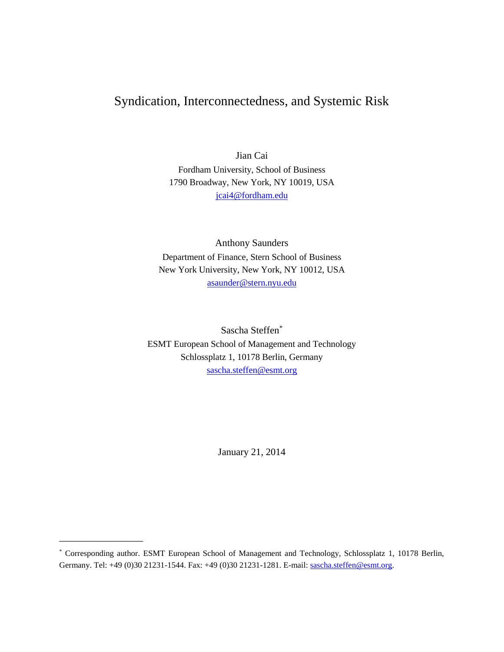# Syndication, Interconnectedness, and Systemic Risk

Jian Cai Fordham University, School of Business 1790 Broadway, New York, NY 10019, USA [jcai4@fordham.edu](mailto:jcai4@fordham.edu)

Anthony Saunders Department of Finance, Stern School of Business New York University, New York, NY 10012, USA [asaunder@stern.nyu.edu](mailto:asaunder@stern.nyu.edu)

Sascha Steffen\* ESMT European School of Management and Technology Schlossplatz 1, 10178 Berlin, Germany [sascha.steffen@esmt.org](mailto:sascha.steffen@esmt.org)

January 21, 2014

\_\_\_\_\_\_\_\_\_\_\_\_\_\_\_\_\_

<sup>\*</sup> Corresponding author. ESMT European School of Management and Technology, Schlossplatz 1, 10178 Berlin, Germany. Tel: +49 (0)30 21231-1544. Fax: +49 (0)30 21231-1281. E-mail: [sascha.steffen@esmt.org.](mailto:sascha.steffen@esmt.org)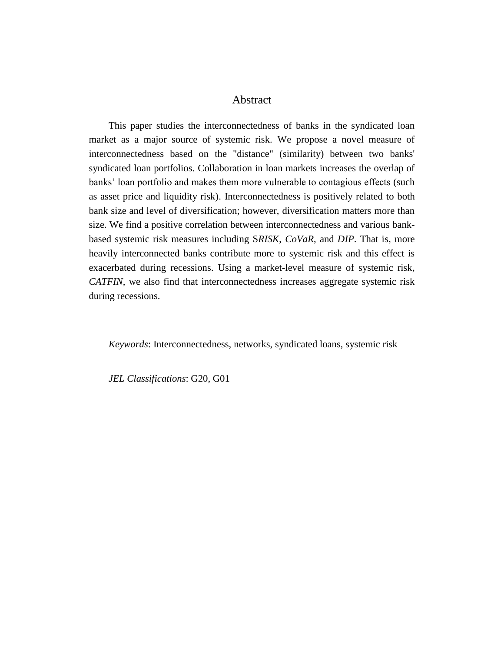### Abstract

 This paper studies the interconnectedness of banks in the syndicated loan market as a major source of systemic risk. We propose a novel measure of interconnectedness based on the "distance" (similarity) between two banks' syndicated loan portfolios. Collaboration in loan markets increases the overlap of banks' loan portfolio and makes them more vulnerable to contagious effects (such as asset price and liquidity risk). Interconnectedness is positively related to both bank size and level of diversification; however, diversification matters more than size. We find a positive correlation between interconnectedness and various bankbased systemic risk measures including S*RISK*, *CoVaR*, and *DIP*. That is, more heavily interconnected banks contribute more to systemic risk and this effect is exacerbated during recessions. Using a market-level measure of systemic risk, *CATFIN*, we also find that interconnectedness increases aggregate systemic risk during recessions.

*Keywords*: Interconnectedness, networks, syndicated loans, systemic risk

*JEL Classifications*: G20, G01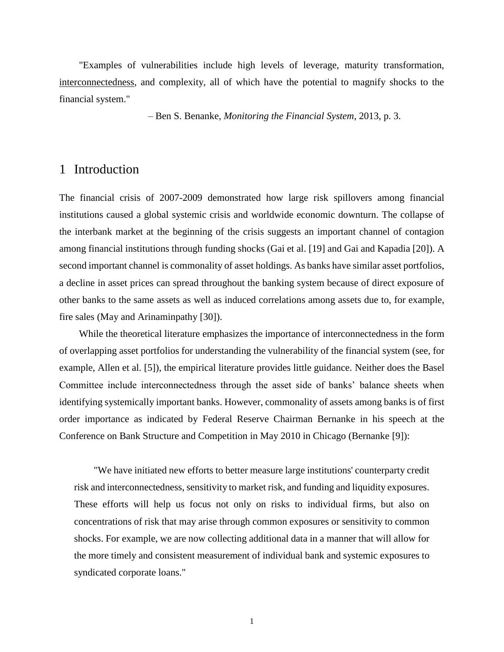"Examples of vulnerabilities include high levels of leverage, maturity transformation, interconnectedness, and complexity, all of which have the potential to magnify shocks to the financial system."

– Ben S. Benanke, *Monitoring the Financial System*, 2013, p. 3.

# 1 Introduction

The financial crisis of 2007-2009 demonstrated how large risk spillovers among financial institutions caused a global systemic crisis and worldwide economic downturn. The collapse of the interbank market at the beginning of the crisis suggests an important channel of contagion among financial institutions through funding shocks (Gai et al. [\[19\]](#page-33-0) and Gai and Kapadia [\[20\]\)](#page-33-1). A second important channel is commonality of asset holdings. As banks have similar asset portfolios, a decline in asset prices can spread throughout the banking system because of direct exposure of other banks to the same assets as well as induced correlations among assets due to, for example, fire sales (May and Arinaminpathy [\[30\]\)](#page-33-2).

 While the theoretical literature emphasizes the importance of interconnectedness in the form of overlapping asset portfolios for understanding the vulnerability of the financial system (see, for example, Allen et al. [\[5\]\)](#page-31-0), the empirical literature provides little guidance. Neither does the Basel Committee include interconnectedness through the asset side of banks' balance sheets when identifying systemically important banks. However, commonality of assets among banks is of first order importance as indicated by Federal Reserve Chairman Bernanke in his speech at the Conference on Bank Structure and Competition in May 2010 in Chicago (Bernanke [\[9\]\)](#page-32-0):

 "We have initiated new efforts to better measure large institutions' counterparty credit risk and interconnectedness, sensitivity to market risk, and funding and liquidity exposures. These efforts will help us focus not only on risks to individual firms, but also on concentrations of risk that may arise through common exposures or sensitivity to common shocks. For example, we are now collecting additional data in a manner that will allow for the more timely and consistent measurement of individual bank and systemic exposures to syndicated corporate loans."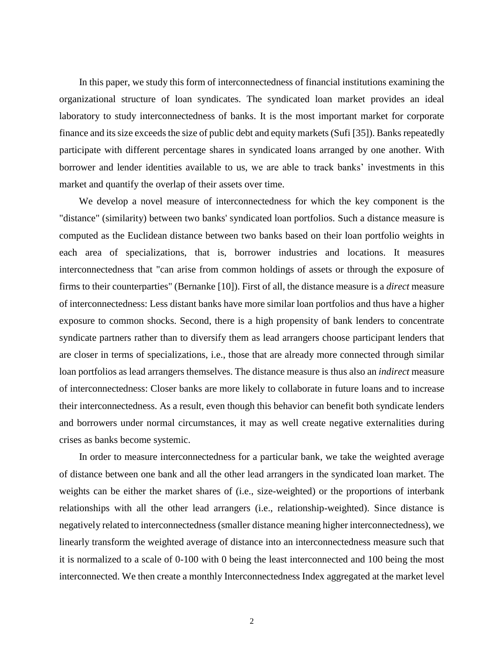In this paper, we study this form of interconnectedness of financial institutions examining the organizational structure of loan syndicates. The syndicated loan market provides an ideal laboratory to study interconnectedness of banks. It is the most important market for corporate finance and its size exceeds the size of public debt and equity markets (Sufi [\[35\]\)](#page-34-0). Banks repeatedly participate with different percentage shares in syndicated loans arranged by one another. With borrower and lender identities available to us, we are able to track banks' investments in this market and quantify the overlap of their assets over time.

 We develop a novel measure of interconnectedness for which the key component is the "distance" (similarity) between two banks' syndicated loan portfolios. Such a distance measure is computed as the Euclidean distance between two banks based on their loan portfolio weights in each area of specializations, that is, borrower industries and locations. It measures interconnectedness that "can arise from common holdings of assets or through the exposure of firms to their counterparties" (Bernanke [\[10\]\)](#page-32-1). First of all, the distance measure is a *direct* measure of interconnectedness: Less distant banks have more similar loan portfolios and thus have a higher exposure to common shocks. Second, there is a high propensity of bank lenders to concentrate syndicate partners rather than to diversify them as lead arrangers choose participant lenders that are closer in terms of specializations, i.e., those that are already more connected through similar loan portfolios as lead arrangers themselves. The distance measure is thus also an *indirect* measure of interconnectedness: Closer banks are more likely to collaborate in future loans and to increase their interconnectedness. As a result, even though this behavior can benefit both syndicate lenders and borrowers under normal circumstances, it may as well create negative externalities during crises as banks become systemic.

 In order to measure interconnectedness for a particular bank, we take the weighted average of distance between one bank and all the other lead arrangers in the syndicated loan market. The weights can be either the market shares of (i.e., size-weighted) or the proportions of interbank relationships with all the other lead arrangers (i.e., relationship-weighted). Since distance is negatively related to interconnectedness (smaller distance meaning higher interconnectedness), we linearly transform the weighted average of distance into an interconnectedness measure such that it is normalized to a scale of 0-100 with 0 being the least interconnected and 100 being the most interconnected. We then create a monthly Interconnectedness Index aggregated at the market level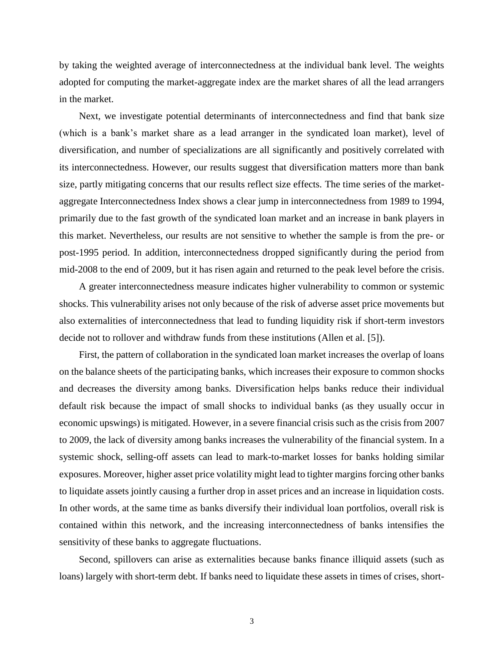by taking the weighted average of interconnectedness at the individual bank level. The weights adopted for computing the market-aggregate index are the market shares of all the lead arrangers in the market.

 Next, we investigate potential determinants of interconnectedness and find that bank size (which is a bank's market share as a lead arranger in the syndicated loan market), level of diversification, and number of specializations are all significantly and positively correlated with its interconnectedness. However, our results suggest that diversification matters more than bank size, partly mitigating concerns that our results reflect size effects. The time series of the marketaggregate Interconnectedness Index shows a clear jump in interconnectedness from 1989 to 1994, primarily due to the fast growth of the syndicated loan market and an increase in bank players in this market. Nevertheless, our results are not sensitive to whether the sample is from the pre- or post-1995 period. In addition, interconnectedness dropped significantly during the period from mid-2008 to the end of 2009, but it has risen again and returned to the peak level before the crisis.

 A greater interconnectedness measure indicates higher vulnerability to common or systemic shocks. This vulnerability arises not only because of the risk of adverse asset price movements but also externalities of interconnectedness that lead to funding liquidity risk if short-term investors decide not to rollover and withdraw funds from these institutions (Allen et al. [\[5\]\)](#page-31-0).

 First, the pattern of collaboration in the syndicated loan market increases the overlap of loans on the balance sheets of the participating banks, which increases their exposure to common shocks and decreases the diversity among banks. Diversification helps banks reduce their individual default risk because the impact of small shocks to individual banks (as they usually occur in economic upswings) is mitigated. However, in a severe financial crisis such as the crisis from 2007 to 2009, the lack of diversity among banks increases the vulnerability of the financial system. In a systemic shock, selling-off assets can lead to mark-to-market losses for banks holding similar exposures. Moreover, higher asset price volatility might lead to tighter margins forcing other banks to liquidate assets jointly causing a further drop in asset prices and an increase in liquidation costs. In other words, at the same time as banks diversify their individual loan portfolios, overall risk is contained within this network, and the increasing interconnectedness of banks intensifies the sensitivity of these banks to aggregate fluctuations.

 Second, spillovers can arise as externalities because banks finance illiquid assets (such as loans) largely with short-term debt. If banks need to liquidate these assets in times of crises, short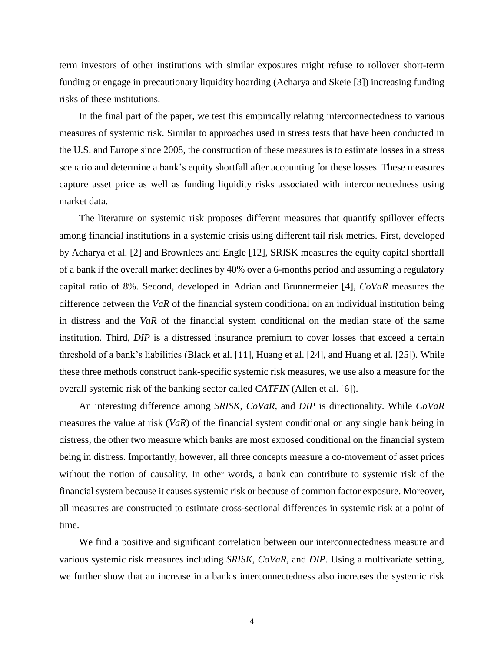term investors of other institutions with similar exposures might refuse to rollover short-term funding or engage in precautionary liquidity hoarding (Acharya and Skeie [\[3\]\)](#page-31-1) increasing funding risks of these institutions.

 In the final part of the paper, we test this empirically relating interconnectedness to various measures of systemic risk. Similar to approaches used in stress tests that have been conducted in the U.S. and Europe since 2008, the construction of these measures is to estimate losses in a stress scenario and determine a bank's equity shortfall after accounting for these losses. These measures capture asset price as well as funding liquidity risks associated with interconnectedness using market data.

 The literature on systemic risk proposes different measures that quantify spillover effects among financial institutions in a systemic crisis using different tail risk metrics. First, developed by Acharya et al. [\[2\]](#page-31-2) and Brownlees and Engle [\[12\],](#page-32-2) SRISK measures the equity capital shortfall of a bank if the overall market declines by 40% over a 6-months period and assuming a regulatory capital ratio of 8%. Second, developed in Adrian and Brunnermeier [\[4\],](#page-31-3) *CoVaR* measures the difference between the *VaR* of the financial system conditional on an individual institution being in distress and the *VaR* of the financial system conditional on the median state of the same institution. Third, *DIP* is a distressed insurance premium to cover losses that exceed a certain threshold of a bank's liabilities (Black et al. [\[11\],](#page-32-3) Huang et al. [\[24\],](#page-33-3) and Huang et al. [\[25\]\)](#page-33-4). While these three methods construct bank-specific systemic risk measures, we use also a measure for the overall systemic risk of the banking sector called *CATFIN* (Allen et al. [\[6\]\)](#page-31-4).

 An interesting difference among *SRISK*, *CoVaR*, and *DIP* is directionality. While *CoVaR* measures the value at risk (*VaR*) of the financial system conditional on any single bank being in distress, the other two measure which banks are most exposed conditional on the financial system being in distress. Importantly, however, all three concepts measure a co-movement of asset prices without the notion of causality. In other words, a bank can contribute to systemic risk of the financial system because it causes systemic risk or because of common factor exposure. Moreover, all measures are constructed to estimate cross-sectional differences in systemic risk at a point of time.

 We find a positive and significant correlation between our interconnectedness measure and various systemic risk measures including *SRISK*, *CoVaR*, and *DIP*. Using a multivariate setting, we further show that an increase in a bank's interconnectedness also increases the systemic risk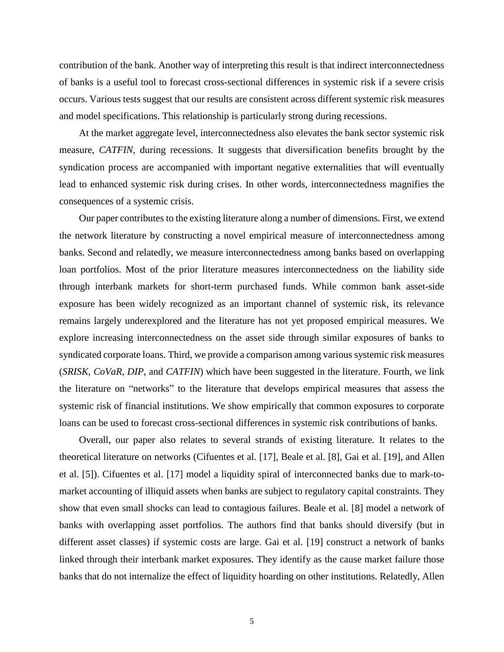contribution of the bank. Another way of interpreting this result is that indirect interconnectedness of banks is a useful tool to forecast cross-sectional differences in systemic risk if a severe crisis occurs. Various tests suggest that our results are consistent across different systemic risk measures and model specifications. This relationship is particularly strong during recessions.

 At the market aggregate level, interconnectedness also elevates the bank sector systemic risk measure, *CATFIN*, during recessions. It suggests that diversification benefits brought by the syndication process are accompanied with important negative externalities that will eventually lead to enhanced systemic risk during crises. In other words, interconnectedness magnifies the consequences of a systemic crisis.

 Our paper contributes to the existing literature along a number of dimensions. First, we extend the network literature by constructing a novel empirical measure of interconnectedness among banks. Second and relatedly, we measure interconnectedness among banks based on overlapping loan portfolios. Most of the prior literature measures interconnectedness on the liability side through interbank markets for short-term purchased funds. While common bank asset-side exposure has been widely recognized as an important channel of systemic risk, its relevance remains largely underexplored and the literature has not yet proposed empirical measures. We explore increasing interconnectedness on the asset side through similar exposures of banks to syndicated corporate loans. Third, we provide a comparison among various systemic risk measures (*SRISK*, *CoVaR*, *DIP*, and *CATFIN*) which have been suggested in the literature. Fourth, we link the literature on "networks" to the literature that develops empirical measures that assess the systemic risk of financial institutions. We show empirically that common exposures to corporate loans can be used to forecast cross-sectional differences in systemic risk contributions of banks.

 Overall, our paper also relates to several strands of existing literature. It relates to the theoretical literature on networks (Cifuentes et al. [\[17\],](#page-32-4) Beale et al. [\[8\],](#page-32-5) Gai et al. [\[19\],](#page-33-0) and Allen et al. [\[5\]\)](#page-31-0). Cifuentes et al. [\[17\]](#page-32-4) model a liquidity spiral of interconnected banks due to mark-tomarket accounting of illiquid assets when banks are subject to regulatory capital constraints. They show that even small shocks can lead to contagious failures. Beale et al. [\[8\]](#page-32-5) model a network of banks with overlapping asset portfolios. The authors find that banks should diversify (but in different asset classes) if systemic costs are large. Gai et al. [\[19\]](#page-33-0) construct a network of banks linked through their interbank market exposures. They identify as the cause market failure those banks that do not internalize the effect of liquidity hoarding on other institutions. Relatedly, Allen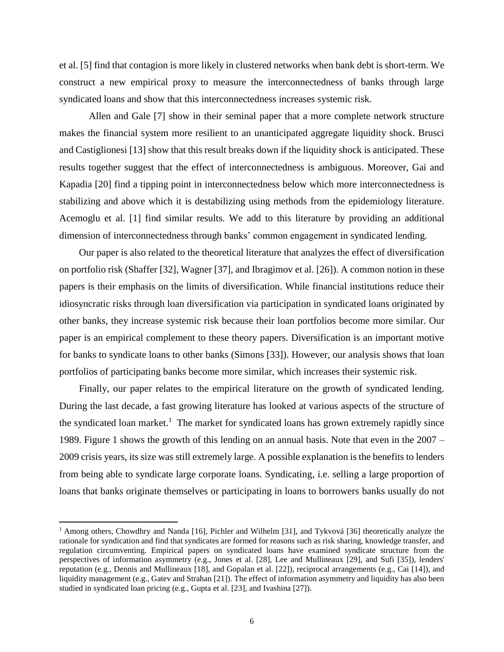et al. [\[5\]](#page-31-0) find that contagion is more likely in clustered networks when bank debt is short-term. We construct a new empirical proxy to measure the interconnectedness of banks through large syndicated loans and show that this interconnectedness increases systemic risk.

Allen and Gale [\[7\]](#page-32-6) show in their seminal paper that a more complete network structure makes the financial system more resilient to an unanticipated aggregate liquidity shock. Brusci and Castiglionesi [\[13\]](#page-32-7) show that this result breaks down if the liquidity shock is anticipated. These results together suggest that the effect of interconnectedness is ambiguous. Moreover, Gai and Kapadia [\[20\]](#page-33-1) find a tipping point in interconnectedness below which more interconnectedness is stabilizing and above which it is destabilizing using methods from the epidemiology literature. Acemoglu et al. [\[1\]](#page-31-5) find similar results. We add to this literature by providing an additional dimension of interconnectedness through banks' common engagement in syndicated lending.

 Our paper is also related to the theoretical literature that analyzes the effect of diversification on portfolio risk (Shaffer [\[32\],](#page-34-1) Wagner [\[37\],](#page-34-2) and Ibragimov et al. [\[26\]\)](#page-33-5). A common notion in these papers is their emphasis on the limits of diversification. While financial institutions reduce their idiosyncratic risks through loan diversification via participation in syndicated loans originated by other banks, they increase systemic risk because their loan portfolios become more similar. Our paper is an empirical complement to these theory papers. Diversification is an important motive for banks to syndicate loans to other banks (Simons [\[33\]\)](#page-34-3). However, our analysis shows that loan portfolios of participating banks become more similar, which increases their systemic risk.

 Finally, our paper relates to the empirical literature on the growth of syndicated lending. During the last decade, a fast growing literature has looked at various aspects of the structure of the syndicated loan market.<sup>1</sup> The market for syndicated loans has grown extremely rapidly since 1989. Figure 1 shows the growth of this lending on an annual basis. Note that even in the 2007 – 2009 crisis years, its size was still extremely large. A possible explanation is the benefits to lenders from being able to syndicate large corporate loans. Syndicating, i.e. selling a large proportion of loans that banks originate themselves or participating in loans to borrowers banks usually do not

 $\overline{\phantom{a}}$ 

<sup>&</sup>lt;sup>1</sup> Among others, Chowdhry and Nanda [\[16\],](#page-32-8) Pichler and Wilhelm [\[31\],](#page-34-4) and Tykvová [\[36\]](#page-34-5) theoretically analyze the rationale for syndication and find that syndicates are formed for reasons such as risk sharing, knowledge transfer, and regulation circumventing. Empirical papers on syndicated loans have examined syndicate structure from the perspectives of information asymmetry (e.g., Jones et al. [\[28\],](#page-33-6) Lee and Mullineaux [\[29\],](#page-33-7) and Sufi [\[35\]\)](#page-34-0), lenders' reputation (e.g., Dennis and Mullineaux [\[18\],](#page-32-9) and Gopalan et al. [\[22\]\)](#page-33-8), reciprocal arrangements (e.g., Cai [\[14\]\)](#page-32-10), and liquidity management (e.g., Gatev and Strahan [\[21\]\)](#page-33-9). The effect of information asymmetry and liquidity has also been studied in syndicated loan pricing (e.g., Gupta et al. [\[23\],](#page-33-10) and Ivashina [\[27\]\)](#page-33-11).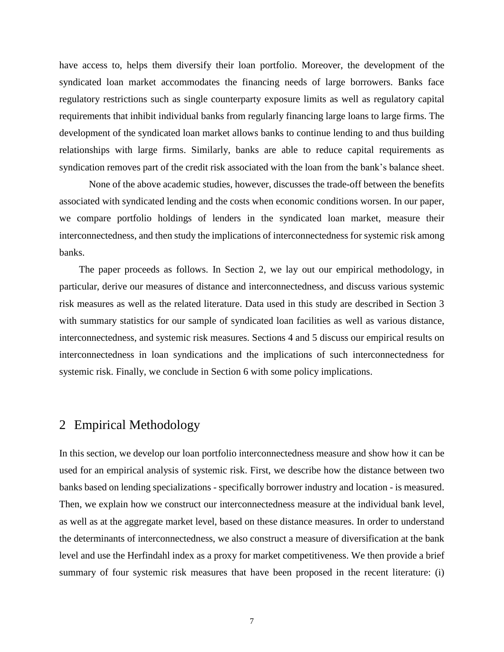have access to, helps them diversify their loan portfolio. Moreover, the development of the syndicated loan market accommodates the financing needs of large borrowers. Banks face regulatory restrictions such as single counterparty exposure limits as well as regulatory capital requirements that inhibit individual banks from regularly financing large loans to large firms. The development of the syndicated loan market allows banks to continue lending to and thus building relationships with large firms. Similarly, banks are able to reduce capital requirements as syndication removes part of the credit risk associated with the loan from the bank's balance sheet.

None of the above academic studies, however, discusses the trade-off between the benefits associated with syndicated lending and the costs when economic conditions worsen. In our paper, we compare portfolio holdings of lenders in the syndicated loan market, measure their interconnectedness, and then study the implications of interconnectedness for systemic risk among banks.

 The paper proceeds as follows. In Section 2, we lay out our empirical methodology, in particular, derive our measures of distance and interconnectedness, and discuss various systemic risk measures as well as the related literature. Data used in this study are described in Section 3 with summary statistics for our sample of syndicated loan facilities as well as various distance, interconnectedness, and systemic risk measures. Sections 4 and 5 discuss our empirical results on interconnectedness in loan syndications and the implications of such interconnectedness for systemic risk. Finally, we conclude in Section 6 with some policy implications.

## 2 Empirical Methodology

In this section, we develop our loan portfolio interconnectedness measure and show how it can be used for an empirical analysis of systemic risk. First, we describe how the distance between two banks based on lending specializations - specifically borrower industry and location - is measured. Then, we explain how we construct our interconnectedness measure at the individual bank level, as well as at the aggregate market level, based on these distance measures. In order to understand the determinants of interconnectedness, we also construct a measure of diversification at the bank level and use the Herfindahl index as a proxy for market competitiveness. We then provide a brief summary of four systemic risk measures that have been proposed in the recent literature: (i)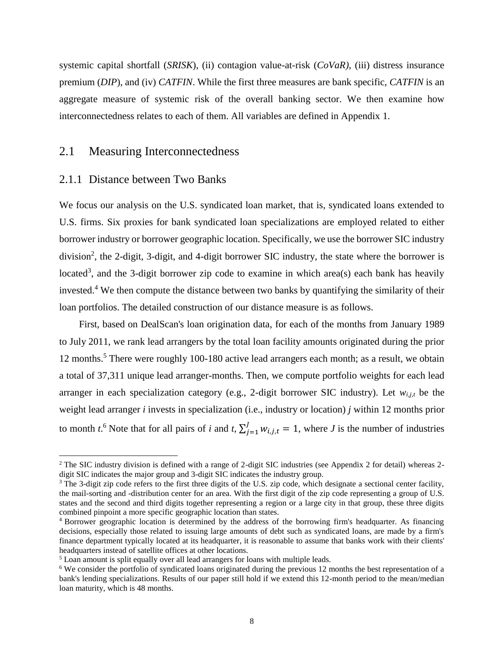systemic capital shortfall (*SRISK*), (ii) contagion value-at-risk (*CoVaR)*, (iii) distress insurance premium (*DIP*), and (iv) *CATFIN*. While the first three measures are bank specific, *CATFIN* is an aggregate measure of systemic risk of the overall banking sector. We then examine how interconnectedness relates to each of them. All variables are defined in Appendix 1.

### 2.1 Measuring Interconnectedness

#### 2.1.1 Distance between Two Banks

 $\overline{a}$ 

We focus our analysis on the U.S. syndicated loan market, that is, syndicated loans extended to U.S. firms. Six proxies for bank syndicated loan specializations are employed related to either borrower industry or borrower geographic location. Specifically, we use the borrower SIC industry division<sup>2</sup>, the 2-digit, 3-digit, and 4-digit borrower SIC industry, the state where the borrower is located<sup>3</sup>, and the 3-digit borrower zip code to examine in which area(s) each bank has heavily invested.<sup>4</sup> We then compute the distance between two banks by quantifying the similarity of their loan portfolios. The detailed construction of our distance measure is as follows.

 First, based on DealScan's loan origination data, for each of the months from January 1989 to July 2011, we rank lead arrangers by the total loan facility amounts originated during the prior 12 months. <sup>5</sup> There were roughly 100-180 active lead arrangers each month; as a result, we obtain a total of 37,311 unique lead arranger-months. Then, we compute portfolio weights for each lead arranger in each specialization category (e.g., 2-digit borrower SIC industry). Let *wi,j,t* be the weight lead arranger *i* invests in specialization (i.e., industry or location) *j* within 12 months prior to month *t*.<sup>6</sup> Note that for all pairs of *i* and *t*,  $\sum_{j=1}^{J} w_{i,j,t} = 1$ , where *J* is the number of industries

<sup>&</sup>lt;sup>2</sup> The SIC industry division is defined with a range of 2-digit SIC industries (see Appendix 2 for detail) whereas 2digit SIC indicates the major group and 3-digit SIC indicates the industry group.

<sup>&</sup>lt;sup>3</sup> The 3-digit zip code refers to the first three digits of the U.S. zip code, which designate a sectional center facility, the mail-sorting and -distribution center for an area. With the first digit of the zip code representing a group of U.S. states and the second and third digits together representing a region or a large city in that group, these three digits combined pinpoint a more specific geographic location than states.

<sup>4</sup> Borrower geographic location is determined by the address of the borrowing firm's headquarter. As financing decisions, especially those related to issuing large amounts of debt such as syndicated loans, are made by a firm's finance department typically located at its headquarter, it is reasonable to assume that banks work with their clients' headquarters instead of satellite offices at other locations.

<sup>&</sup>lt;sup>5</sup> Loan amount is split equally over all lead arrangers for loans with multiple leads.

<sup>6</sup> We consider the portfolio of syndicated loans originated during the previous 12 months the best representation of a bank's lending specializations. Results of our paper still hold if we extend this 12-month period to the mean/median loan maturity, which is 48 months.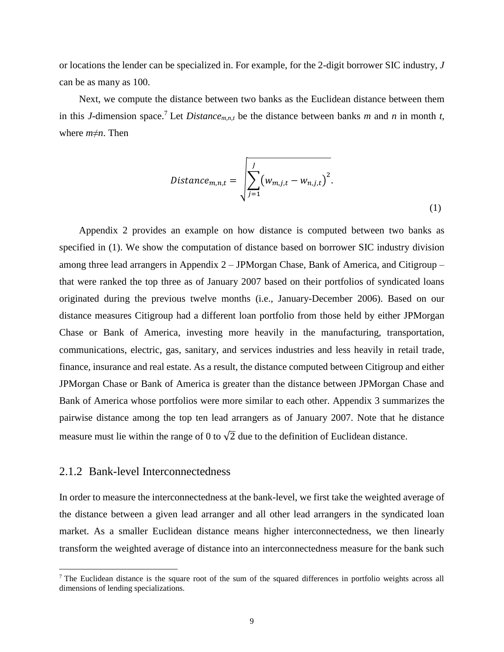or locations the lender can be specialized in. For example, for the 2-digit borrower SIC industry, *J* can be as many as 100.

 Next, we compute the distance between two banks as the Euclidean distance between them in this *J*-dimension space.<sup>7</sup> Let *Distance*<sub>*m*,*n*,*t*</sub> be the distance between banks *m* and *n* in month *t*, where *m*≠*n*. Then

$$
Distance_{m,n,t} = \sqrt{\sum_{j=1}^{J} (w_{m,j,t} - w_{n,j,t})^2}.
$$
\n(1)

<span id="page-10-0"></span> Appendix 2 provides an example on how distance is computed between two banks as specified in [\(1\).](#page-10-0) We show the computation of distance based on borrower SIC industry division among three lead arrangers in Appendix 2 – JPMorgan Chase, Bank of America, and Citigroup – that were ranked the top three as of January 2007 based on their portfolios of syndicated loans originated during the previous twelve months (i.e., January-December 2006). Based on our distance measures Citigroup had a different loan portfolio from those held by either JPMorgan Chase or Bank of America, investing more heavily in the manufacturing, transportation, communications, electric, gas, sanitary, and services industries and less heavily in retail trade, finance, insurance and real estate. As a result, the distance computed between Citigroup and either JPMorgan Chase or Bank of America is greater than the distance between JPMorgan Chase and Bank of America whose portfolios were more similar to each other. Appendix 3 summarizes the pairwise distance among the top ten lead arrangers as of January 2007. Note that he distance measure must lie within the range of 0 to  $\sqrt{2}$  due to the definition of Euclidean distance.

#### 2.1.2 Bank-level Interconnectedness

 $\overline{\phantom{a}}$ 

In order to measure the interconnectedness at the bank-level, we first take the weighted average of the distance between a given lead arranger and all other lead arrangers in the syndicated loan market. As a smaller Euclidean distance means higher interconnectedness, we then linearly transform the weighted average of distance into an interconnectedness measure for the bank such

<sup>&</sup>lt;sup>7</sup> The Euclidean distance is the square root of the sum of the squared differences in portfolio weights across all dimensions of lending specializations.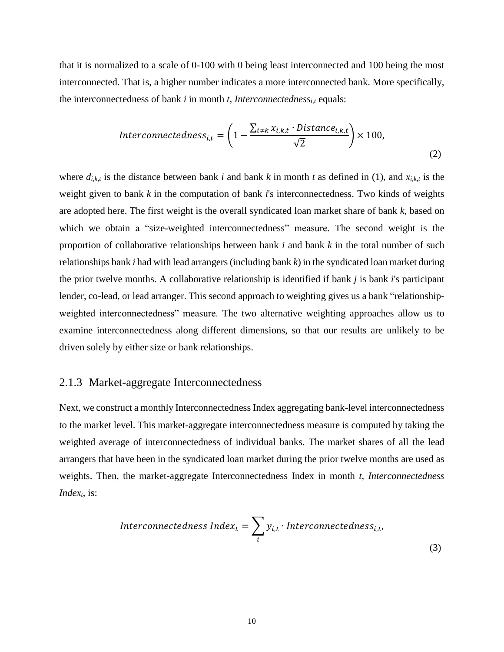that it is normalized to a scale of 0-100 with 0 being least interconnected and 100 being the most interconnected. That is, a higher number indicates a more interconnected bank. More specifically, the interconnectedness of bank *i* in month *t*, *Interconnectednessi,t* equals:

Interconnectedness<sub>i,t</sub> = 
$$
\left(1 - \frac{\sum_{i \neq k} x_{i,k,t} \cdot Distance_{i,k,t}}{\sqrt{2}}\right) \times 100,
$$
 (2)

<span id="page-11-0"></span>where  $d_{i,k,t}$  is the distance between bank *i* and bank *k* in month *t* as defined in [\(1\),](#page-10-0) and  $x_{i,k,t}$  is the weight given to bank *k* in the computation of bank *i*'s interconnectedness. Two kinds of weights are adopted here. The first weight is the overall syndicated loan market share of bank *k*, based on which we obtain a "size-weighted interconnectedness" measure. The second weight is the proportion of collaborative relationships between bank *i* and bank *k* in the total number of such relationships bank *i* had with lead arrangers (including bank *k*) in the syndicated loan market during the prior twelve months. A collaborative relationship is identified if bank *j* is bank *i*'s participant lender, co-lead, or lead arranger. This second approach to weighting gives us a bank "relationshipweighted interconnectedness" measure. The two alternative weighting approaches allow us to examine interconnectedness along different dimensions, so that our results are unlikely to be driven solely by either size or bank relationships.

#### 2.1.3 Market-aggregate Interconnectedness

Next, we construct a monthly Interconnectedness Index aggregating bank-level interconnectedness to the market level. This market-aggregate interconnectedness measure is computed by taking the weighted average of interconnectedness of individual banks. The market shares of all the lead arrangers that have been in the syndicated loan market during the prior twelve months are used as weights. Then, the market-aggregate Interconnectedness Index in month *t*, *Interconnectedness Indext*, is:

<span id="page-11-1"></span>Interconnectedness Index<sub>t</sub> = 
$$
\sum_{i} y_{i,t}
$$
 · Interconnectedness<sub>i,t</sub>, (3)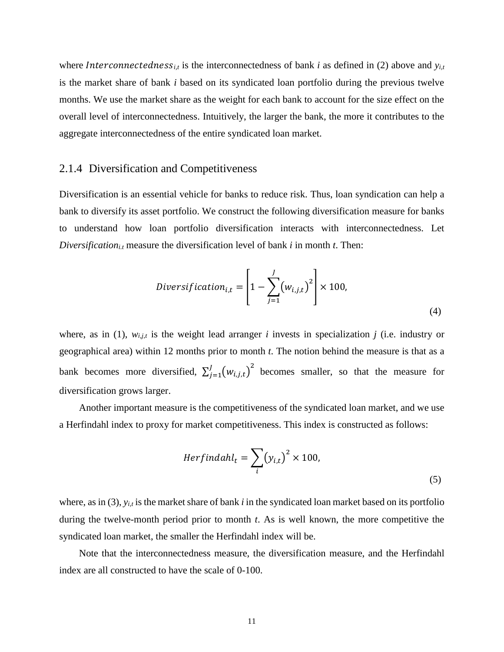where *Interconnectedness*<sub>*i,t*</sub> is the interconnectedness of bank *i* as defined in [\(2\)](#page-11-0) above and  $y_{i,t}$ is the market share of bank *i* based on its syndicated loan portfolio during the previous twelve months. We use the market share as the weight for each bank to account for the size effect on the overall level of interconnectedness. Intuitively, the larger the bank, the more it contributes to the aggregate interconnectedness of the entire syndicated loan market.

## 2.1.4 Diversification and Competitiveness

Diversification is an essential vehicle for banks to reduce risk. Thus, loan syndication can help a bank to diversify its asset portfolio. We construct the following diversification measure for banks to understand how loan portfolio diversification interacts with interconnectedness. Let *Diversificationi.t* measure the diversification level of bank *i* in month *t*. Then:

$$
Diversityitation_{i,t} = \left[1 - \sum_{j=1}^{J} (w_{i,j,t})^2\right] \times 100,
$$
\n(4)

<span id="page-12-0"></span>where, as in [\(1\),](#page-10-0) *wi,j,t* is the weight lead arranger *i* invests in specialization *j* (i.e. industry or geographical area) within 12 months prior to month *t*. The notion behind the measure is that as a bank becomes more diversified,  $\sum_{i=1}^{J} (w_{i,j,t})^2$  $\int_{j=1}^{J} (w_{i,j,t})^2$  becomes smaller, so that the measure for diversification grows larger.

 Another important measure is the competitiveness of the syndicated loan market, and we use a Herfindahl index to proxy for market competitiveness. This index is constructed as follows:

$$
Herfindahl_t = \sum_i (y_{i,t})^2 \times 100,
$$
\n(5)

where, as in [\(3\),](#page-11-1)  $y_{i,t}$  is the market share of bank *i* in the syndicated loan market based on its portfolio during the twelve-month period prior to month *t*. As is well known, the more competitive the syndicated loan market, the smaller the Herfindahl index will be.

 Note that the interconnectedness measure, the diversification measure, and the Herfindahl index are all constructed to have the scale of 0-100.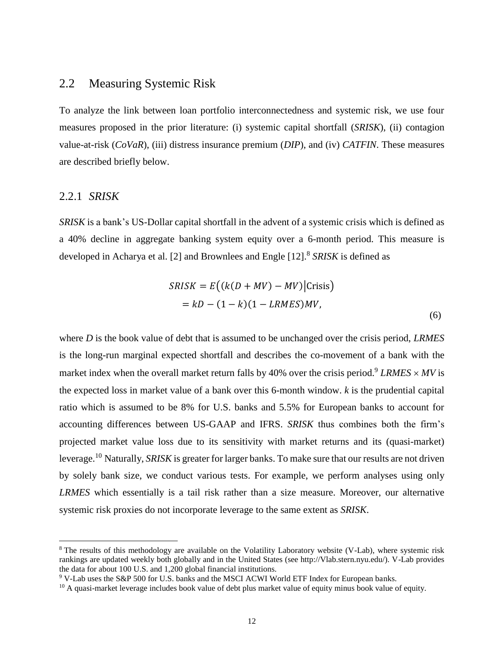### 2.2 Measuring Systemic Risk

To analyze the link between loan portfolio interconnectedness and systemic risk, we use four measures proposed in the prior literature: (i) systemic capital shortfall (*SRISK*), (ii) contagion value-at-risk (*CoVaR*), (iii) distress insurance premium (*DIP*), and (iv) *CATFIN*. These measures are described briefly below.

#### 2.2.1 *SRISK*

 $\overline{a}$ 

*SRISK* is a bank's US-Dollar capital shortfall in the advent of a systemic crisis which is defined as a 40% decline in aggregate banking system equity over a 6-month period. This measure is developed in Acharya et al. [\[2\]](#page-31-2) and Brownlees and Engle [\[12\].](#page-32-2) 8 *SRISK* is defined as

$$
SRISK = E\big((k(D + MV) - MV)\big| \text{Crisis}\big)
$$
  
=  $kD - (1 - k)(1 - LRMES)MV,$  (6)

where *D* is the book value of debt that is assumed to be unchanged over the crisis period, *LRMES* is the long-run marginal expected shortfall and describes the co-movement of a bank with the market index when the overall market return falls by 40% over the crisis period.<sup>9</sup> *LRMES*  $\times$  *MV* is the expected loss in market value of a bank over this 6-month window. *k* is the prudential capital ratio which is assumed to be 8% for U.S. banks and 5.5% for European banks to account for accounting differences between US-GAAP and IFRS. *SRISK* thus combines both the firm's projected market value loss due to its sensitivity with market returns and its (quasi-market) leverage.<sup>10</sup> Naturally, *SRISK* is greater for larger banks. To make sure that our results are not driven by solely bank size, we conduct various tests. For example, we perform analyses using only *LRMES* which essentially is a tail risk rather than a size measure. Moreover, our alternative systemic risk proxies do not incorporate leverage to the same extent as *SRISK*.

<sup>&</sup>lt;sup>8</sup> The results of this methodology are available on the Volatility Laboratory website (V-Lab), where systemic risk rankings are updated weekly both globally and in the United States (see http://Vlab.stern.nyu.edu/). V-Lab provides the data for about 100 U.S. and 1,200 global financial institutions.

<sup>9</sup> V-Lab uses the S&P 500 for U.S. banks and the MSCI ACWI World ETF Index for European banks.

 $10$  A quasi-market leverage includes book value of debt plus market value of equity minus book value of equity.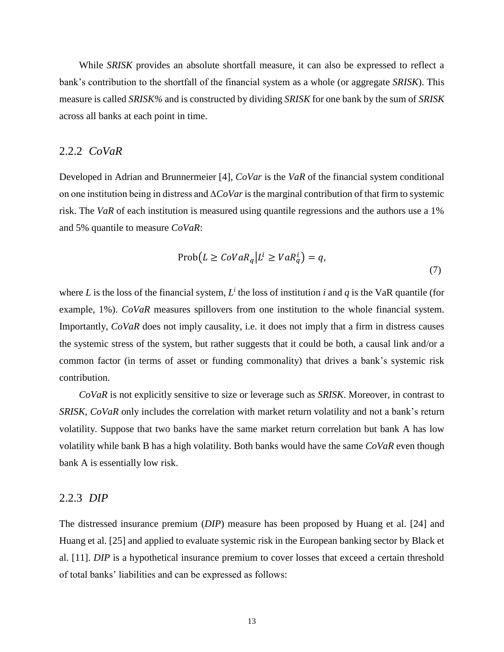While *SRISK* provides an absolute shortfall measure, it can also be expressed to reflect a bank's contribution to the shortfall of the financial system as a whole (or aggregate *SRISK*). This measure is called *SRISK%* and is constructed by dividing *SRISK* for one bank by the sum of *SRISK* across all banks at each point in time.

#### 2.2.2 *CoVaR*

Developed in Adrian and Brunnermeier [\[4\],](#page-31-3) *CoVar* is the *VaR* of the financial system conditional on one institution being in distress and ∆*CoVar*is the marginal contribution of that firm to systemic risk. The *VaR* of each institution is measured using quantile regressions and the authors use a 1% and 5% quantile to measure *CoVaR*:

$$
Prob(L \geq CovaR_q | L^i \geq VaR_q^i) = q,
$$
\n(7)

where *L* is the loss of the financial system,  $L^i$  the loss of institution *i* and *q* is the VaR quantile (for example, 1%). *CoVaR* measures spillovers from one institution to the whole financial system. Importantly, *CoVaR* does not imply causality, i.e. it does not imply that a firm in distress causes the systemic stress of the system, but rather suggests that it could be both, a causal link and/or a common factor (in terms of asset or funding commonality) that drives a bank's systemic risk contribution.

 *CoVaR* is not explicitly sensitive to size or leverage such as *SRISK*. Moreover, in contrast to *SRISK*, *CoVaR* only includes the correlation with market return volatility and not a bank's return volatility. Suppose that two banks have the same market return correlation but bank A has low volatility while bank B has a high volatility. Both banks would have the same *CoVaR* even though bank A is essentially low risk.

#### 2.2.3 *DIP*

The distressed insurance premium (*DIP*) measure has been proposed by Huang et al. [\[24\]](#page-33-3) and Huang et al. [\[25\]](#page-33-4) and applied to evaluate systemic risk in the European banking sector by Black et al. [\[11\].](#page-32-3) *DIP* is a hypothetical insurance premium to cover losses that exceed a certain threshold of total banks' liabilities and can be expressed as follows: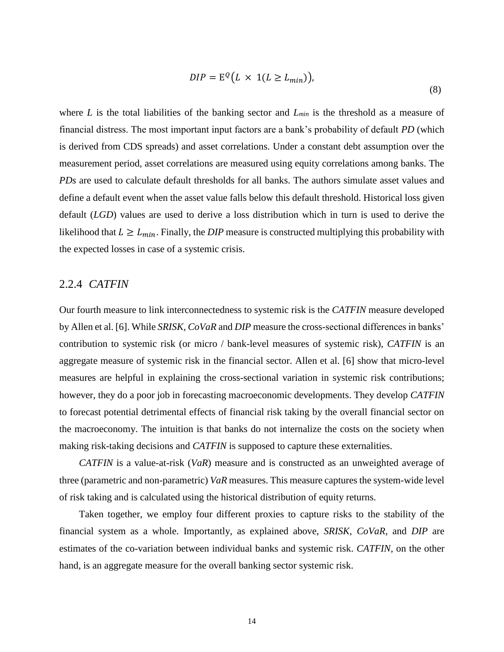$$
DIP = E^{Q}(L \times 1(L \ge L_{min})),
$$
\n(8)

where *L* is the total liabilities of the banking sector and *Lmin* is the threshold as a measure of financial distress. The most important input factors are a bank's probability of default *PD* (which is derived from CDS spreads) and asset correlations. Under a constant debt assumption over the measurement period, asset correlations are measured using equity correlations among banks. The *PDs* are used to calculate default thresholds for all banks. The authors simulate asset values and define a default event when the asset value falls below this default threshold. Historical loss given default (*LGD*) values are used to derive a loss distribution which in turn is used to derive the likelihood that  $L \ge L_{min}$ . Finally, the *DIP* measure is constructed multiplying this probability with the expected losses in case of a systemic crisis.

#### 2.2.4 *CATFIN*

Our fourth measure to link interconnectedness to systemic risk is the *CATFIN* measure developed by Allen et al. [\[6\].](#page-31-4) While *SRISK, CoVaR* and *DIP* measure the cross-sectional differences in banks' contribution to systemic risk (or micro / bank-level measures of systemic risk), *CATFIN* is an aggregate measure of systemic risk in the financial sector. Allen et al. [\[6\]](#page-31-4) show that micro-level measures are helpful in explaining the cross-sectional variation in systemic risk contributions; however, they do a poor job in forecasting macroeconomic developments. They develop *CATFIN* to forecast potential detrimental effects of financial risk taking by the overall financial sector on the macroeconomy. The intuition is that banks do not internalize the costs on the society when making risk-taking decisions and *CATFIN* is supposed to capture these externalities.

 *CATFIN* is a value-at-risk (*VaR*) measure and is constructed as an unweighted average of three (parametric and non-parametric) *VaR* measures. This measure captures the system-wide level of risk taking and is calculated using the historical distribution of equity returns.

 Taken together, we employ four different proxies to capture risks to the stability of the financial system as a whole. Importantly, as explained above, *SRISK*, *CoVaR*, and *DIP* are estimates of the co-variation between individual banks and systemic risk. *CATFIN*, on the other hand, is an aggregate measure for the overall banking sector systemic risk.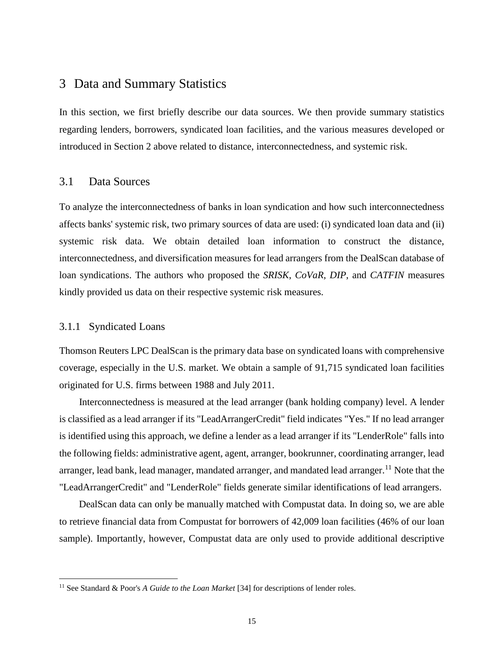# 3 Data and Summary Statistics

In this section, we first briefly describe our data sources. We then provide summary statistics regarding lenders, borrowers, syndicated loan facilities, and the various measures developed or introduced in Section 2 above related to distance, interconnectedness, and systemic risk.

### 3.1 Data Sources

To analyze the interconnectedness of banks in loan syndication and how such interconnectedness affects banks' systemic risk, two primary sources of data are used: (i) syndicated loan data and (ii) systemic risk data. We obtain detailed loan information to construct the distance, interconnectedness, and diversification measures for lead arrangers from the DealScan database of loan syndications. The authors who proposed the *SRISK*, *CoVaR*, *DIP*, and *CATFIN* measures kindly provided us data on their respective systemic risk measures.

#### 3.1.1 Syndicated Loans

 $\overline{\phantom{a}}$ 

Thomson Reuters LPC DealScan is the primary data base on syndicated loans with comprehensive coverage, especially in the U.S. market. We obtain a sample of 91,715 syndicated loan facilities originated for U.S. firms between 1988 and July 2011.

 Interconnectedness is measured at the lead arranger (bank holding company) level. A lender is classified as a lead arranger if its "LeadArrangerCredit" field indicates "Yes." If no lead arranger is identified using this approach, we define a lender as a lead arranger if its "LenderRole" falls into the following fields: administrative agent, agent, arranger, bookrunner, coordinating arranger, lead arranger, lead bank, lead manager, mandated arranger, and mandated lead arranger.<sup>11</sup> Note that the "LeadArrangerCredit" and "LenderRole" fields generate similar identifications of lead arrangers.

 DealScan data can only be manually matched with Compustat data. In doing so, we are able to retrieve financial data from Compustat for borrowers of 42,009 loan facilities (46% of our loan sample). Importantly, however, Compustat data are only used to provide additional descriptive

<sup>&</sup>lt;sup>11</sup> See Standard & Poor's *A Guide to the Loan Market* [\[34\]](#page-34-6) for descriptions of lender roles.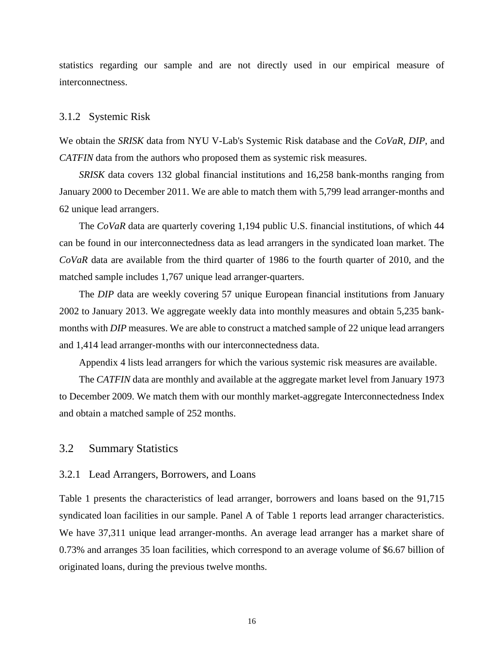statistics regarding our sample and are not directly used in our empirical measure of interconnectness.

#### 3.1.2 Systemic Risk

We obtain the *SRISK* data from NYU V-Lab's Systemic Risk database and the *CoVaR*, *DIP*, and *CATFIN* data from the authors who proposed them as systemic risk measures.

 *SRISK* data covers 132 global financial institutions and 16,258 bank-months ranging from January 2000 to December 2011. We are able to match them with 5,799 lead arranger-months and 62 unique lead arrangers.

 The *CoVaR* data are quarterly covering 1,194 public U.S. financial institutions, of which 44 can be found in our interconnectedness data as lead arrangers in the syndicated loan market. The *CoVaR* data are available from the third quarter of 1986 to the fourth quarter of 2010, and the matched sample includes 1,767 unique lead arranger-quarters.

 The *DIP* data are weekly covering 57 unique European financial institutions from January 2002 to January 2013. We aggregate weekly data into monthly measures and obtain 5,235 bankmonths with *DIP* measures. We are able to construct a matched sample of 22 unique lead arrangers and 1,414 lead arranger-months with our interconnectedness data.

Appendix 4 lists lead arrangers for which the various systemic risk measures are available.

 The *CATFIN* data are monthly and available at the aggregate market level from January 1973 to December 2009. We match them with our monthly market-aggregate Interconnectedness Index and obtain a matched sample of 252 months.

#### 3.2 Summary Statistics

#### 3.2.1 Lead Arrangers, Borrowers, and Loans

Table 1 presents the characteristics of lead arranger, borrowers and loans based on the 91,715 syndicated loan facilities in our sample. Panel A of Table 1 reports lead arranger characteristics. We have 37,311 unique lead arranger-months. An average lead arranger has a market share of 0.73% and arranges 35 loan facilities, which correspond to an average volume of \$6.67 billion of originated loans, during the previous twelve months.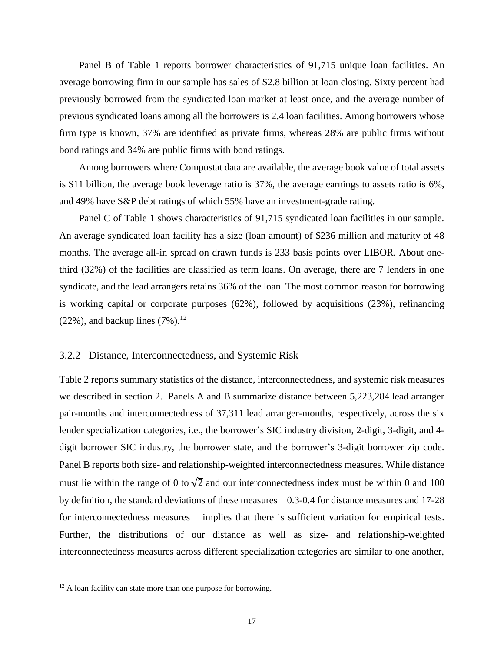Panel B of Table 1 reports borrower characteristics of 91,715 unique loan facilities. An average borrowing firm in our sample has sales of \$2.8 billion at loan closing. Sixty percent had previously borrowed from the syndicated loan market at least once, and the average number of previous syndicated loans among all the borrowers is 2.4 loan facilities. Among borrowers whose firm type is known, 37% are identified as private firms, whereas 28% are public firms without bond ratings and 34% are public firms with bond ratings.

 Among borrowers where Compustat data are available, the average book value of total assets is \$11 billion, the average book leverage ratio is 37%, the average earnings to assets ratio is 6%, and 49% have S&P debt ratings of which 55% have an investment-grade rating.

Panel C of Table 1 shows characteristics of 91,715 syndicated loan facilities in our sample. An average syndicated loan facility has a size (loan amount) of \$236 million and maturity of 48 months. The average all-in spread on drawn funds is 233 basis points over LIBOR. About onethird (32%) of the facilities are classified as term loans. On average, there are 7 lenders in one syndicate, and the lead arrangers retains 36% of the loan. The most common reason for borrowing is working capital or corporate purposes (62%), followed by acquisitions (23%), refinancing (22%), and backup lines  $(7\%)$ .<sup>12</sup>

#### 3.2.2 Distance, Interconnectedness, and Systemic Risk

Table 2 reports summary statistics of the distance, interconnectedness, and systemic risk measures we described in section 2. Panels A and B summarize distance between 5,223,284 lead arranger pair-months and interconnectedness of 37,311 lead arranger-months, respectively, across the six lender specialization categories, i.e., the borrower's SIC industry division, 2-digit, 3-digit, and 4 digit borrower SIC industry, the borrower state, and the borrower's 3-digit borrower zip code. Panel B reports both size- and relationship-weighted interconnectedness measures. While distance must lie within the range of 0 to  $\sqrt{2}$  and our interconnectedness index must be within 0 and 100 by definition, the standard deviations of these measures – 0.3-0.4 for distance measures and 17-28 for interconnectedness measures – implies that there is sufficient variation for empirical tests. Further, the distributions of our distance as well as size- and relationship-weighted interconnectedness measures across different specialization categories are similar to one another,

 $\overline{\phantom{a}}$ 

 $12$  A loan facility can state more than one purpose for borrowing.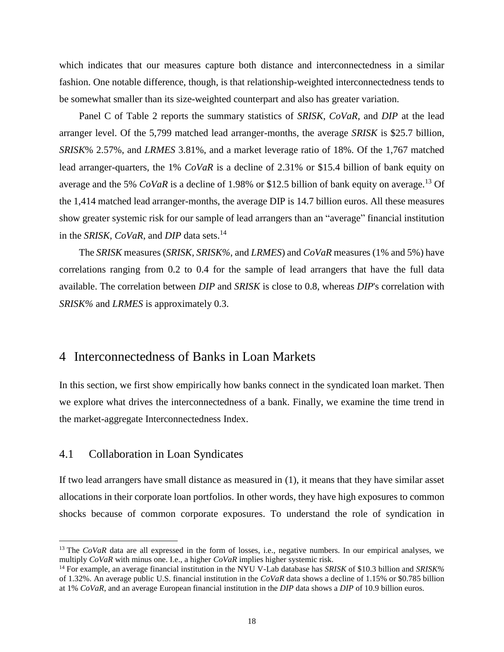which indicates that our measures capture both distance and interconnectedness in a similar fashion. One notable difference, though, is that relationship-weighted interconnectedness tends to be somewhat smaller than its size-weighted counterpart and also has greater variation.

 Panel C of Table 2 reports the summary statistics of *SRISK*, *CoVaR*, and *DIP* at the lead arranger level. Of the 5,799 matched lead arranger-months, the average *SRISK* is \$25.7 billion, *SRISK*% 2.57%, and *LRMES* 3.81%, and a market leverage ratio of 18%. Of the 1,767 matched lead arranger-quarters, the 1% *CoVaR* is a decline of 2.31% or \$15.4 billion of bank equity on average and the 5%  $CoVaR$  is a decline of 1.98% or \$12.5 billion of bank equity on average.<sup>13</sup> Of the 1,414 matched lead arranger-months, the average DIP is 14.7 billion euros. All these measures show greater systemic risk for our sample of lead arrangers than an "average" financial institution in the *SRISK*, *CoVaR*, and *DIP* data sets. 14

 The *SRISK* measures (*SRISK*, *SRISK%*, and *LRMES*) and *CoVaR* measures (1% and 5%) have correlations ranging from 0.2 to 0.4 for the sample of lead arrangers that have the full data available. The correlation between *DIP* and *SRISK* is close to 0.8, whereas *DIP*'s correlation with *SRISK%* and *LRMES* is approximately 0.3.

### 4 Interconnectedness of Banks in Loan Markets

In this section, we first show empirically how banks connect in the syndicated loan market. Then we explore what drives the interconnectedness of a bank. Finally, we examine the time trend in the market-aggregate Interconnectedness Index.

#### 4.1 Collaboration in Loan Syndicates

 $\overline{a}$ 

If two lead arrangers have small distance as measured in [\(1\),](#page-10-0) it means that they have similar asset allocations in their corporate loan portfolios. In other words, they have high exposures to common shocks because of common corporate exposures. To understand the role of syndication in

<sup>&</sup>lt;sup>13</sup> The *CoVaR* data are all expressed in the form of losses, i.e., negative numbers. In our empirical analyses, we multiply *CoVaR* with minus one. I.e., a higher *CoVaR* implies higher systemic risk.

<sup>14</sup> For example, an average financial institution in the NYU V-Lab database has *SRISK* of \$10.3 billion and *SRISK%* of 1.32%. An average public U.S. financial institution in the *CoVaR* data shows a decline of 1.15% or \$0.785 billion at 1% *CoVaR*, and an average European financial institution in the *DIP* data shows a *DIP* of 10.9 billion euros.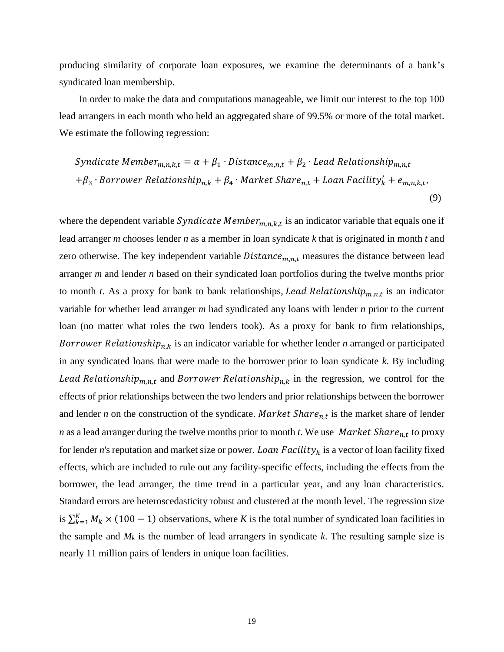producing similarity of corporate loan exposures, we examine the determinants of a bank's syndicated loan membership.

 In order to make the data and computations manageable, we limit our interest to the top 100 lead arrangers in each month who held an aggregated share of 99.5% or more of the total market. We estimate the following regression:

$$
Syndicate Member_{m,n,k,t} = \alpha + \beta_1 \cdot Distance_{m,n,t} + \beta_2 \cdot Lead \, Relationship_{m,n,t}
$$
\n
$$
+\beta_3 \cdot Borrower \, Relationship_{n,k} + \beta_4 \cdot Market \,Share_{n,t} + Loan \,Facility'_k + e_{m,n,k,t},
$$
\n(9)

where the dependent variable *Syndicate Member*<sub>m,n,k,t</sub> is an indicator variable that equals one if lead arranger *m* chooses lender *n* as a member in loan syndicate *k* that is originated in month *t* and zero otherwise. The key independent variable  $Distance_{m,n,t}$  measures the distance between lead arranger *m* and lender *n* based on their syndicated loan portfolios during the twelve months prior to month *t*. As a proxy for bank to bank relationships, *Lead Relationship*<sub>m,n,t</sub> is an indicator variable for whether lead arranger *m* had syndicated any loans with lender *n* prior to the current loan (no matter what roles the two lenders took). As a proxy for bank to firm relationships, *Borrower Relationship* $_{n,k}$  is an indicator variable for whether lender *n* arranged or participated in any syndicated loans that were made to the borrower prior to loan syndicate *k*. By including *Lead Relationship*<sub>m,n,t</sub> and *Borrower Relationship*<sub>n,k</sub> in the regression, we control for the effects of prior relationships between the two lenders and prior relationships between the borrower and lender  $n$  on the construction of the syndicate.  $Market\,Share_{n,t}$  is the market share of lender *n* as a lead arranger during the twelve months prior to month *t*. We use Market Share<sub>n,t</sub> to proxy for lender  $n$ 's reputation and market size or power. Loan Facility<sub>k</sub> is a vector of loan facility fixed effects, which are included to rule out any facility-specific effects, including the effects from the borrower, the lead arranger, the time trend in a particular year, and any loan characteristics. Standard errors are heteroscedasticity robust and clustered at the month level. The regression size is  $\sum_{k=1}^{K} M_k \times (100 - 1)$  observations, where *K* is the total number of syndicated loan facilities in the sample and  $M_k$  is the number of lead arrangers in syndicate  $k$ . The resulting sample size is nearly 11 million pairs of lenders in unique loan facilities.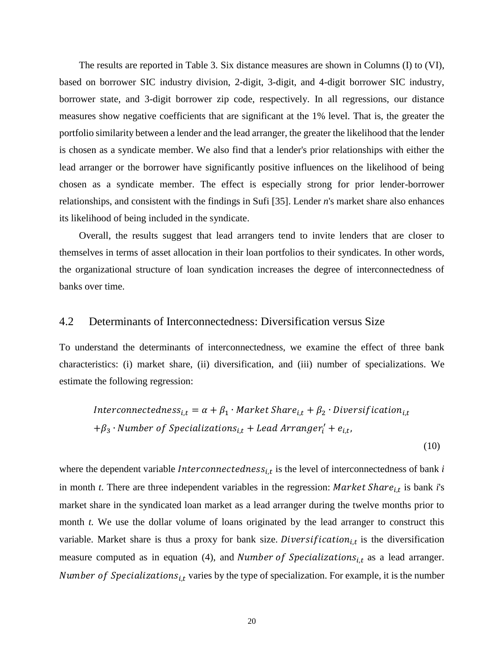The results are reported in Table 3. Six distance measures are shown in Columns (I) to (VI), based on borrower SIC industry division, 2-digit, 3-digit, and 4-digit borrower SIC industry, borrower state, and 3-digit borrower zip code, respectively. In all regressions, our distance measures show negative coefficients that are significant at the 1% level. That is, the greater the portfolio similarity between a lender and the lead arranger, the greater the likelihood that the lender is chosen as a syndicate member. We also find that a lender's prior relationships with either the lead arranger or the borrower have significantly positive influences on the likelihood of being chosen as a syndicate member. The effect is especially strong for prior lender-borrower relationships, and consistent with the findings in Sufi [\[35\].](#page-34-0) Lender *n*'s market share also enhances its likelihood of being included in the syndicate.

 Overall, the results suggest that lead arrangers tend to invite lenders that are closer to themselves in terms of asset allocation in their loan portfolios to their syndicates. In other words, the organizational structure of loan syndication increases the degree of interconnectedness of banks over time.

#### 4.2 Determinants of Interconnectedness: Diversification versus Size

To understand the determinants of interconnectedness, we examine the effect of three bank characteristics: (i) market share, (ii) diversification, and (iii) number of specializations. We estimate the following regression:

Interconnectedness<sub>i,t</sub> = 
$$
\alpha + \beta_1 \cdot \text{Market Share}_{i,t} + \beta_2 \cdot \text{Diversification}_{i,t}
$$
  
+ $\beta_3 \cdot \text{Number of Specializations}_{i,t} + \text{lead Arranger}'_i + e_{i,t}$ , (10)

<span id="page-21-0"></span>where the dependent variable *Interconnectedness<sub>i,t</sub>* is the level of interconnectedness of bank  $i$ in month *t*. There are three independent variables in the regression:  $Market\,Share_{i,t}$  is bank *i*'s market share in the syndicated loan market as a lead arranger during the twelve months prior to month *t*. We use the dollar volume of loans originated by the lead arranger to construct this variable. Market share is thus a proxy for bank size. *Diversification*<sub>i,t</sub> is the diversification measure computed as in equation [\(4\),](#page-12-0) and *Number of Specializations*<sub>it</sub> as a lead arranger. Number of Specializations $s_{i,t}$  varies by the type of specialization. For example, it is the number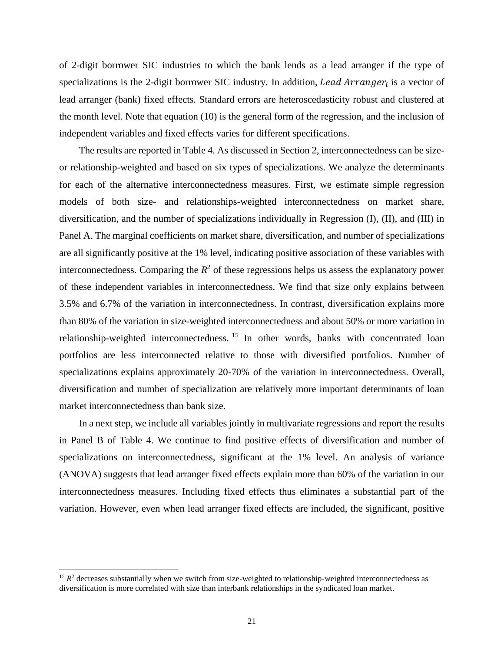of 2-digit borrower SIC industries to which the bank lends as a lead arranger if the type of specializations is the 2-digit borrower SIC industry. In addition, Lead Arranger<sub>i</sub> is a vector of lead arranger (bank) fixed effects. Standard errors are heteroscedasticity robust and clustered at the month level. Note that equation [\(10\)](#page-21-0) is the general form of the regression, and the inclusion of independent variables and fixed effects varies for different specifications.

 The results are reported in Table 4. As discussed in Section 2, interconnectedness can be sizeor relationship-weighted and based on six types of specializations. We analyze the determinants for each of the alternative interconnectedness measures. First, we estimate simple regression models of both size- and relationships-weighted interconnectedness on market share, diversification, and the number of specializations individually in Regression (I), (II), and (III) in Panel A. The marginal coefficients on market share, diversification, and number of specializations are all significantly positive at the 1% level, indicating positive association of these variables with interconnectedness. Comparing the  $R^2$  of these regressions helps us assess the explanatory power of these independent variables in interconnectedness. We find that size only explains between 3.5% and 6.7% of the variation in interconnectedness. In contrast, diversification explains more than 80% of the variation in size-weighted interconnectedness and about 50% or more variation in relationship-weighted interconnectedness.<sup>15</sup> In other words, banks with concentrated loan portfolios are less interconnected relative to those with diversified portfolios. Number of specializations explains approximately 20-70% of the variation in interconnectedness. Overall, diversification and number of specialization are relatively more important determinants of loan market interconnectedness than bank size.

 In a next step, we include all variables jointly in multivariate regressions and report the results in Panel B of Table 4. We continue to find positive effects of diversification and number of specializations on interconnectedness, significant at the 1% level. An analysis of variance (ANOVA) suggests that lead arranger fixed effects explain more than 60% of the variation in our interconnectedness measures. Including fixed effects thus eliminates a substantial part of the variation. However, even when lead arranger fixed effects are included, the significant, positive

 $\overline{\phantom{a}}$ 

<sup>&</sup>lt;sup>15</sup>  $R<sup>2</sup>$  decreases substantially when we switch from size-weighted to relationship-weighted interconnectedness as diversification is more correlated with size than interbank relationships in the syndicated loan market.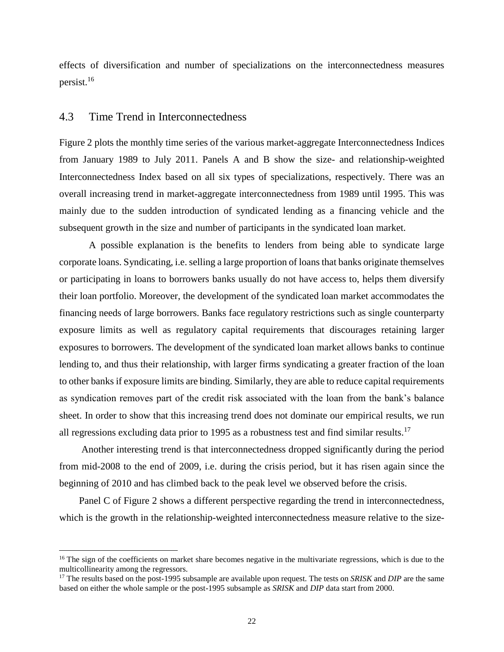effects of diversification and number of specializations on the interconnectedness measures persist.<sup>16</sup>

#### 4.3 Time Trend in Interconnectedness

 $\overline{\phantom{a}}$ 

Figure 2 plots the monthly time series of the various market-aggregate Interconnectedness Indices from January 1989 to July 2011. Panels A and B show the size- and relationship-weighted Interconnectedness Index based on all six types of specializations, respectively. There was an overall increasing trend in market-aggregate interconnectedness from 1989 until 1995. This was mainly due to the sudden introduction of syndicated lending as a financing vehicle and the subsequent growth in the size and number of participants in the syndicated loan market.

A possible explanation is the benefits to lenders from being able to syndicate large corporate loans. Syndicating, i.e. selling a large proportion of loans that banks originate themselves or participating in loans to borrowers banks usually do not have access to, helps them diversify their loan portfolio. Moreover, the development of the syndicated loan market accommodates the financing needs of large borrowers. Banks face regulatory restrictions such as single counterparty exposure limits as well as regulatory capital requirements that discourages retaining larger exposures to borrowers. The development of the syndicated loan market allows banks to continue lending to, and thus their relationship, with larger firms syndicating a greater fraction of the loan to other banks if exposure limits are binding. Similarly, they are able to reduce capital requirements as syndication removes part of the credit risk associated with the loan from the bank's balance sheet. In order to show that this increasing trend does not dominate our empirical results, we run all regressions excluding data prior to 1995 as a robustness test and find similar results.<sup>17</sup>

 Another interesting trend is that interconnectedness dropped significantly during the period from mid-2008 to the end of 2009, i.e. during the crisis period, but it has risen again since the beginning of 2010 and has climbed back to the peak level we observed before the crisis.

Panel C of Figure 2 shows a different perspective regarding the trend in interconnectedness, which is the growth in the relationship-weighted interconnectedness measure relative to the size-

<sup>&</sup>lt;sup>16</sup> The sign of the coefficients on market share becomes negative in the multivariate regressions, which is due to the multicollinearity among the regressors.

<sup>17</sup> The results based on the post-1995 subsample are available upon request. The tests on *SRISK* and *DIP* are the same based on either the whole sample or the post-1995 subsample as *SRISK* and *DIP* data start from 2000.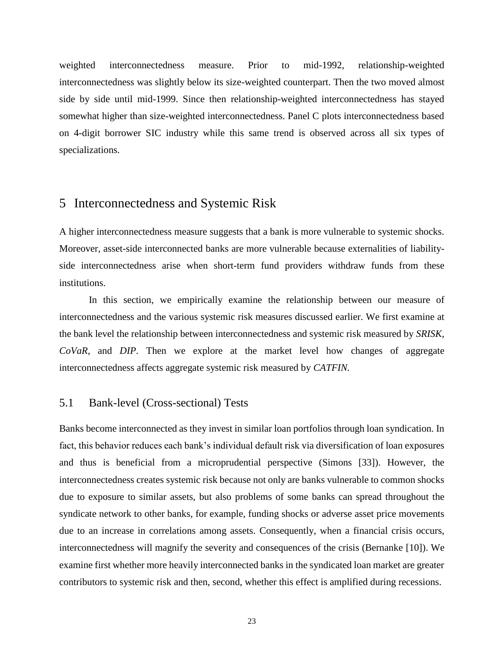weighted interconnectedness measure. Prior to mid-1992, relationship-weighted interconnectedness was slightly below its size-weighted counterpart. Then the two moved almost side by side until mid-1999. Since then relationship-weighted interconnectedness has stayed somewhat higher than size-weighted interconnectedness. Panel C plots interconnectedness based on 4-digit borrower SIC industry while this same trend is observed across all six types of specializations.

## 5 Interconnectedness and Systemic Risk

A higher interconnectedness measure suggests that a bank is more vulnerable to systemic shocks. Moreover, asset-side interconnected banks are more vulnerable because externalities of liabilityside interconnectedness arise when short-term fund providers withdraw funds from these institutions.

In this section, we empirically examine the relationship between our measure of interconnectedness and the various systemic risk measures discussed earlier. We first examine at the bank level the relationship between interconnectedness and systemic risk measured by *SRISK*, *CoVaR*, and *DIP*. Then we explore at the market level how changes of aggregate interconnectedness affects aggregate systemic risk measured by *CATFIN.*

### 5.1 Bank-level (Cross-sectional) Tests

Banks become interconnected as they invest in similar loan portfolios through loan syndication. In fact, this behavior reduces each bank's individual default risk via diversification of loan exposures and thus is beneficial from a microprudential perspective (Simons [\[33\]\)](#page-34-3). However, the interconnectedness creates systemic risk because not only are banks vulnerable to common shocks due to exposure to similar assets, but also problems of some banks can spread throughout the syndicate network to other banks, for example, funding shocks or adverse asset price movements due to an increase in correlations among assets. Consequently, when a financial crisis occurs, interconnectedness will magnify the severity and consequences of the crisis (Bernanke [\[10\]\)](#page-32-1). We examine first whether more heavily interconnected banks in the syndicated loan market are greater contributors to systemic risk and then, second, whether this effect is amplified during recessions.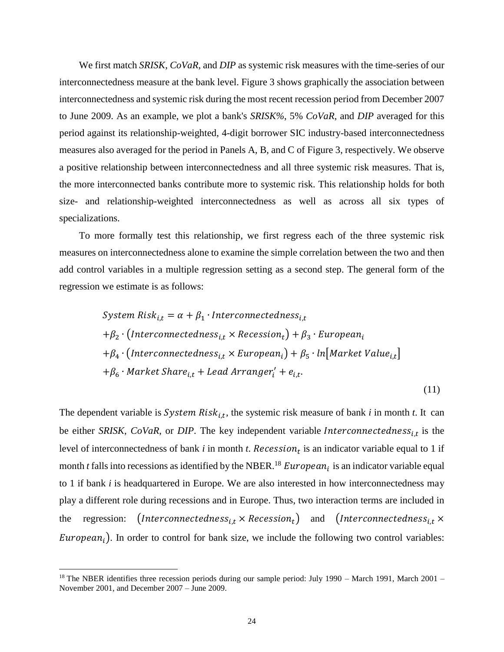We first match *SRISK*, *CoVaR*, and *DIP* as systemic risk measures with the time-series of our interconnectedness measure at the bank level. Figure 3 shows graphically the association between interconnectedness and systemic risk during the most recent recession period from December 2007 to June 2009. As an example, we plot a bank's *SRISK%*, 5% *CoVaR*, and *DIP* averaged for this period against its relationship-weighted, 4-digit borrower SIC industry-based interconnectedness measures also averaged for the period in Panels A, B, and C of Figure 3, respectively. We observe a positive relationship between interconnectedness and all three systemic risk measures. That is, the more interconnected banks contribute more to systemic risk. This relationship holds for both size- and relationship-weighted interconnectedness as well as across all six types of specializations.

 To more formally test this relationship, we first regress each of the three systemic risk measures on interconnectedness alone to examine the simple correlation between the two and then add control variables in a multiple regression setting as a second step. The general form of the regression we estimate is as follows:

$$
System Risk_{i,t} = \alpha + \beta_1 \cdot Interconnectedness_{i,t}
$$
\n
$$
+\beta_2 \cdot (Interconnectedness_{i,t} \times Recession_t) + \beta_3 \cdot European_i
$$
\n
$$
+\beta_4 \cdot (Interconnectedness_{i,t} \times European_i) + \beta_5 \cdot ln[Market Value_{i,t}]
$$
\n
$$
+\beta_6 \cdot Market\,Share_{i,t} + Lead\,Arrayer'_i + e_{i,t}.
$$

(11)

<span id="page-25-0"></span>The dependent variable is  $System Risk_{i,t}$ , the systemic risk measure of bank *i* in month *t*. It can be either *SRISK*, *CoVaR*, or *DIP*. The key independent variable *Interconnectedness*<sub>*i,t*</sub> is the level of interconnectedness of bank  $i$  in month  $t$ . Recession<sub>t</sub> is an indicator variable equal to 1 if month *t* falls into recessions as identified by the NBER.<sup>18</sup>  $European<sub>i</sub>$  is an indicator variable equal to 1 if bank *i* is headquartered in Europe. We are also interested in how interconnectedness may play a different role during recessions and in Europe. Thus, two interaction terms are included in the regression:  $(Interconnectedness_{i,t} \times Recession_t)$  and  $(Interconnectedness_{i,t} \times$ European<sub>i</sub>). In order to control for bank size, we include the following two control variables:

 $\overline{\phantom{a}}$ 

<sup>&</sup>lt;sup>18</sup> The NBER identifies three recession periods during our sample period: July 1990 – March 1991, March 2001 – November 2001, and December 2007 – June 2009.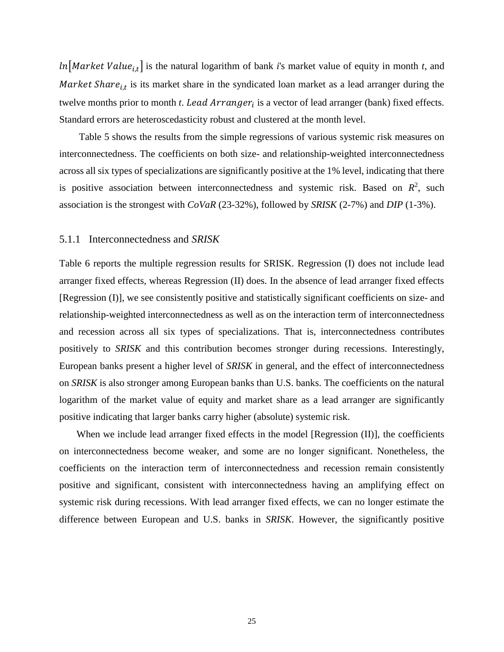$ln[Marker Value_{i,t}]$  is the natural logarithm of bank *i*'s market value of equity in month *t*, and Market Share<sub>i,t</sub> is its market share in the syndicated loan market as a lead arranger during the twelve months prior to month *t. Lead Arranger*<sub>i</sub> is a vector of lead arranger (bank) fixed effects. Standard errors are heteroscedasticity robust and clustered at the month level.

 Table 5 shows the results from the simple regressions of various systemic risk measures on interconnectedness. The coefficients on both size- and relationship-weighted interconnectedness across all six types of specializations are significantly positive at the 1% level, indicating that there is positive association between interconnectedness and systemic risk. Based on  $R^2$ , such association is the strongest with *CoVaR* (23-32%), followed by *SRISK* (2-7%) and *DIP* (1-3%).

#### 5.1.1 Interconnectedness and *SRISK*

Table 6 reports the multiple regression results for SRISK. Regression (I) does not include lead arranger fixed effects, whereas Regression (II) does. In the absence of lead arranger fixed effects [Regression (I)], we see consistently positive and statistically significant coefficients on size- and relationship-weighted interconnectedness as well as on the interaction term of interconnectedness and recession across all six types of specializations. That is, interconnectedness contributes positively to *SRISK* and this contribution becomes stronger during recessions. Interestingly, European banks present a higher level of *SRISK* in general, and the effect of interconnectedness on *SRISK* is also stronger among European banks than U.S. banks. The coefficients on the natural logarithm of the market value of equity and market share as a lead arranger are significantly positive indicating that larger banks carry higher (absolute) systemic risk.

When we include lead arranger fixed effects in the model [Regression (II)], the coefficients on interconnectedness become weaker, and some are no longer significant. Nonetheless, the coefficients on the interaction term of interconnectedness and recession remain consistently positive and significant, consistent with interconnectedness having an amplifying effect on systemic risk during recessions. With lead arranger fixed effects, we can no longer estimate the difference between European and U.S. banks in *SRISK*. However, the significantly positive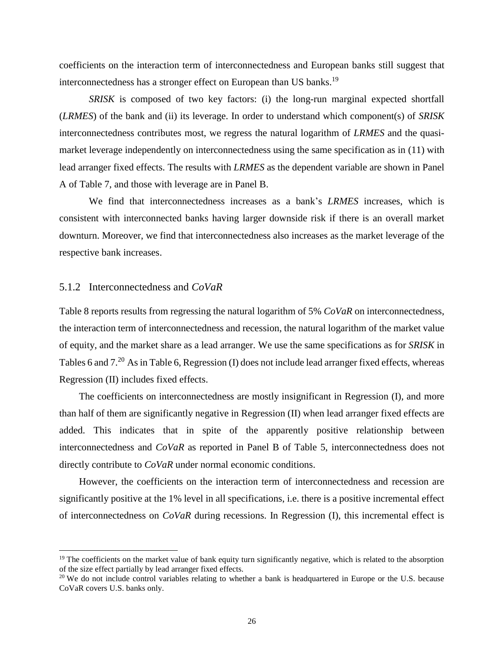coefficients on the interaction term of interconnectedness and European banks still suggest that interconnectedness has a stronger effect on European than US banks.<sup>19</sup>

*SRISK* is composed of two key factors: (i) the long-run marginal expected shortfall (*LRMES*) of the bank and (ii) its leverage. In order to understand which component(s) of *SRISK* interconnectedness contributes most, we regress the natural logarithm of *LRMES* and the quasimarket leverage independently on interconnectedness using the same specification as in [\(11\)](#page-25-0) with lead arranger fixed effects. The results with *LRMES* as the dependent variable are shown in Panel A of Table 7, and those with leverage are in Panel B.

We find that interconnectedness increases as a bank's *LRMES* increases, which is consistent with interconnected banks having larger downside risk if there is an overall market downturn. Moreover, we find that interconnectedness also increases as the market leverage of the respective bank increases.

#### 5.1.2 Interconnectedness and *CoVaR*

 $\overline{\phantom{a}}$ 

Table 8 reports results from regressing the natural logarithm of 5% *CoVaR* on interconnectedness, the interaction term of interconnectedness and recession, the natural logarithm of the market value of equity, and the market share as a lead arranger. We use the same specifications as for *SRISK* in Tables 6 and 7.<sup>20</sup> As in Table 6, Regression (I) does not include lead arranger fixed effects, whereas Regression (II) includes fixed effects.

 The coefficients on interconnectedness are mostly insignificant in Regression (I), and more than half of them are significantly negative in Regression (II) when lead arranger fixed effects are added. This indicates that in spite of the apparently positive relationship between interconnectedness and *CoVaR* as reported in Panel B of Table 5, interconnectedness does not directly contribute to *CoVaR* under normal economic conditions.

 However, the coefficients on the interaction term of interconnectedness and recession are significantly positive at the 1% level in all specifications, i.e. there is a positive incremental effect of interconnectedness on *CoVaR* during recessions. In Regression (I), this incremental effect is

<sup>&</sup>lt;sup>19</sup> The coefficients on the market value of bank equity turn significantly negative, which is related to the absorption of the size effect partially by lead arranger fixed effects.

<sup>&</sup>lt;sup>20</sup> We do not include control variables relating to whether a bank is headquartered in Europe or the U.S. because CoVaR covers U.S. banks only.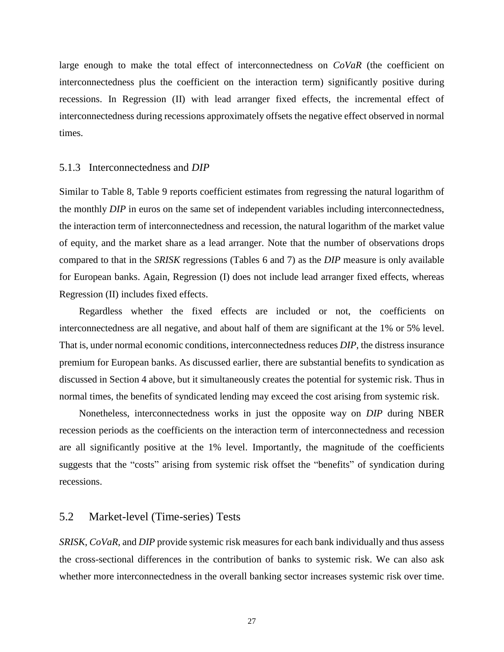large enough to make the total effect of interconnectedness on *CoVaR* (the coefficient on interconnectedness plus the coefficient on the interaction term) significantly positive during recessions. In Regression (II) with lead arranger fixed effects, the incremental effect of interconnectedness during recessions approximately offsets the negative effect observed in normal times.

#### 5.1.3 Interconnectedness and *DIP*

Similar to Table 8, Table 9 reports coefficient estimates from regressing the natural logarithm of the monthly *DIP* in euros on the same set of independent variables including interconnectedness, the interaction term of interconnectedness and recession, the natural logarithm of the market value of equity, and the market share as a lead arranger. Note that the number of observations drops compared to that in the *SRISK* regressions (Tables 6 and 7) as the *DIP* measure is only available for European banks. Again, Regression (I) does not include lead arranger fixed effects, whereas Regression (II) includes fixed effects.

 Regardless whether the fixed effects are included or not, the coefficients on interconnectedness are all negative, and about half of them are significant at the 1% or 5% level. That is, under normal economic conditions, interconnectedness reduces *DIP*, the distress insurance premium for European banks. As discussed earlier, there are substantial benefits to syndication as discussed in Section 4 above, but it simultaneously creates the potential for systemic risk. Thus in normal times, the benefits of syndicated lending may exceed the cost arising from systemic risk.

 Nonetheless, interconnectedness works in just the opposite way on *DIP* during NBER recession periods as the coefficients on the interaction term of interconnectedness and recession are all significantly positive at the 1% level. Importantly, the magnitude of the coefficients suggests that the "costs" arising from systemic risk offset the "benefits" of syndication during recessions.

#### 5.2 Market-level (Time-series) Tests

*SRISK*, *CoVaR*, and *DIP* provide systemic risk measures for each bank individually and thus assess the cross-sectional differences in the contribution of banks to systemic risk. We can also ask whether more interconnectedness in the overall banking sector increases systemic risk over time.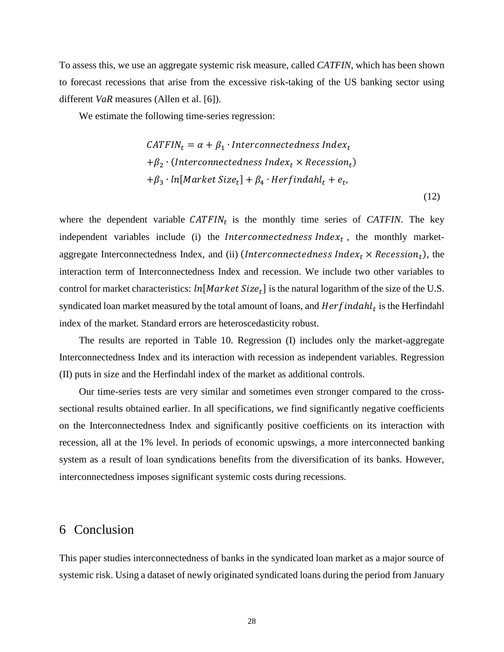To assess this, we use an aggregate systemic risk measure, called *CATFIN*, which has been shown to forecast recessions that arise from the excessive risk-taking of the US banking sector using different *VaR* measures (Allen et al. [\[6\]\)](#page-31-4).

We estimate the following time-series regression:

$$
CATFINt = \alpha + \beta_1 \cdot Interconnectedness Indext
$$
  
+ $\beta_2 \cdot (Interconnectedness Index_t \times Recession_t)$   
+ $\beta_3 \cdot ln[Market Size_t] + \beta_4 \cdot Herfindahl_t + e_t,$  (12)

where the dependent variable  $CATFIN_t$  is the monthly time series of  $CATFIN$ . The key independent variables include (i) the *Interconnectedness Index<sub>t</sub>*, the monthly marketaggregate Interconnectedness Index, and (ii) (*Interconnectedness Index<sub>t</sub>*  $\times$  *Recession<sub>t</sub>*), the interaction term of Interconnectedness Index and recession. We include two other variables to control for market characteristics:  $ln[Marker Size_t]$  is the natural logarithm of the size of the U.S. syndicated loan market measured by the total amount of loans, and  $Herfindahl_t$  is the Herfindahl index of the market. Standard errors are heteroscedasticity robust.

 The results are reported in Table 10. Regression (I) includes only the market-aggregate Interconnectedness Index and its interaction with recession as independent variables. Regression (II) puts in size and the Herfindahl index of the market as additional controls.

 Our time-series tests are very similar and sometimes even stronger compared to the crosssectional results obtained earlier. In all specifications, we find significantly negative coefficients on the Interconnectedness Index and significantly positive coefficients on its interaction with recession, all at the 1% level. In periods of economic upswings, a more interconnected banking system as a result of loan syndications benefits from the diversification of its banks. However, interconnectedness imposes significant systemic costs during recessions.

## 6 Conclusion

This paper studies interconnectedness of banks in the syndicated loan market as a major source of systemic risk. Using a dataset of newly originated syndicated loans during the period from January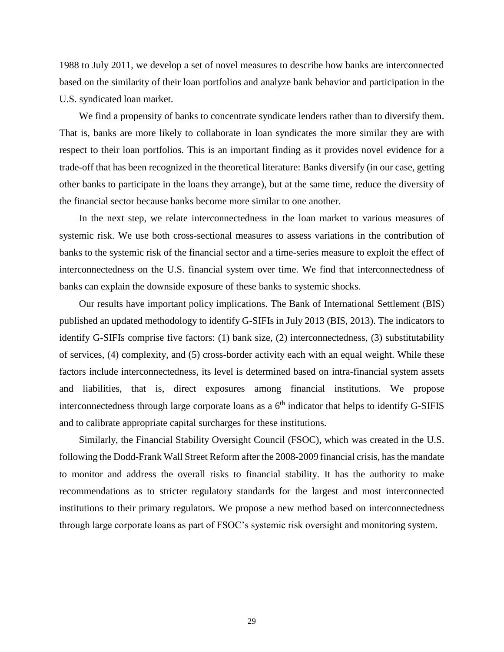1988 to July 2011, we develop a set of novel measures to describe how banks are interconnected based on the similarity of their loan portfolios and analyze bank behavior and participation in the U.S. syndicated loan market.

We find a propensity of banks to concentrate syndicate lenders rather than to diversify them. That is, banks are more likely to collaborate in loan syndicates the more similar they are with respect to their loan portfolios. This is an important finding as it provides novel evidence for a trade-off that has been recognized in the theoretical literature: Banks diversify (in our case, getting other banks to participate in the loans they arrange), but at the same time, reduce the diversity of the financial sector because banks become more similar to one another.

 In the next step, we relate interconnectedness in the loan market to various measures of systemic risk. We use both cross-sectional measures to assess variations in the contribution of banks to the systemic risk of the financial sector and a time-series measure to exploit the effect of interconnectedness on the U.S. financial system over time. We find that interconnectedness of banks can explain the downside exposure of these banks to systemic shocks.

 Our results have important policy implications. The Bank of International Settlement (BIS) published an updated methodology to identify G-SIFIs in July 2013 (BIS, 2013). The indicators to identify G-SIFIs comprise five factors: (1) bank size, (2) interconnectedness, (3) substitutability of services, (4) complexity, and (5) cross-border activity each with an equal weight. While these factors include interconnectedness, its level is determined based on intra-financial system assets and liabilities, that is, direct exposures among financial institutions. We propose interconnectedness through large corporate loans as a  $6<sup>th</sup>$  indicator that helps to identify G-SIFIS and to calibrate appropriate capital surcharges for these institutions.

 Similarly, the Financial Stability Oversight Council (FSOC), which was created in the U.S. following the Dodd-Frank Wall Street Reform after the 2008-2009 financial crisis, has the mandate to monitor and address the overall risks to financial stability. It has the authority to make recommendations as to stricter regulatory standards for the largest and most interconnected institutions to their primary regulators. We propose a new method based on interconnectedness through large corporate loans as part of FSOC's systemic risk oversight and monitoring system.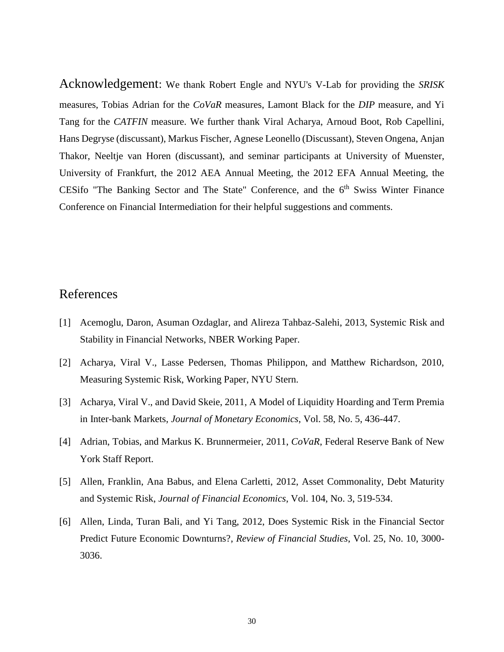Acknowledgement: We thank Robert Engle and NYU's V-Lab for providing the *SRISK* measures, Tobias Adrian for the *CoVaR* measures, Lamont Black for the *DIP* measure, and Yi Tang for the *CATFIN* measure. We further thank Viral Acharya, Arnoud Boot, Rob Capellini, Hans Degryse (discussant), Markus Fischer, Agnese Leonello (Discussant), Steven Ongena, Anjan Thakor, Neeltje van Horen (discussant), and seminar participants at University of Muenster, University of Frankfurt, the 2012 AEA Annual Meeting, the 2012 EFA Annual Meeting, the CESifo "The Banking Sector and The State" Conference, and the  $6<sup>th</sup>$  Swiss Winter Finance Conference on Financial Intermediation for their helpful suggestions and comments.

## References

- <span id="page-31-5"></span>[1] Acemoglu, Daron, Asuman Ozdaglar, and Alireza Tahbaz-Salehi, 2013, Systemic Risk and Stability in Financial Networks, NBER Working Paper.
- <span id="page-31-2"></span>[2] Acharya, Viral V., Lasse Pedersen, Thomas Philippon, and Matthew Richardson, 2010, Measuring Systemic Risk, Working Paper, NYU Stern.
- <span id="page-31-1"></span>[3] Acharya, Viral V., and David Skeie, 2011, A Model of Liquidity Hoarding and Term Premia in Inter-bank Markets, *Journal of Monetary Economics*, Vol. 58, No. 5, 436-447.
- <span id="page-31-3"></span>[4] Adrian, Tobias, and Markus K. Brunnermeier, 2011, *CoVaR*, Federal Reserve Bank of New York Staff Report.
- <span id="page-31-0"></span>[5] Allen, Franklin, Ana Babus, and Elena Carletti, 2012, Asset Commonality, Debt Maturity and Systemic Risk, *Journal of Financial Economics*, Vol. 104, No. 3, 519-534.
- <span id="page-31-4"></span>[6] Allen, Linda, Turan Bali, and Yi Tang, 2012, Does Systemic Risk in the Financial Sector Predict Future Economic Downturns?, *Review of Financial Studies*, Vol. 25, No. 10, 3000- 3036.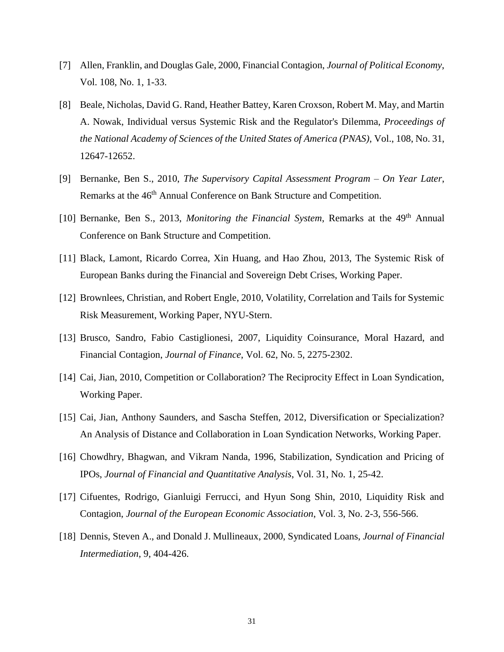- <span id="page-32-6"></span>[7] Allen, Franklin, and Douglas Gale, 2000, Financial Contagion, *Journal of Political Economy*, Vol. 108, No. 1, 1-33.
- <span id="page-32-5"></span>[8] Beale, Nicholas, David G. Rand, Heather Battey, Karen Croxson, Robert M. May, and Martin A. Nowak, Individual versus Systemic Risk and the Regulator's Dilemma, *Proceedings of the National Academy of Sciences of the United States of America (PNAS)*, Vol., 108, No. 31, 12647-12652.
- <span id="page-32-0"></span>[9] Bernanke, Ben S., 2010, *The Supervisory Capital Assessment Program – On Year Later*, Remarks at the 46<sup>th</sup> Annual Conference on Bank Structure and Competition.
- <span id="page-32-1"></span>[10] Bernanke, Ben S., 2013, *Monitoring the Financial System*, Remarks at the 49<sup>th</sup> Annual Conference on Bank Structure and Competition.
- <span id="page-32-3"></span>[11] Black, Lamont, Ricardo Correa, Xin Huang, and Hao Zhou, 2013, The Systemic Risk of European Banks during the Financial and Sovereign Debt Crises, Working Paper.
- <span id="page-32-2"></span>[12] Brownlees, Christian, and Robert Engle, 2010, Volatility, Correlation and Tails for Systemic Risk Measurement, Working Paper, NYU-Stern.
- <span id="page-32-7"></span>[13] Brusco, Sandro, Fabio Castiglionesi, 2007, Liquidity Coinsurance, Moral Hazard, and Financial Contagion, *Journal of Finance*, Vol. 62, No. 5, 2275-2302.
- <span id="page-32-10"></span>[14] Cai, Jian, 2010, Competition or Collaboration? The Reciprocity Effect in Loan Syndication, Working Paper.
- [15] Cai, Jian, Anthony Saunders, and Sascha Steffen, 2012, Diversification or Specialization? An Analysis of Distance and Collaboration in Loan Syndication Networks, Working Paper.
- <span id="page-32-8"></span>[16] Chowdhry, Bhagwan, and Vikram Nanda, 1996, Stabilization, Syndication and Pricing of IPOs, *Journal of Financial and Quantitative Analysis*, Vol. 31, No. 1, 25-42.
- <span id="page-32-4"></span>[17] Cifuentes, Rodrigo, Gianluigi Ferrucci, and Hyun Song Shin, 2010, Liquidity Risk and Contagion, *Journal of the European Economic Association*, Vol. 3, No. 2-3, 556-566.
- <span id="page-32-9"></span>[18] Dennis, Steven A., and Donald J. Mullineaux, 2000, Syndicated Loans, *Journal of Financial Intermediation*, 9, 404-426.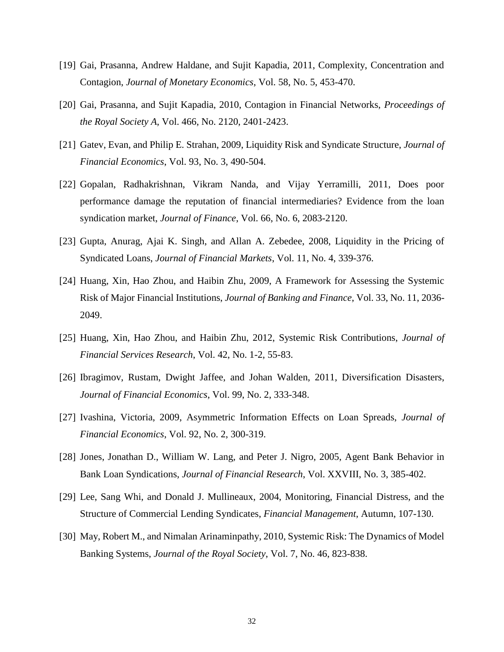- <span id="page-33-0"></span>[19] Gai, Prasanna, Andrew Haldane, and Sujit Kapadia, 2011, Complexity, Concentration and Contagion, *Journal of Monetary Economics*, Vol. 58, No. 5, 453-470.
- <span id="page-33-1"></span>[20] Gai, Prasanna, and Sujit Kapadia, 2010, Contagion in Financial Networks, *Proceedings of the Royal Society A*, Vol. 466, No. 2120, 2401-2423.
- <span id="page-33-9"></span>[21] Gatev, Evan, and Philip E. Strahan, 2009, Liquidity Risk and Syndicate Structure, *Journal of Financial Economics*, Vol. 93, No. 3, 490-504.
- <span id="page-33-8"></span>[22] Gopalan, Radhakrishnan, Vikram Nanda, and Vijay Yerramilli, 2011, Does poor performance damage the reputation of financial intermediaries? Evidence from the loan syndication market, *Journal of Finance*, Vol. 66, No. 6, 2083-2120.
- <span id="page-33-10"></span>[23] Gupta, Anurag, Ajai K. Singh, and Allan A. Zebedee, 2008, Liquidity in the Pricing of Syndicated Loans, *Journal of Financial Markets*, Vol. 11, No. 4, 339-376.
- <span id="page-33-3"></span>[24] Huang, Xin, Hao Zhou, and Haibin Zhu, 2009, A Framework for Assessing the Systemic Risk of Major Financial Institutions, *Journal of Banking and Finance*, Vol. 33, No. 11, 2036- 2049.
- <span id="page-33-4"></span>[25] Huang, Xin, Hao Zhou, and Haibin Zhu, 2012, Systemic Risk Contributions, *Journal of Financial Services Research*, Vol. 42, No. 1-2, 55-83.
- <span id="page-33-5"></span>[26] Ibragimov, Rustam, Dwight Jaffee, and Johan Walden, 2011, Diversification Disasters, *Journal of Financial Economics*, Vol. 99, No. 2, 333-348.
- <span id="page-33-11"></span>[27] Ivashina, Victoria, 2009, Asymmetric Information Effects on Loan Spreads, *Journal of Financial Economics*, Vol. 92, No. 2, 300-319.
- <span id="page-33-6"></span>[28] Jones, Jonathan D., William W. Lang, and Peter J. Nigro, 2005, Agent Bank Behavior in Bank Loan Syndications, *Journal of Financial Research*, Vol. XXVIII, No. 3, 385-402.
- <span id="page-33-7"></span>[29] Lee, Sang Whi, and Donald J. Mullineaux, 2004, Monitoring, Financial Distress, and the Structure of Commercial Lending Syndicates, *Financial Management*, Autumn, 107-130.
- <span id="page-33-2"></span>[30] May, Robert M., and Nimalan Arinaminpathy, 2010, Systemic Risk: The Dynamics of Model Banking Systems, *Journal of the Royal Society*, Vol. 7, No. 46, 823-838.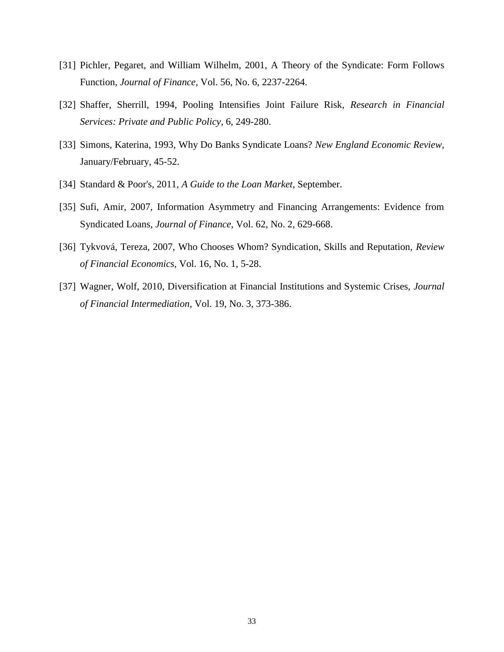- <span id="page-34-4"></span>[31] Pichler, Pegaret, and William Wilhelm, 2001, A Theory of the Syndicate: Form Follows Function, *Journal of Finance*, Vol. 56, No. 6, 2237-2264.
- <span id="page-34-1"></span>[32] Shaffer, Sherrill, 1994, Pooling Intensifies Joint Failure Risk, *Research in Financial Services: Private and Public Policy*, 6, 249-280.
- <span id="page-34-3"></span>[33] Simons, Katerina, 1993, Why Do Banks Syndicate Loans? *New England Economic Review*, January/February, 45-52.
- <span id="page-34-6"></span>[34] Standard & Poor's, 2011, *A Guide to the Loan Market*, September.
- <span id="page-34-0"></span>[35] Sufi, Amir, 2007, Information Asymmetry and Financing Arrangements: Evidence from Syndicated Loans, *Journal of Finance*, Vol. 62, No. 2, 629-668.
- <span id="page-34-5"></span>[36] Tykvová, Tereza, 2007, Who Chooses Whom? Syndication, Skills and Reputation, *Review of Financial Economics*, Vol. 16, No. 1, 5-28.
- <span id="page-34-2"></span>[37] Wagner, Wolf, 2010, Diversification at Financial Institutions and Systemic Crises, *Journal of Financial Intermediation*, Vol. 19, No. 3, 373-386.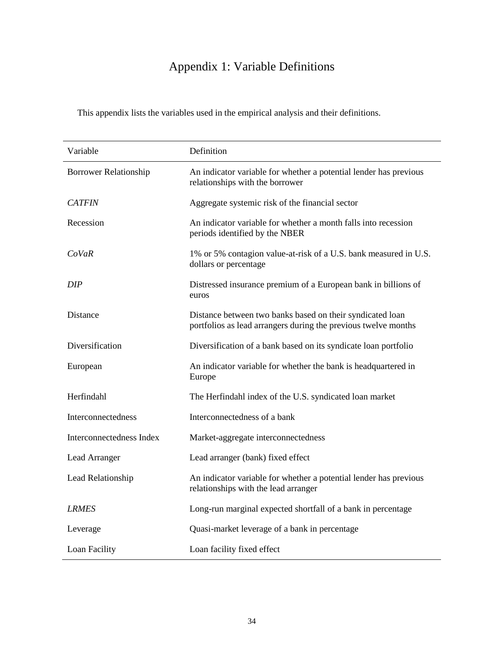# Appendix 1: Variable Definitions

This appendix lists the variables used in the empirical analysis and their definitions.

| Variable                     | Definition                                                                                                                  |
|------------------------------|-----------------------------------------------------------------------------------------------------------------------------|
| <b>Borrower Relationship</b> | An indicator variable for whether a potential lender has previous<br>relationships with the borrower                        |
| <b>CATFIN</b>                | Aggregate systemic risk of the financial sector                                                                             |
| Recession                    | An indicator variable for whether a month falls into recession<br>periods identified by the NBER                            |
| CoVaR                        | 1% or 5% contagion value-at-risk of a U.S. bank measured in U.S.<br>dollars or percentage                                   |
| DIP                          | Distressed insurance premium of a European bank in billions of<br>euros                                                     |
| Distance                     | Distance between two banks based on their syndicated loan<br>portfolios as lead arrangers during the previous twelve months |
| Diversification              | Diversification of a bank based on its syndicate loan portfolio                                                             |
| European                     | An indicator variable for whether the bank is headquartered in<br>Europe                                                    |
| Herfindahl                   | The Herfindahl index of the U.S. syndicated loan market                                                                     |
| Interconnectedness           | Interconnectedness of a bank                                                                                                |
| Interconnectedness Index     | Market-aggregate interconnectedness                                                                                         |
| Lead Arranger                | Lead arranger (bank) fixed effect                                                                                           |
| Lead Relationship            | An indicator variable for whether a potential lender has previous<br>relationships with the lead arranger                   |
| <b>LRMES</b>                 | Long-run marginal expected shortfall of a bank in percentage                                                                |
| Leverage                     | Quasi-market leverage of a bank in percentage                                                                               |
| Loan Facility                | Loan facility fixed effect                                                                                                  |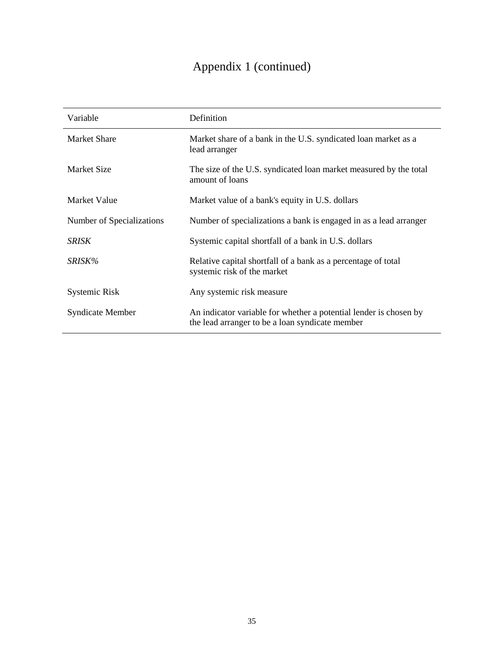# Appendix 1 (continued)

| Variable                  | Definition                                                                                                           |
|---------------------------|----------------------------------------------------------------------------------------------------------------------|
| <b>Market Share</b>       | Market share of a bank in the U.S. syndicated loan market as a<br>lead arranger                                      |
| <b>Market Size</b>        | The size of the U.S. syndicated loan market measured by the total<br>amount of loans                                 |
| Market Value              | Market value of a bank's equity in U.S. dollars                                                                      |
| Number of Specializations | Number of specializations a bank is engaged in as a lead arranger                                                    |
| SRISK                     | Systemic capital shortfall of a bank in U.S. dollars                                                                 |
| <i>SRISK%</i>             | Relative capital shortfall of a bank as a percentage of total<br>systemic risk of the market                         |
| Systemic Risk             | Any systemic risk measure                                                                                            |
| <b>Syndicate Member</b>   | An indicator variable for whether a potential lender is chosen by<br>the lead arranger to be a loan syndicate member |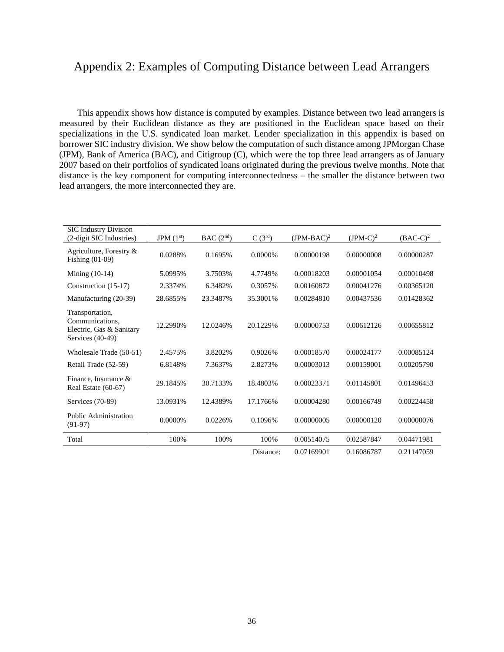# Appendix 2: Examples of Computing Distance between Lead Arrangers

 This appendix shows how distance is computed by examples. Distance between two lead arrangers is measured by their Euclidean distance as they are positioned in the Euclidean space based on their specializations in the U.S. syndicated loan market. Lender specialization in this appendix is based on borrower SIC industry division. We show below the computation of such distance among JPMorgan Chase (JPM), Bank of America (BAC), and Citigroup (C), which were the top three lead arrangers as of January 2007 based on their portfolios of syndicated loans originated during the previous twelve months. Note that distance is the key component for computing interconnectedness – the smaller the distance between two lead arrangers, the more interconnected they are.

| <b>SIC Industry Division</b><br>(2-digit SIC Industries)                           | JPM $(1st)$ | BAC(2 <sup>nd</sup> ) | $C(3^{rd})$ | $(JPM-BAC)^2$ | $(JPM-C)^2$ | $(BAC-C)^2$ |
|------------------------------------------------------------------------------------|-------------|-----------------------|-------------|---------------|-------------|-------------|
| Agriculture, Forestry &<br>Fishing $(01-09)$                                       | 0.0288%     | 0.1695%               | 0.0000%     | 0.00000198    | 0.00000008  | 0.00000287  |
| Mining $(10-14)$                                                                   | 5.0995%     | 3.7503%               | 4.7749%     | 0.00018203    | 0.00001054  | 0.00010498  |
| Construction (15-17)                                                               | 2.3374%     | 6.3482%               | 0.3057%     | 0.00160872    | 0.00041276  | 0.00365120  |
| Manufacturing (20-39)                                                              | 28.6855%    | 23.3487%              | 35.3001%    | 0.00284810    | 0.00437536  | 0.01428362  |
| Transportation,<br>Communications,<br>Electric, Gas & Sanitary<br>Services (40-49) | 12.2990%    | 12.0246%              | 20.1229%    | 0.00000753    | 0.00612126  | 0.00655812  |
| Wholesale Trade (50-51)                                                            | 2.4575%     | 3.8202%               | 0.9026%     | 0.00018570    | 0.00024177  | 0.00085124  |
| Retail Trade (52-59)                                                               | 6.8148%     | 7.3637%               | 2.8273%     | 0.00003013    | 0.00159001  | 0.00205790  |
| Finance, Insurance $\&$<br>Real Estate (60-67)                                     | 29.1845%    | 30.7133%              | 18.4803%    | 0.00023371    | 0.01145801  | 0.01496453  |
| Services (70-89)                                                                   | 13.0931%    | 12.4389%              | 17.1766%    | 0.00004280    | 0.00166749  | 0.00224458  |
| Public Administration<br>$(91-97)$                                                 | 0.0000%     | 0.0226%               | 0.1096%     | 0.00000005    | 0.00000120  | 0.00000076  |
| Total                                                                              | 100%        | 100%                  | 100%        | 0.00514075    | 0.02587847  | 0.04471981  |
|                                                                                    |             |                       | Distance:   | 0.07169901    | 0.16086787  | 0.21147059  |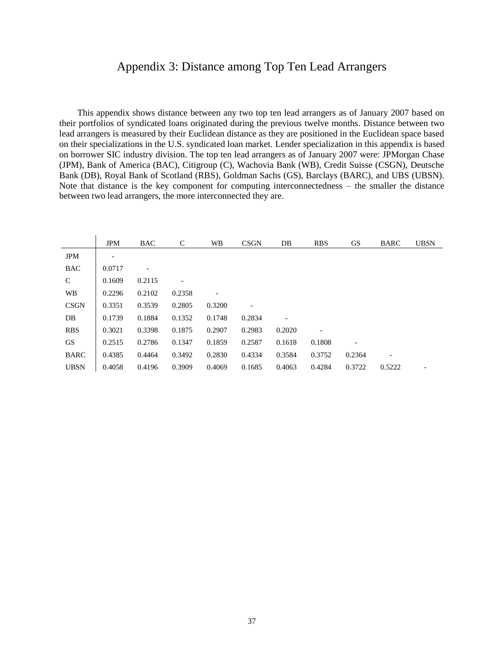# Appendix 3: Distance among Top Ten Lead Arrangers

 This appendix shows distance between any two top ten lead arrangers as of January 2007 based on their portfolios of syndicated loans originated during the previous twelve months. Distance between two lead arrangers is measured by their Euclidean distance as they are positioned in the Euclidean space based on their specializations in the U.S. syndicated loan market. Lender specialization in this appendix is based on borrower SIC industry division. The top ten lead arrangers as of January 2007 were: JPMorgan Chase (JPM), Bank of America (BAC), Citigroup (C), Wachovia Bank (WB), Credit Suisse (CSGN), Deutsche Bank (DB), Royal Bank of Scotland (RBS), Goldman Sachs (GS), Barclays (BARC), and UBS (UBSN). Note that distance is the key component for computing interconnectedness – the smaller the distance between two lead arrangers, the more interconnected they are.

|               | <b>JPM</b>               | <b>BAC</b> | $\mathcal{C}$ | <b>WB</b> | <b>CSGN</b> | DB     | <b>RBS</b> | <b>GS</b> | <b>BARC</b> | <b>UBSN</b> |
|---------------|--------------------------|------------|---------------|-----------|-------------|--------|------------|-----------|-------------|-------------|
| <b>JPM</b>    | $\overline{\phantom{a}}$ |            |               |           |             |        |            |           |             |             |
| <b>BAC</b>    | 0.0717                   |            |               |           |             |        |            |           |             |             |
| $\mathcal{C}$ | 0.1609                   | 0.2115     |               |           |             |        |            |           |             |             |
| <b>WB</b>     | 0.2296                   | 0.2102     | 0.2358        | -         |             |        |            |           |             |             |
| <b>CSGN</b>   | 0.3351                   | 0.3539     | 0.2805        | 0.3200    |             |        |            |           |             |             |
| DB            | 0.1739                   | 0.1884     | 0.1352        | 0.1748    | 0.2834      |        |            |           |             |             |
| <b>RBS</b>    | 0.3021                   | 0.3398     | 0.1875        | 0.2907    | 0.2983      | 0.2020 |            |           |             |             |
| GS            | 0.2515                   | 0.2786     | 0.1347        | 0.1859    | 0.2587      | 0.1618 | 0.1808     |           |             |             |
| <b>BARC</b>   | 0.4385                   | 0.4464     | 0.3492        | 0.2830    | 0.4334      | 0.3584 | 0.3752     | 0.2364    |             |             |
| <b>UBSN</b>   | 0.4058                   | 0.4196     | 0.3909        | 0.4069    | 0.1685      | 0.4063 | 0.4284     | 0.3722    | 0.5222      |             |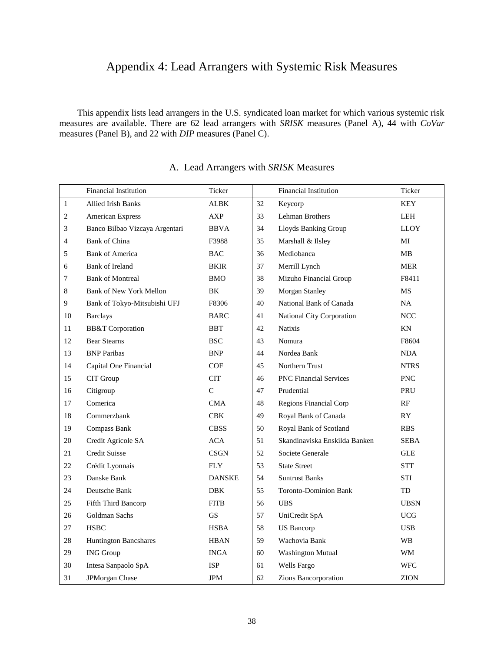# Appendix 4: Lead Arrangers with Systemic Risk Measures

 This appendix lists lead arrangers in the U.S. syndicated loan market for which various systemic risk measures are available. There are 62 lead arrangers with *SRISK* measures (Panel A), 44 with *CoVar* measures (Panel B), and 22 with *DIP* measures (Panel C).

|                  | <b>Financial Institution</b>   | Ticker        |    | <b>Financial Institution</b>  | Ticker      |
|------------------|--------------------------------|---------------|----|-------------------------------|-------------|
| $\mathbf{1}$     | <b>Allied Irish Banks</b>      | ALBK          | 32 | Keycorp                       | KEY         |
| $\overline{c}$   | <b>American Express</b>        | AXP           | 33 | Lehman Brothers               | <b>LEH</b>  |
| 3                | Banco Bilbao Vizcaya Argentari | <b>BBVA</b>   | 34 | Lloyds Banking Group          | <b>LLOY</b> |
| $\overline{4}$   | <b>Bank of China</b>           | F3988         | 35 | Marshall & Ilsley             | MI          |
| 5                | Bank of America                | <b>BAC</b>    | 36 | Mediobanca                    | MB          |
| 6                | Bank of Ireland                | <b>BKIR</b>   | 37 | Merrill Lynch                 | <b>MER</b>  |
| $\boldsymbol{7}$ | <b>Bank of Montreal</b>        | BMO           | 38 | Mizuho Financial Group        | F8411       |
| 8                | <b>Bank of New York Mellon</b> | BK            | 39 | Morgan Stanley                | MS          |
| 9                | Bank of Tokyo-Mitsubishi UFJ   | F8306         | 40 | National Bank of Canada       | NA          |
| 10               | <b>Barclays</b>                | <b>BARC</b>   | 41 | National City Corporation     | <b>NCC</b>  |
| 11               | <b>BB&amp;T</b> Corporation    | <b>BBT</b>    | 42 | <b>Natixis</b>                | KN          |
| 12               | <b>Bear Stearns</b>            | <b>BSC</b>    | 43 | Nomura                        | F8604       |
| 13               | <b>BNP</b> Paribas             | <b>BNP</b>    | 44 | Nordea Bank                   | <b>NDA</b>  |
| 14               | Capital One Financial          | COF           | 45 | Northern Trust                | <b>NTRS</b> |
| 15               | CIT Group                      | <b>CIT</b>    | 46 | PNC Financial Services        | <b>PNC</b>  |
| 16               | Citigroup                      | $\mathsf{C}$  | 47 | Prudential                    | PRU         |
| 17               | Comerica                       | <b>CMA</b>    | 48 | Regions Financial Corp        | RF          |
| 18               | Commerzbank                    | <b>CBK</b>    | 49 | Royal Bank of Canada          | <b>RY</b>   |
| 19               | Compass Bank                   | <b>CBSS</b>   | 50 | Royal Bank of Scotland        | <b>RBS</b>  |
| 20               | Credit Agricole SA             | <b>ACA</b>    | 51 | Skandinaviska Enskilda Banken | <b>SEBA</b> |
| 21               | Credit Suisse                  | <b>CSGN</b>   | 52 | Societe Generale              | <b>GLE</b>  |
| 22               | Crédit Lyonnais                | <b>FLY</b>    | 53 | <b>State Street</b>           | <b>STT</b>  |
| 23               | Danske Bank                    | <b>DANSKE</b> | 54 | <b>Suntrust Banks</b>         | <b>STI</b>  |
| 24               | Deutsche Bank                  | <b>DBK</b>    | 55 | <b>Toronto-Dominion Bank</b>  | TD          |
| 25               | Fifth Third Bancorp            | <b>FITB</b>   | 56 | <b>UBS</b>                    | <b>UBSN</b> |
| 26               | Goldman Sachs                  | <b>GS</b>     | 57 | UniCredit SpA                 | <b>UCG</b>  |
| 27               | <b>HSBC</b>                    | <b>HSBA</b>   | 58 | <b>US</b> Bancorp             | <b>USB</b>  |
| 28               | <b>Huntington Bancshares</b>   | <b>HBAN</b>   | 59 | Wachovia Bank                 | WB          |
| 29               | <b>ING Group</b>               | <b>INGA</b>   | 60 | <b>Washington Mutual</b>      | WM          |
| 30               | Intesa Sanpaolo SpA            | <b>ISP</b>    | 61 | Wells Fargo                   | <b>WFC</b>  |
| 31               | <b>JPMorgan Chase</b>          | <b>JPM</b>    | 62 | <b>Zions Bancorporation</b>   | <b>ZION</b> |

#### A. Lead Arrangers with *SRISK* Measures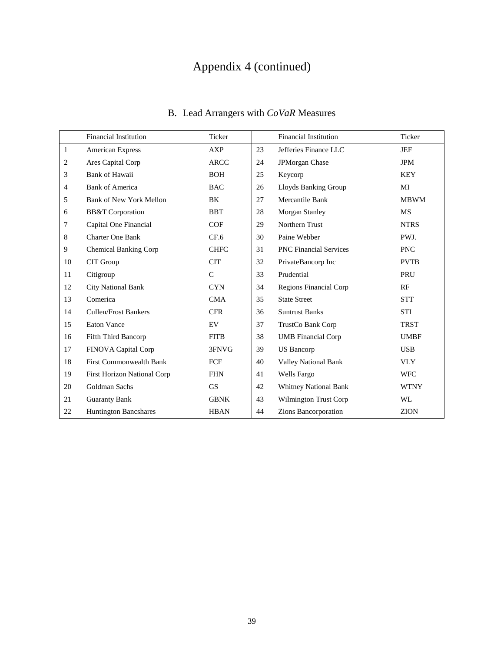# Appendix 4 (continued)

|                | <b>Financial Institution</b>       | Ticker        |    | <b>Financial Institution</b>  | Ticker      |
|----------------|------------------------------------|---------------|----|-------------------------------|-------------|
| 1              | <b>American Express</b>            | AXP           | 23 | Jefferies Finance LLC         | <b>JEF</b>  |
| 2              | Ares Capital Corp                  | <b>ARCC</b>   | 24 | JPMorgan Chase                | <b>JPM</b>  |
| 3              | <b>Bank of Hawaii</b>              | <b>BOH</b>    | 25 | Keycorp                       | <b>KEY</b>  |
| $\overline{4}$ | <b>Bank of America</b>             | <b>BAC</b>    | 26 | Lloyds Banking Group          | MI          |
| 5              | Bank of New York Mellon            | BK            | 27 | Mercantile Bank               | <b>MBWM</b> |
| 6              | <b>BB&amp;T</b> Corporation        | <b>BBT</b>    | 28 | Morgan Stanley                | MS          |
| 7              | Capital One Financial              | COF           | 29 | Northern Trust                | <b>NTRS</b> |
| 8              | <b>Charter One Bank</b>            | CF.6          | 30 | Paine Webber                  | PWJ.        |
| 9              | <b>Chemical Banking Corp</b>       | <b>CHFC</b>   | 31 | <b>PNC Financial Services</b> | <b>PNC</b>  |
| 10             | CIT Group                          | <b>CIT</b>    | 32 | PrivateBancorp Inc            | <b>PVTB</b> |
| 11             | Citigroup                          | $\mathcal{C}$ | 33 | Prudential                    | PRU         |
| 12             | <b>City National Bank</b>          | <b>CYN</b>    | 34 | Regions Financial Corp        | RF          |
| 13             | Comerica                           | <b>CMA</b>    | 35 | <b>State Street</b>           | <b>STT</b>  |
| 14             | <b>Cullen/Frost Bankers</b>        | <b>CFR</b>    | 36 | <b>Suntrust Banks</b>         | STI         |
| 15             | <b>Eaton Vance</b>                 | EV            | 37 | TrustCo Bank Corp             | <b>TRST</b> |
| 16             | Fifth Third Bancorp                | <b>FITB</b>   | 38 | <b>UMB</b> Financial Corp     | <b>UMBF</b> |
| 17             | FINOVA Capital Corp                | 3FNVG         | 39 | <b>US</b> Bancorp             | <b>USB</b>  |
| 18             | <b>First Commonwealth Bank</b>     | FCF           | 40 | <b>Valley National Bank</b>   | <b>VLY</b>  |
| 19             | <b>First Horizon National Corp</b> | <b>FHN</b>    | 41 | Wells Fargo                   | <b>WFC</b>  |
| 20             | Goldman Sachs                      | <b>GS</b>     | 42 | <b>Whitney National Bank</b>  | <b>WTNY</b> |
| 21             | <b>Guaranty Bank</b>               | <b>GBNK</b>   | 43 | Wilmington Trust Corp         | WL          |
| 22             | <b>Huntington Bancshares</b>       | <b>HBAN</b>   | 44 | Zions Bancorporation          | <b>ZION</b> |

# B. Lead Arrangers with *CoVaR* Measures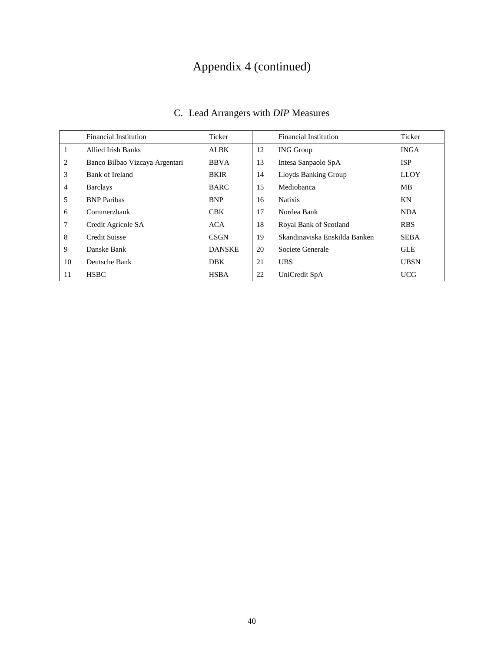# Appendix 4 (continued)

|                | <b>Financial Institution</b>   | Ticker        |    | <b>Financial Institution</b>  | Ticker      |
|----------------|--------------------------------|---------------|----|-------------------------------|-------------|
|                | Allied Irish Banks             | <b>ALBK</b>   | 12 | <b>ING Group</b>              | <b>INGA</b> |
| 2              | Banco Bilbao Vizcaya Argentari | <b>BBVA</b>   | 13 | Intesa Sanpaolo SpA           | <b>ISP</b>  |
| 3              | Bank of Ireland                | <b>BKIR</b>   | 14 | Lloyds Banking Group          | <b>LLOY</b> |
| $\overline{4}$ | <b>Barclays</b>                | <b>BARC</b>   | 15 | Mediobanca                    | MВ          |
| 5              | <b>BNP</b> Paribas             | <b>BNP</b>    | 16 | <b>Natixis</b>                | ΚN          |
| 6              | Commerzbank                    | <b>CBK</b>    | 17 | Nordea Bank                   | <b>NDA</b>  |
| 7              | Credit Agricole SA             | ACA           | 18 | Royal Bank of Scotland        | <b>RBS</b>  |
| 8              | <b>Credit Suisse</b>           | <b>CSGN</b>   | 19 | Skandinaviska Enskilda Banken | <b>SEBA</b> |
| 9              | Danske Bank                    | <b>DANSKE</b> | 20 | Societe Generale              | <b>GLE</b>  |
| 10             | Deutsche Bank                  | <b>DBK</b>    | 21 | <b>UBS</b>                    | <b>UBSN</b> |
| 11             | <b>HSBC</b>                    | <b>HSBA</b>   | 22 | UniCredit SpA                 | <b>UCG</b>  |

# C. Lead Arrangers with *DIP* Measures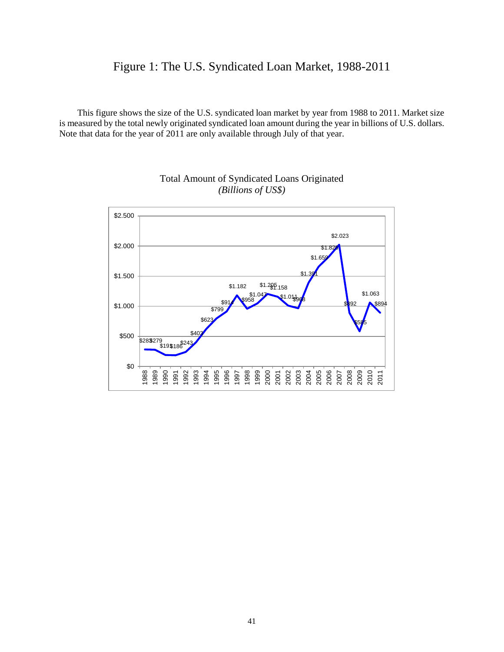# Figure 1: The U.S. Syndicated Loan Market, 1988-2011

 This figure shows the size of the U.S. syndicated loan market by year from 1988 to 2011. Market size is measured by the total newly originated syndicated loan amount during the year in billions of U.S. dollars. Note that data for the year of 2011 are only available through July of that year.



### Total Amount of Syndicated Loans Originated *(Billions of US\$)*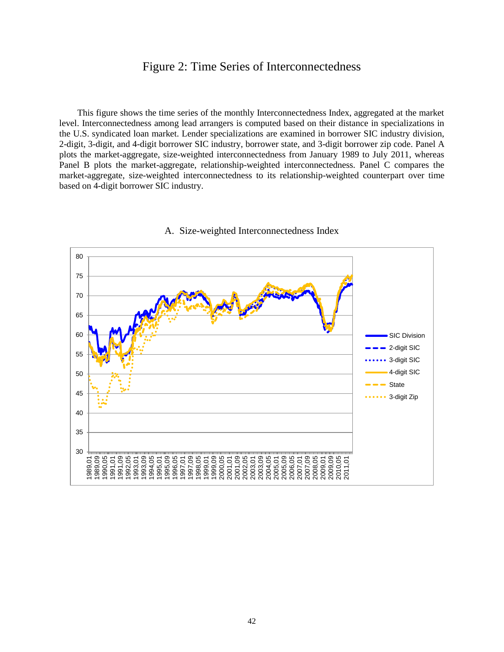## Figure 2: Time Series of Interconnectedness

 This figure shows the time series of the monthly Interconnectedness Index, aggregated at the market level. Interconnectedness among lead arrangers is computed based on their distance in specializations in the U.S. syndicated loan market. Lender specializations are examined in borrower SIC industry division, 2-digit, 3-digit, and 4-digit borrower SIC industry, borrower state, and 3-digit borrower zip code. Panel A plots the market-aggregate, size-weighted interconnectedness from January 1989 to July 2011, whereas Panel B plots the market-aggregate, relationship-weighted interconnectedness. Panel C compares the market-aggregate, size-weighted interconnectedness to its relationship-weighted counterpart over time based on 4-digit borrower SIC industry.



#### A. Size-weighted Interconnectedness Index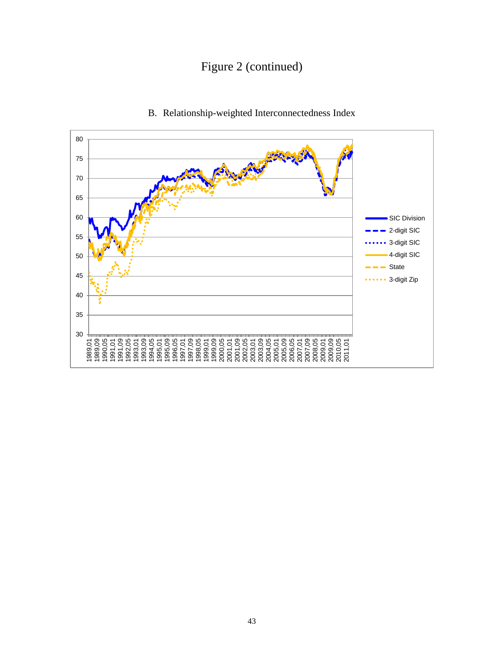# Figure 2 (continued)



B. Relationship-weighted Interconnectedness Index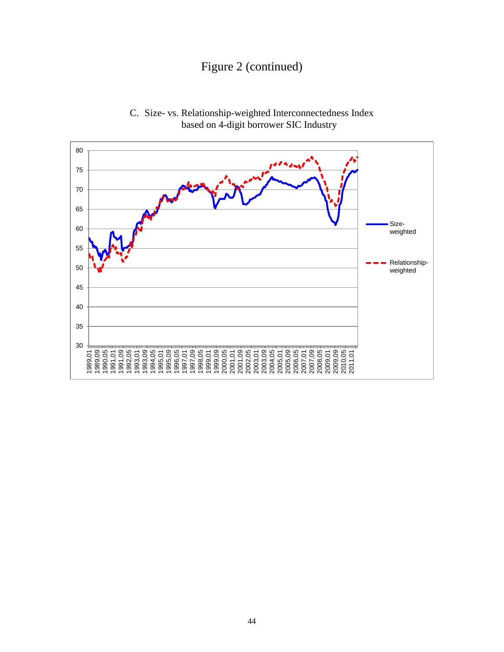# Figure 2 (continued)



C. Size- vs. Relationship-weighted Interconnectedness Index based on 4-digit borrower SIC Industry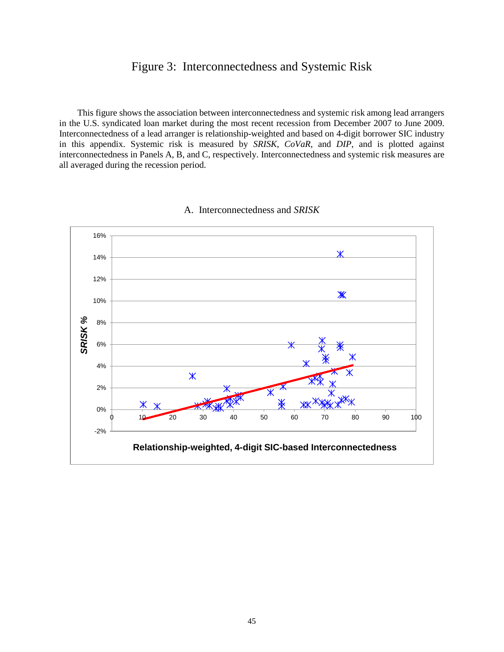## Figure 3: Interconnectedness and Systemic Risk

 This figure shows the association between interconnectedness and systemic risk among lead arrangers in the U.S. syndicated loan market during the most recent recession from December 2007 to June 2009. Interconnectedness of a lead arranger is relationship-weighted and based on 4-digit borrower SIC industry in this appendix. Systemic risk is measured by *SRISK*, *CoVaR*, and *DIP*, and is plotted against interconnectedness in Panels A, B, and C, respectively. Interconnectedness and systemic risk measures are all averaged during the recession period.



#### A. Interconnectedness and *SRISK*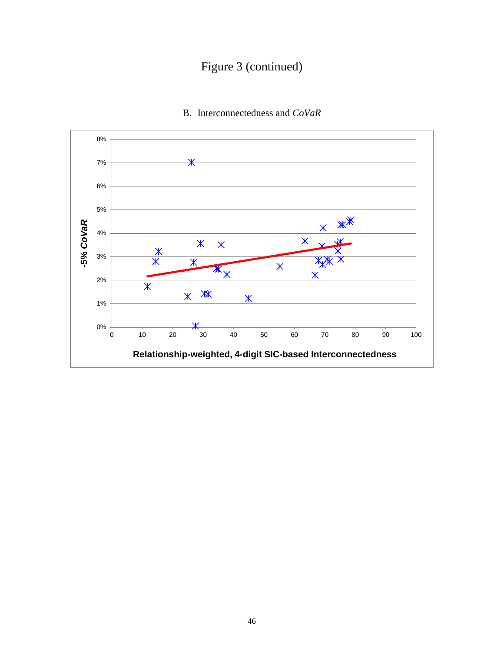# Figure 3 (continued)



## B. Interconnectedness and *CoVaR*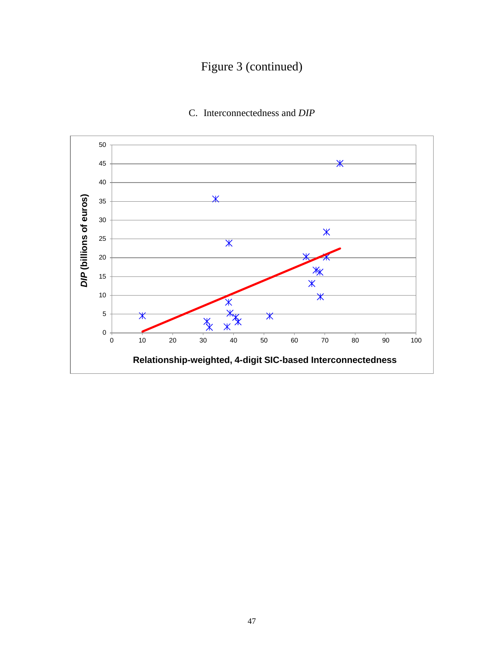# Figure 3 (continued)



## C. Interconnectedness and *DIP*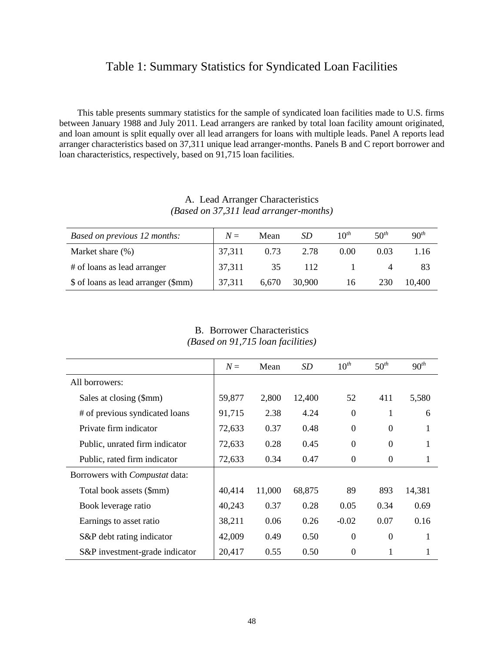# Table 1: Summary Statistics for Syndicated Loan Facilities

 This table presents summary statistics for the sample of syndicated loan facilities made to U.S. firms between January 1988 and July 2011. Lead arrangers are ranked by total loan facility amount originated, and loan amount is split equally over all lead arrangers for loans with multiple leads. Panel A reports lead arranger characteristics based on 37,311 unique lead arranger-months. Panels B and C report borrower and loan characteristics, respectively, based on 91,715 loan facilities.

### A. Lead Arranger Characteristics *(Based on 37,311 lead arranger-months)*

| Based on previous 12 months:        | $N=$   | Mean  | SD     | $10^{th}$ | $50^{th}$ | $90^{th}$ |
|-------------------------------------|--------|-------|--------|-----------|-----------|-----------|
| Market share (%)                    | 37,311 | 0.73  | 2.78   | 0.00      | 0.03      | 1.16      |
| # of loans as lead arranger         | 37,311 | 35    | 112    |           |           |           |
| \$ of loans as lead arranger (\$mm) | 37,311 | 6,670 | 30,900 | 16        | 230       | 10.400    |

#### B. Borrower Characteristics *(Based on 91,715 loan facilities)*

|                                       | $N =$  | Mean   | SD     | $10^{th}$ | $50^{th}$ | $90^{th}$ |
|---------------------------------------|--------|--------|--------|-----------|-----------|-----------|
| All borrowers:                        |        |        |        |           |           |           |
| Sales at closing (\$mm)               | 59,877 | 2,800  | 12,400 | 52        | 411       | 5,580     |
| # of previous syndicated loans        | 91,715 | 2.38   | 4.24   | $\Omega$  | 1         | 6         |
| Private firm indicator                | 72,633 | 0.37   | 0.48   | $\Omega$  | $\Omega$  |           |
| Public, unrated firm indicator        | 72,633 | 0.28   | 0.45   | $\Omega$  | $\Omega$  |           |
| Public, rated firm indicator          | 72,633 | 0.34   | 0.47   | $\Omega$  | $\theta$  |           |
| Borrowers with <i>Compustat</i> data: |        |        |        |           |           |           |
| Total book assets (\$mm)              | 40,414 | 11,000 | 68,875 | 89        | 893       | 14,381    |
| Book leverage ratio                   | 40,243 | 0.37   | 0.28   | 0.05      | 0.34      | 0.69      |
| Earnings to asset ratio               | 38,211 | 0.06   | 0.26   | $-0.02$   | 0.07      | 0.16      |
| S&P debt rating indicator             | 42,009 | 0.49   | 0.50   | $\Omega$  | $\Omega$  |           |
| S&P investment-grade indicator        | 20,417 | 0.55   | 0.50   | $\Omega$  | 1         |           |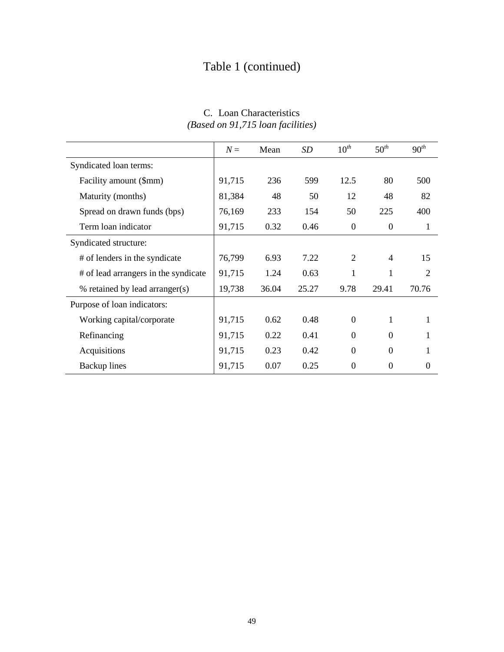# Table 1 (continued)

|                                      | $N =$  | Mean  | SD    | $10^{th}$      | $50^{th}$        | $90^{th}$      |
|--------------------------------------|--------|-------|-------|----------------|------------------|----------------|
| Syndicated loan terms:               |        |       |       |                |                  |                |
| Facility amount (\$mm)               | 91,715 | 236   | 599   | 12.5           | 80               | 500            |
| Maturity (months)                    | 81,384 | 48    | 50    | 12             | 48               | 82             |
| Spread on drawn funds (bps)          | 76,169 | 233   | 154   | 50             | 225              | 400            |
| Term loan indicator                  | 91,715 | 0.32  | 0.46  | $\overline{0}$ | $\boldsymbol{0}$ | 1              |
| Syndicated structure:                |        |       |       |                |                  |                |
| # of lenders in the syndicate        | 76,799 | 6.93  | 7.22  | 2              | $\overline{4}$   | 15             |
| # of lead arrangers in the syndicate | 91,715 | 1.24  | 0.63  | 1              | 1                | $\overline{2}$ |
| % retained by lead arranger(s)       | 19,738 | 36.04 | 25.27 | 9.78           | 29.41            | 70.76          |
| Purpose of loan indicators:          |        |       |       |                |                  |                |
| Working capital/corporate            | 91,715 | 0.62  | 0.48  | $\theta$       | 1                | 1              |
| Refinancing                          | 91,715 | 0.22  | 0.41  | $\Omega$       | $\Omega$         | 1              |
| Acquisitions                         | 91,715 | 0.23  | 0.42  | $\theta$       | $\Omega$         | 1              |
| <b>Backup</b> lines                  | 91,715 | 0.07  | 0.25  | $\theta$       | $\theta$         | $\Omega$       |

## C. Loan Characteristics *(Based on 91,715 loan facilities)*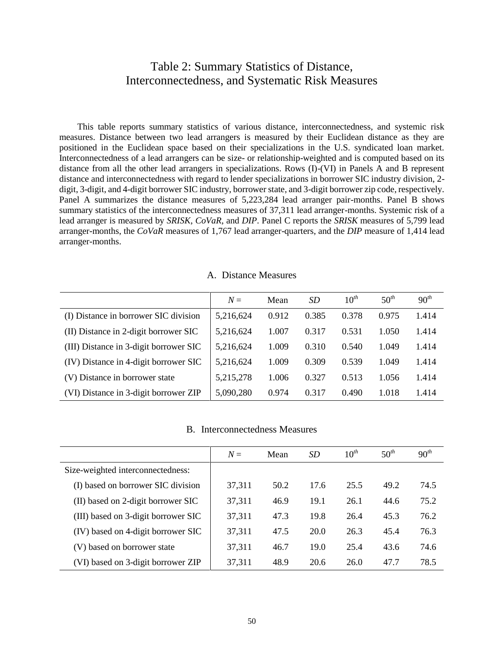# Table 2: Summary Statistics of Distance, Interconnectedness, and Systematic Risk Measures

 This table reports summary statistics of various distance, interconnectedness, and systemic risk measures. Distance between two lead arrangers is measured by their Euclidean distance as they are positioned in the Euclidean space based on their specializations in the U.S. syndicated loan market. Interconnectedness of a lead arrangers can be size- or relationship-weighted and is computed based on its distance from all the other lead arrangers in specializations. Rows (I)-(VI) in Panels A and B represent distance and interconnectedness with regard to lender specializations in borrower SIC industry division, 2 digit, 3-digit, and 4-digit borrower SIC industry, borrower state, and 3-digit borrower zip code, respectively. Panel A summarizes the distance measures of 5,223,284 lead arranger pair-months. Panel B shows summary statistics of the interconnectedness measures of 37,311 lead arranger-months. Systemic risk of a lead arranger is measured by *SRISK*, *CoVaR*, and *DIP*. Panel C reports the *SRISK* measures of 5,799 lead arranger-months, the *CoVaR* measures of 1,767 lead arranger-quarters, and the *DIP* measure of 1,414 lead arranger-months.

#### A. Distance Measures

|                                        | $N =$     | Mean  | <i>SD</i> | $10^{th}$ | $50^{th}$ | 90 <sup>th</sup> |
|----------------------------------------|-----------|-------|-----------|-----------|-----------|------------------|
| (I) Distance in borrower SIC division  | 5,216,624 | 0.912 | 0.385     | 0.378     | 0.975     | 1.414            |
| (II) Distance in 2-digit borrower SIC  | 5,216,624 | 1.007 | 0.317     | 0.531     | 1.050     | 1.414            |
| (III) Distance in 3-digit borrower SIC | 5,216,624 | 1.009 | 0.310     | 0.540     | 1.049     | 1.414            |
| (IV) Distance in 4-digit borrower SIC  | 5,216,624 | 1.009 | 0.309     | 0.539     | 1.049     | 1.414            |
| (V) Distance in borrower state         | 5,215,278 | 1.006 | 0.327     | 0.513     | 1.056     | 1.414            |
| (VI) Distance in 3-digit borrower ZIP  | 5,090,280 | 0.974 | 0.317     | 0.490     | 1.018     | 1.414            |

#### B. Interconnectedness Measures

|                                     | $N =$  | Mean | SD   | $10^{th}$ | $50^{th}$ | $90^{th}$ |
|-------------------------------------|--------|------|------|-----------|-----------|-----------|
| Size-weighted interconnectedness:   |        |      |      |           |           |           |
| (I) based on borrower SIC division  | 37,311 | 50.2 | 17.6 | 25.5      | 49.2      | 74.5      |
| (II) based on 2-digit borrower SIC  | 37,311 | 46.9 | 19.1 | 26.1      | 44.6      | 75.2      |
| (III) based on 3-digit borrower SIC | 37,311 | 47.3 | 19.8 | 26.4      | 45.3      | 76.2      |
| (IV) based on 4-digit borrower SIC  | 37,311 | 47.5 | 20.0 | 26.3      | 45.4      | 76.3      |
| (V) based on borrower state         | 37,311 | 46.7 | 19.0 | 25.4      | 43.6      | 74.6      |
| (VI) based on 3-digit borrower ZIP  | 37,311 | 48.9 | 20.6 | 26.0      | 47.7      | 78.5      |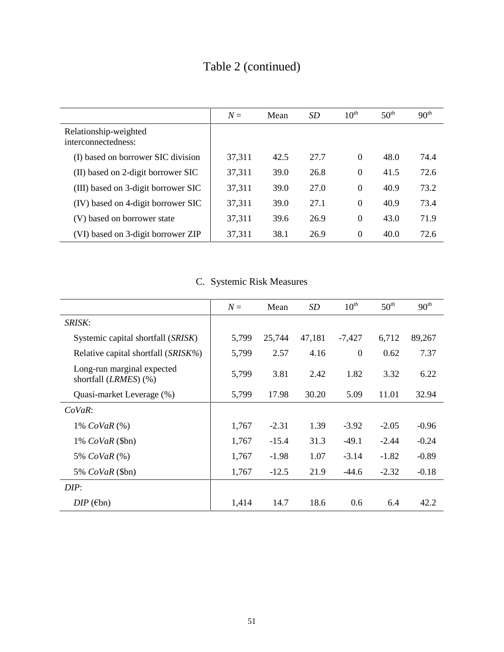|  | Table 2 (continued) |  |
|--|---------------------|--|
|--|---------------------|--|

|                                              | $N =$  | Mean | <i>SD</i> | $10^{th}$    | $50^{th}$ | $90^{th}$ |
|----------------------------------------------|--------|------|-----------|--------------|-----------|-----------|
| Relationship-weighted<br>interconnectedness: |        |      |           |              |           |           |
| (I) based on borrower SIC division           | 37,311 | 42.5 | 27.7      | $\Omega$     | 48.0      | 74.4      |
| (II) based on 2-digit borrower SIC           | 37,311 | 39.0 | 26.8      | $\Omega$     | 41.5      | 72.6      |
| (III) based on 3-digit borrower SIC          | 37,311 | 39.0 | 27.0      | $\theta$     | 40.9      | 73.2      |
| (IV) based on 4-digit borrower SIC           | 37,311 | 39.0 | 27.1      | $\mathbf{0}$ | 40.9      | 73.4      |
| (V) based on borrower state                  | 37,311 | 39.6 | 26.9      | $\theta$     | 43.0      | 71.9      |
| (VI) based on 3-digit borrower ZIP           | 37,311 | 38.1 | 26.9      | $\theta$     | 40.0      | 72.6      |

# C. Systemic Risk Measures

|                                                       | $N =$ | Mean    | <i>SD</i> | $10^{th}$        | $50^{th}$ | $90^{th}$ |
|-------------------------------------------------------|-------|---------|-----------|------------------|-----------|-----------|
| <i>SRISK</i> :                                        |       |         |           |                  |           |           |
| Systemic capital shortfall (SRISK)                    | 5,799 | 25,744  | 47,181    | $-7,427$         | 6,712     | 89,267    |
| Relative capital shortfall (SRISK%)                   | 5,799 | 2.57    | 4.16      | $\boldsymbol{0}$ | 0.62      | 7.37      |
| Long-run marginal expected<br>shortfall $(LRMES)$ (%) | 5,799 | 3.81    | 2.42      | 1.82             | 3.32      | 6.22      |
| Quasi-market Leverage (%)                             | 5,799 | 17.98   | 30.20     | 5.09             | 11.01     | 32.94     |
| $CoVaR$ :                                             |       |         |           |                  |           |           |
| 1% $CoVaR$ (%)                                        | 1,767 | $-2.31$ | 1.39      | $-3.92$          | $-2.05$   | $-0.96$   |
| $1\%$ CoVaR (\$bn)                                    | 1,767 | $-15.4$ | 31.3      | $-49.1$          | $-2.44$   | $-0.24$   |
| 5% CoVaR (%)                                          | 1,767 | $-1.98$ | 1.07      | $-3.14$          | $-1.82$   | $-0.89$   |
| 5% $CoVaR$ (\$bn)                                     | 1,767 | $-12.5$ | 21.9      | $-44.6$          | $-2.32$   | $-0.18$   |
| DIP:                                                  |       |         |           |                  |           |           |
| $DIP$ ( $\epsilon$ bn)                                | 1,414 | 14.7    | 18.6      | 0.6              | 6.4       | 42.2      |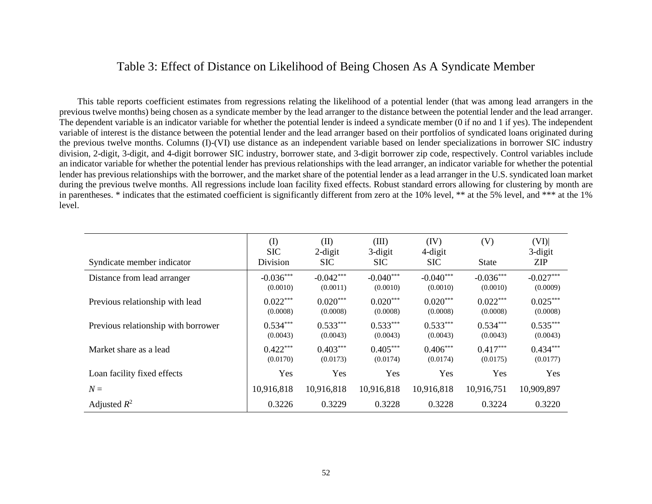## Table 3: Effect of Distance on Likelihood of Being Chosen As A Syndicate Member

 This table reports coefficient estimates from regressions relating the likelihood of a potential lender (that was among lead arrangers in the previous twelve months) being chosen as a syndicate member by the lead arranger to the distance between the potential lender and the lead arranger. The dependent variable is an indicator variable for whether the potential lender is indeed a syndicate member (0 if no and 1 if yes). The independent variable of interest is the distance between the potential lender and the lead arranger based on their portfolios of syndicated loans originated during the previous twelve months. Columns (I)-(VI) use distance as an independent variable based on lender specializations in borrower SIC industry division, 2-digit, 3-digit, and 4-digit borrower SIC industry, borrower state, and 3-digit borrower zip code, respectively. Control variables include an indicator variable for whether the potential lender has previous relationships with the lead arranger, an indicator variable for whether the potential lender has previous relationships with the borrower, and the market share of the potential lender as a lead arranger in the U.S. syndicated loan market during the previous twelve months. All regressions include loan facility fixed effects. Robust standard errors allowing for clustering by month are in parentheses. \* indicates that the estimated coefficient is significantly different from zero at the 10% level, \*\* at the 5% level, and \*\*\* at the 1% level.

| Syndicate member indicator          | $\rm(D)$<br><b>SIC</b><br>Division | (II)<br>$2$ -digit<br><b>SIC</b> | (III)<br>3-digit<br><b>SIC</b> | (IV)<br>4-digit<br><b>SIC</b> | (V)<br><b>State</b> | (VI)<br>3-digit<br><b>ZIP</b> |
|-------------------------------------|------------------------------------|----------------------------------|--------------------------------|-------------------------------|---------------------|-------------------------------|
| Distance from lead arranger         | $-0.036***$                        | $-0.042***$                      | $-0.040***$                    | $-0.040***$                   | $-0.036***$         | $-0.027***$                   |
|                                     | (0.0010)                           | (0.0011)                         | (0.0010)                       | (0.0010)                      | (0.0010)            | (0.0009)                      |
| Previous relationship with lead     | $0.022***$                         | $0.020***$                       | $0.020***$                     | $0.020***$                    | $0.022***$          | $0.025***$                    |
|                                     | (0.0008)                           | (0.0008)                         | (0.0008)                       | (0.0008)                      | (0.0008)            | (0.0008)                      |
| Previous relationship with borrower | $0.534***$                         | $0.533***$                       | $0.533***$                     | $0.533***$                    | $0.534***$          | $0.535***$                    |
|                                     | (0.0043)                           | (0.0043)                         | (0.0043)                       | (0.0043)                      | (0.0043)            | (0.0043)                      |
| Market share as a lead              | $0.422***$                         | $0.403***$                       | $0.405***$                     | $0.406***$                    | $0.417***$          | $0.434***$                    |
|                                     | (0.0170)                           | (0.0173)                         | (0.0174)                       | (0.0174)                      | (0.0175)            | (0.0177)                      |
| Loan facility fixed effects         | Yes                                | Yes                              | Yes                            | Yes                           | Yes                 | Yes                           |
| $N =$                               | 10,916,818                         | 10,916,818                       | 10,916,818                     | 10,916,818                    | 10,916,751          | 10,909,897                    |
| Adjusted $R^2$                      | 0.3226                             | 0.3229                           | 0.3228                         | 0.3228                        | 0.3224              | 0.3220                        |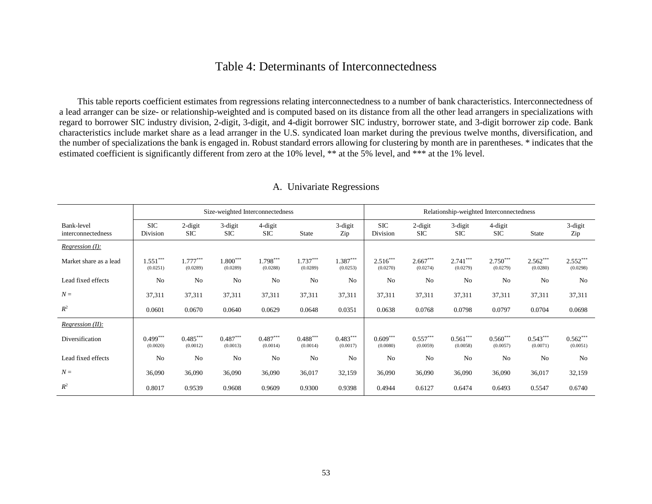## Table 4: Determinants of Interconnectedness

 This table reports coefficient estimates from regressions relating interconnectedness to a number of bank characteristics. Interconnectedness of a lead arranger can be size- or relationship-weighted and is computed based on its distance from all the other lead arrangers in specializations with regard to borrower SIC industry division, 2-digit, 3-digit, and 4-digit borrower SIC industry, borrower state, and 3-digit borrower zip code. Bank characteristics include market share as a lead arranger in the U.S. syndicated loan market during the previous twelve months, diversification, and the number of specializations the bank is engaged in. Robust standard errors allowing for clustering by month are in parentheses. \* indicates that the estimated coefficient is significantly different from zero at the 10% level, \*\* at the 5% level, and \*\*\* at the 1% level.

|                                  | Size-weighted Interconnectedness |                        |                        |                        |                        |                        |                        |                          |                        | Relationship-weighted Interconnectedness |                        |                        |
|----------------------------------|----------------------------------|------------------------|------------------------|------------------------|------------------------|------------------------|------------------------|--------------------------|------------------------|------------------------------------------|------------------------|------------------------|
| Bank-level<br>interconnectedness | <b>SIC</b><br>Division           | 2-digit<br><b>SIC</b>  | 3-digit<br><b>SIC</b>  | 4-digit<br><b>SIC</b>  | <b>State</b>           | 3-digit<br>Zip         | <b>SIC</b><br>Division | $2$ -digit<br><b>SIC</b> | 3-digit<br><b>SIC</b>  | 4-digit<br><b>SIC</b>                    | <b>State</b>           | 3-digit<br>Zip         |
| <i>Regression (I)</i> :          |                                  |                        |                        |                        |                        |                        |                        |                          |                        |                                          |                        |                        |
| Market share as a lead           | $1.551***$<br>(0.0251)           | $1.777***$<br>(0.0289) | $1.800***$<br>(0.0289) | $1.798***$<br>(0.0288) | $1.737***$<br>(0.0289) | $1.387***$<br>(0.0253) | $2.516***$<br>(0.0270) | $2.667***$<br>(0.0274)   | $2.741***$<br>(0.0279) | $2.750***$<br>(0.0279)                   | $2.562***$<br>(0.0280) | $2.552***$<br>(0.0298) |
| Lead fixed effects               | No                               | No                     | No                     | No                     | No                     | N <sub>0</sub>         | N <sub>0</sub>         | N <sub>0</sub>           | No                     | N <sub>o</sub>                           | No                     | N <sub>o</sub>         |
| $N =$                            | 37,311                           | 37,311                 | 37,311                 | 37,311                 | 37,311                 | 37,311                 | 37,311                 | 37,311                   | 37,311                 | 37,311                                   | 37,311                 | 37,311                 |
| $R^2$                            | 0.0601                           | 0.0670                 | 0.0640                 | 0.0629                 | 0.0648                 | 0.0351                 | 0.0638                 | 0.0768                   | 0.0798                 | 0.0797                                   | 0.0704                 | 0.0698                 |
| Regression (II):                 |                                  |                        |                        |                        |                        |                        |                        |                          |                        |                                          |                        |                        |
| Diversification                  | $0.499***$<br>(0.0020)           | $0.485***$<br>(0.0012) | $0.487***$<br>(0.0013) | $0.487***$<br>(0.0014) | $0.488***$<br>(0.0014) | $0.483***$<br>(0.0017) | $0.609***$<br>(0.0080) | $0.557***$<br>(0.0059)   | $0.561***$<br>(0.0058) | $0.560***$<br>(0.0057)                   | $0.543***$<br>(0.0071) | $0.562***$<br>(0.0051) |
| Lead fixed effects               | No                               | No                     | No                     | No                     | No                     | N <sub>0</sub>         | N <sub>0</sub>         | No                       | No                     | N <sub>o</sub>                           | No                     | N <sub>o</sub>         |
| $N =$                            | 36,090                           | 36,090                 | 36,090                 | 36,090                 | 36,017                 | 32,159                 | 36,090                 | 36,090                   | 36,090                 | 36,090                                   | 36,017                 | 32,159                 |
| $R^2$                            | 0.8017                           | 0.9539                 | 0.9608                 | 0.9609                 | 0.9300                 | 0.9398                 | 0.4944                 | 0.6127                   | 0.6474                 | 0.6493                                   | 0.5547                 | 0.6740                 |

#### A. Univariate Regressions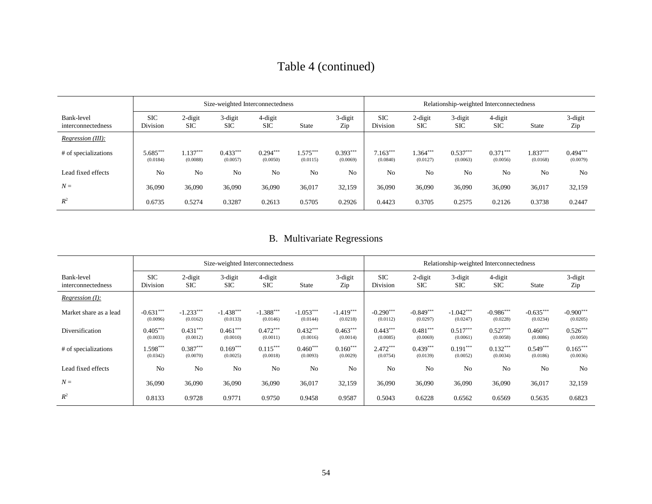# Table 4 (continued)

|                                  | Size-weighted Interconnectedness |                          |                        |                        |                        |                        | Relationship-weighted Interconnectedness |                       |                        |                        |                        |                        |
|----------------------------------|----------------------------------|--------------------------|------------------------|------------------------|------------------------|------------------------|------------------------------------------|-----------------------|------------------------|------------------------|------------------------|------------------------|
| Bank-level<br>interconnectedness | <b>SIC</b><br>Division           | $2$ -digit<br><b>SIC</b> | 3-digit<br><b>SIC</b>  | 4-digit<br><b>SIC</b>  | <b>State</b>           | 3-digit<br>Zip         | <b>SIC</b><br>Division                   | 2-digit<br><b>SIC</b> | 3-digit<br><b>SIC</b>  | 4-digit<br><b>SIC</b>  | <b>State</b>           | 3-digit<br>Zip         |
| Regression (III):                |                                  |                          |                        |                        |                        |                        |                                          |                       |                        |                        |                        |                        |
| # of specializations             | 5.685***<br>(0.0184)             | $1.137***$<br>(0.0088)   | $0.433***$<br>(0.0057) | $0.294***$<br>(0.0050) | $1.575***$<br>(0.0115) | $0.393***$<br>(0.0069) | $1.163***$<br>(0.0840)                   | $.364***$<br>(0.0127) | $0.537***$<br>(0.0063) | $0.371***$<br>(0.0056) | $1.837***$<br>(0.0168) | $0.494***$<br>(0.0079) |
| Lead fixed effects               | No                               | N <sub>o</sub>           | N <sub>o</sub>         | No                     | No                     | N <sub>0</sub>         | No                                       | N <sub>o</sub>        | No                     | N <sub>o</sub>         | N <sub>o</sub>         | N <sub>o</sub>         |
| $N =$                            | 36,090                           | 36,090                   | 36,090                 | 36,090                 | 36,017                 | 32,159                 | 36,090                                   | 36,090                | 36,090                 | 36,090                 | 36,017                 | 32,159                 |
| $R^2$                            | 0.6735                           | 0.5274                   | 0.3287                 | 0.2613                 | 0.5705                 | 0.2926                 | 0.4423                                   | 0.3705                | 0.2575                 | 0.2126                 | 0.3738                 | 0.2447                 |

# B. Multivariate Regressions

|                                  |                         |                         | Size-weighted Interconnectedness |                         |                         |                         | Relationship-weighted Interconnectedness |                          |                         |                         |                         |                         |
|----------------------------------|-------------------------|-------------------------|----------------------------------|-------------------------|-------------------------|-------------------------|------------------------------------------|--------------------------|-------------------------|-------------------------|-------------------------|-------------------------|
| Bank-level<br>interconnectedness | <b>SIC</b><br>Division  | 2-digit<br><b>SIC</b>   | 3-digit<br><b>SIC</b>            | 4-digit<br><b>SIC</b>   | <b>State</b>            | 3-digit<br>Zip          | <b>SIC</b><br>Division                   | $2$ -digit<br><b>SIC</b> | 3-digit<br><b>SIC</b>   | 4-digit<br><b>SIC</b>   | <b>State</b>            | 3-digit<br>Zip          |
| <i>Regression</i> $(I)$ :        |                         |                         |                                  |                         |                         |                         |                                          |                          |                         |                         |                         |                         |
| Market share as a lead           | $-0.631***$<br>(0.0096) | $-1.233***$<br>(0.0162) | $-1.438***$<br>(0.0133)          | $-1.388***$<br>(0.0146) | $-1.053***$<br>(0.0144) | $-1.419***$<br>(0.0218) | $-0.290***$<br>(0.0112)                  | $-0.849***$<br>(0.0297)  | $-1.042***$<br>(0.0247) | $-0.986***$<br>(0.0228) | $-0.635***$<br>(0.0234) | $-0.900***$<br>(0.0205) |
| Diversification                  | $0.405***$<br>(0.0033)  | $0.431***$<br>(0.0012)  | $0.461***$<br>(0.0010)           | $0.472***$<br>(0.0011)  | $0.432***$<br>(0.0016)  | $0.463***$<br>(0.0014)  | $0.443***$<br>(0.0085)                   | $0.481***$<br>(0.0069)   | $0.517***$<br>(0.0061)  | $0.527***$<br>(0.0058)  | $0.460***$<br>(0.0086)  | $0.526***$<br>(0.0050)  |
| # of specializations             | $1.598***$<br>(0.0342)  | $0.387***$<br>(0.0070)  | $0.169***$<br>(0.0025)           | $0.115***$<br>(0.0018)  | $0.460***$<br>(0.0093)  | $0.160***$<br>(0.0029)  | $2.472***$<br>(0.0754)                   | $0.439***$<br>(0.0139)   | $0.191***$<br>(0.0052)  | $0.132***$<br>(0.0034)  | $0.549***$<br>(0.0186)  | $0.165***$<br>(0.0036)  |
| Lead fixed effects               | N <sub>o</sub>          | No                      | No                               | No                      | No                      | N <sub>0</sub>          | N <sub>o</sub>                           | N <sub>o</sub>           | N <sub>0</sub>          | N <sub>0</sub>          | No                      | N <sub>0</sub>          |
| $N =$                            | 36,090                  | 36,090                  | 36,090                           | 36,090                  | 36,017                  | 32,159                  | 36,090                                   | 36,090                   | 36,090                  | 36,090                  | 36,017                  | 32,159                  |
| $R^2$                            | 0.8133                  | 0.9728                  | 0.9771                           | 0.9750                  | 0.9458                  | 0.9587                  | 0.5043                                   | 0.6228                   | 0.6562                  | 0.6569                  | 0.5635                  | 0.6823                  |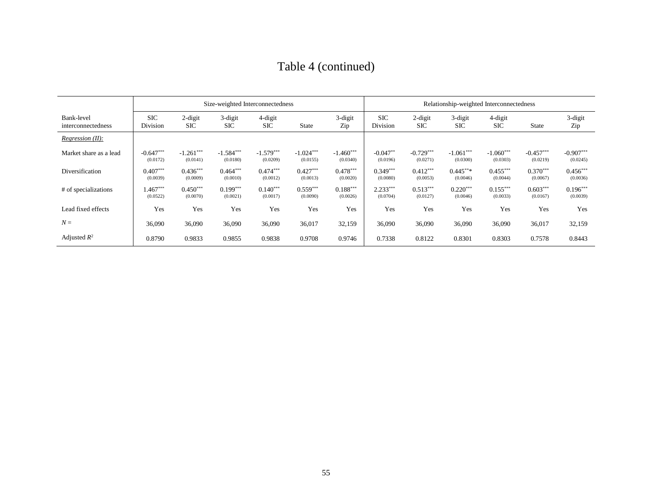# Table 4 (continued)

|                                  |                         |                         | Size-weighted Interconnectedness |                         |                         |                         | Relationship-weighted Interconnectedness |                         |                         |                         |                         |                         |
|----------------------------------|-------------------------|-------------------------|----------------------------------|-------------------------|-------------------------|-------------------------|------------------------------------------|-------------------------|-------------------------|-------------------------|-------------------------|-------------------------|
| Bank-level<br>interconnectedness | <b>SIC</b><br>Division  | 2-digit<br><b>SIC</b>   | 3-digit<br><b>SIC</b>            | 4-digit<br><b>SIC</b>   | <b>State</b>            | 3-digit<br>Zip          | <b>SIC</b><br>Division                   | 2-digit<br><b>SIC</b>   | 3-digit<br><b>SIC</b>   | 4-digit<br><b>SIC</b>   | <b>State</b>            | 3-digit<br>Zip          |
| Regression (II):                 |                         |                         |                                  |                         |                         |                         |                                          |                         |                         |                         |                         |                         |
| Market share as a lead           | $-0.647***$<br>(0.0172) | $-1.261***$<br>(0.0141) | $-1.584***$<br>(0.0180)          | $-1.579***$<br>(0.0209) | $-1.024***$<br>(0.0155) | $-1.460***$<br>(0.0340) | $-0.047**$<br>(0.0196)                   | $-0.729***$<br>(0.0271) | $-1.061***$<br>(0.0300) | $-1.060***$<br>(0.0303) | $-0.457***$<br>(0.0219) | $-0.907***$<br>(0.0245) |
| Diversification                  | $0.407***$<br>(0.0039)  | $0.436***$<br>(0.0009)  | $0.464***$<br>(0.0010)           | $0.474***$<br>(0.0012)  | $0.427***$<br>(0.0013)  | $0.478***$<br>(0.0020)  | $0.349***$<br>(0.0080)                   | $0.412***$<br>(0.0053)  | $0.445***$<br>(0.0046)  | $0.455***$<br>(0.0044)  | $0.370***$<br>(0.0067)  | $0.456***$<br>(0.0036)  |
| # of specializations             | $1.467***$<br>(0.0522)  | $0.450***$<br>(0.0070)  | $0.199***$<br>(0.0021)           | $0.140***$<br>(0.0017)  | $0.559***$<br>(0.0090)  | $0.188***$<br>(0.0026)  | $2.233***$<br>(0.0704)                   | $0.513***$<br>(0.0127)  | $0.220***$<br>(0.0046)  | $0.155***$<br>(0.0033)  | $0.603***$<br>(0.0167)  | $0.196***$<br>(0.0039)  |
| Lead fixed effects               | Yes                     | Yes                     | Yes                              | Yes                     | Yes                     | Yes                     | Yes                                      | Yes                     | Yes                     | Yes                     | Yes                     | Yes                     |
| $N =$                            | 36,090                  | 36,090                  | 36,090                           | 36,090                  | 36,017                  | 32,159                  | 36,090                                   | 36,090                  | 36,090                  | 36,090                  | 36,017                  | 32,159                  |
| Adjusted $R^2$                   | 0.8790                  | 0.9833                  | 0.9855                           | 0.9838                  | 0.9708                  | 0.9746                  | 0.7338                                   | 0.8122                  | 0.8301                  | 0.8303                  | 0.7578                  | 0.8443                  |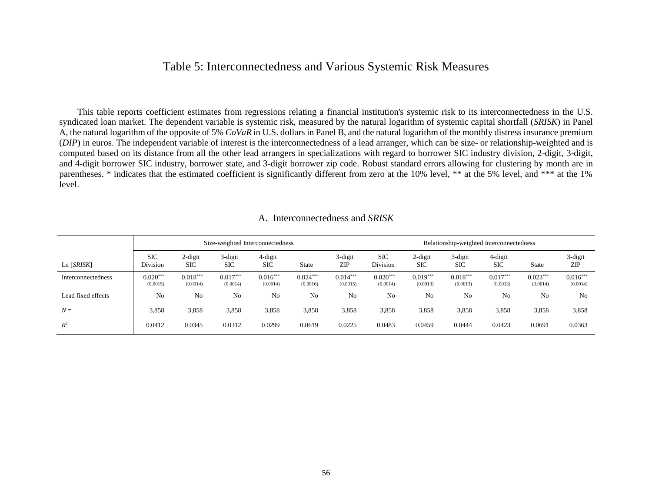### Table 5: Interconnectedness and Various Systemic Risk Measures

 This table reports coefficient estimates from regressions relating a financial institution's systemic risk to its interconnectedness in the U.S. syndicated loan market. The dependent variable is systemic risk, measured by the natural logarithm of systemic capital shortfall (*SRISK*) in Panel A, the natural logarithm of the opposite of 5% *CoVaR* in U.S. dollars in Panel B, and the natural logarithm of the monthly distress insurance premium (*DIP*) in euros. The independent variable of interest is the interconnectedness of a lead arranger, which can be size- or relationship-weighted and is computed based on its distance from all the other lead arrangers in specializations with regard to borrower SIC industry division, 2-digit, 3-digit, and 4-digit borrower SIC industry, borrower state, and 3-digit borrower zip code. Robust standard errors allowing for clustering by month are in parentheses. \* indicates that the estimated coefficient is significantly different from zero at the 10% level, \*\* at the 5% level, and \*\*\* at the 1% level.

|                       | Size-weighted Interconnectedness |                          |                        |                        |                        |                        | Relationship-weighted Interconnectedness |                          |                        |                        |                        |                        |
|-----------------------|----------------------------------|--------------------------|------------------------|------------------------|------------------------|------------------------|------------------------------------------|--------------------------|------------------------|------------------------|------------------------|------------------------|
| $Ln$ [ <i>SRISK</i> ] | <b>SIC</b><br>Division           | $2$ -digit<br><b>SIC</b> | 3-digit<br><b>SIC</b>  | 4-digit<br><b>SIC</b>  | State                  | 3-digit<br>ZIP         | <b>SIC</b><br>Division                   | $2$ -digit<br><b>SIC</b> | 3-digit<br><b>SIC</b>  | 4-digit<br><b>SIC</b>  | <b>State</b>           | 3-digit<br>ZIP         |
| Interconnectedness    | $0.020***$<br>(0.0015)           | $0.018***$<br>(0.0014)   | $0.017***$<br>(0.0014) | $0.016***$<br>(0.0014) | $0.024***$<br>(0.0016) | $0.014***$<br>(0.0015) | $0.020***$<br>(0.0014)                   | $0.019***$<br>(0.0013)   | $0.018***$<br>(0.0013) | $0.017***$<br>(0.0013) | $0.023***$<br>(0.0014) | $0.016***$<br>(0.0014) |
| Lead fixed effects    | N <sub>0</sub>                   | N <sub>o</sub>           | N <sub>0</sub>         | No                     | No                     | N <sub>0</sub>         | N <sub>o</sub>                           | N <sub>0</sub>           | N <sub>0</sub>         | N <sub>0</sub>         | N <sub>0</sub>         | N <sub>0</sub>         |
| $N =$                 | 3,858                            | 3,858                    | 3,858                  | 3,858                  | 3,858                  | 3,858                  | 3,858                                    | 3,858                    | 3,858                  | 3,858                  | 3,858                  | 3,858                  |
| $R^2$                 | 0.0412                           | 0.0345                   | 0.0312                 | 0.0299                 | 0.0619                 | 0.0225                 | 0.0483                                   | 0.0459                   | 0.0444                 | 0.0423                 | 0.0691                 | 0.0363                 |

#### A. Interconnectedness and *SRISK*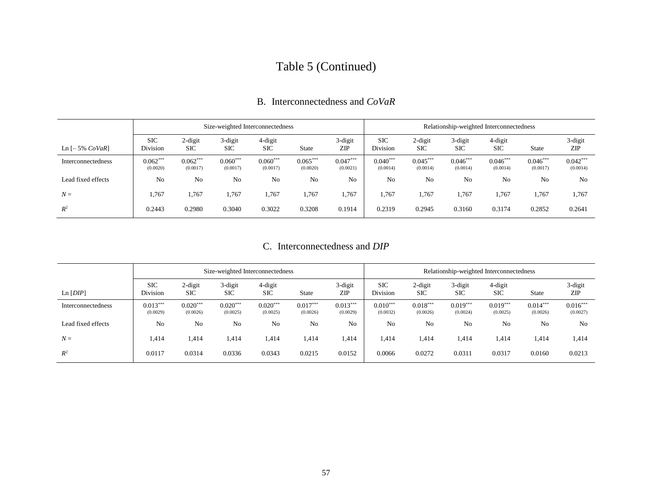# Table 5 (Continued)

|                    |                        |                          | Size-weighted Interconnectedness |                        |                        |                        | Relationship-weighted Interconnectedness |                          |                        |                        |                        |                        |
|--------------------|------------------------|--------------------------|----------------------------------|------------------------|------------------------|------------------------|------------------------------------------|--------------------------|------------------------|------------------------|------------------------|------------------------|
| Ln $[-5\%$ CoVaR   | <b>SIC</b><br>Division | $2$ -digit<br><b>SIC</b> | 3-digit<br><b>SIC</b>            | 4-digit<br><b>SIC</b>  | <b>State</b>           | 3-digit<br>ZIP         | <b>SIC</b><br>Division                   | $2$ -digit<br><b>SIC</b> | 3-digit<br><b>SIC</b>  | 4-digit<br><b>SIC</b>  | <b>State</b>           | 3-digit<br>ZIP         |
| Interconnectedness | $0.062***$<br>(0.0020) | $0.062***$<br>(0.0017)   | $0.060***$<br>(0.0017)           | $0.060***$<br>(0.0017) | $0.065***$<br>(0.0020) | $0.047***$<br>(0.0021) | $0.040***$<br>(0.0014)                   | $0.045***$<br>(0.0014)   | $0.046***$<br>(0.0014) | $0.046***$<br>(0.0014) | $0.046***$<br>(0.0017) | $0.042***$<br>(0.0014) |
| Lead fixed effects | N <sub>0</sub>         | N <sub>o</sub>           | N <sub>0</sub>                   | N <sub>o</sub>         | N <sub>o</sub>         | N <sub>o</sub>         | N <sub>o</sub>                           | N <sub>o</sub>           | N <sub>0</sub>         | N <sub>o</sub>         | N <sub>o</sub>         | N <sub>0</sub>         |
| $N =$              | 1,767                  | l.767                    | 1,767                            | 1,767                  | 1,767                  | 1,767                  | 1,767                                    | 1,767                    | 1,767                  | 1,767                  | 1,767                  | 1,767                  |
| $R^2$              | 0.2443                 | 0.2980                   | 0.3040                           | 0.3022                 | 0.3208                 | 0.1914                 | 0.2319                                   | 0.2945                   | 0.3160                 | 0.3174                 | 0.2852                 | 0.2641                 |

### B. Interconnectedness and *CoVaR*

## C. Interconnectedness and *DIP*

|                    | Size-weighted Interconnectedness |                        |                        |                        |                        |                        | Relationship-weighted Interconnectedness |                        |                        |                        |                        |                        |
|--------------------|----------------------------------|------------------------|------------------------|------------------------|------------------------|------------------------|------------------------------------------|------------------------|------------------------|------------------------|------------------------|------------------------|
| Ln[DIP]            | <b>SIC</b><br>Division           | 2-digit<br><b>SIC</b>  | 3-digit<br><b>SIC</b>  | 4-digit<br><b>SIC</b>  | State                  | 3-digit<br>ZIP         | <b>SIC</b><br>Division                   | 2-digit<br><b>SIC</b>  | 3-digit<br><b>SIC</b>  | 4-digit<br><b>SIC</b>  | <b>State</b>           | 3-digit<br><b>ZIP</b>  |
| Interconnectedness | $0.013***$<br>(0.0029)           | $0.020***$<br>(0.0026) | $0.020***$<br>(0.0025) | $0.020***$<br>(0.0025) | $0.017***$<br>(0.0026) | $0.013***$<br>(0.0029) | $0.010***$<br>(0.0032)                   | $0.018***$<br>(0.0026) | $0.019***$<br>(0.0024) | $0.019***$<br>(0.0025) | $0.014***$<br>(0.0026) | $0.016***$<br>(0.0027) |
| Lead fixed effects | N <sub>o</sub>                   | No                     | N <sub>o</sub>         | N <sub>o</sub>         | No                     | N <sub>o</sub>         | N <sub>o</sub>                           | No                     | N <sub>o</sub>         | N <sub>o</sub>         | N <sub>o</sub>         | N <sub>o</sub>         |
| $N =$              | 1,414                            | 1,414                  | 1,414                  | 1,414                  | 1,414                  | 1,414                  | 1,414                                    | 1,414                  | 1,414                  | 1,414                  | 1,414                  | 1,414                  |
| $R^2$              | 0.0117                           | 0.0314                 | 0.0336                 | 0.0343                 | 0.0215                 | 0.0152                 | 0.0066                                   | 0.0272                 | 0.0311                 | 0.0317                 | 0.0160                 | 0.0213                 |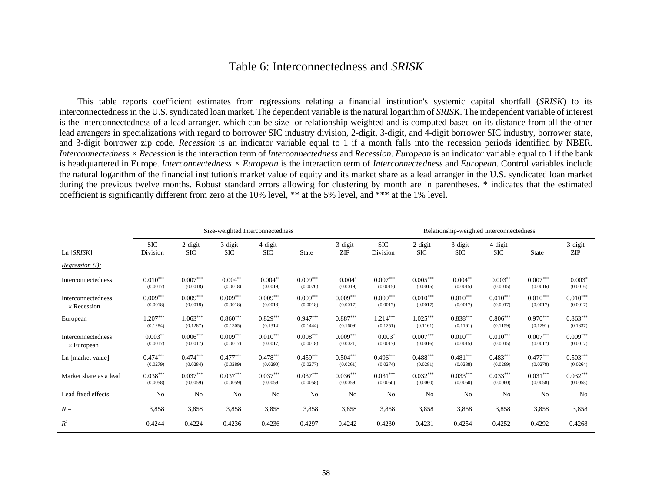## Table 6: Interconnectedness and *SRISK*

 This table reports coefficient estimates from regressions relating a financial institution's systemic capital shortfall (*SRISK*) to its interconnectedness in the U.S. syndicated loan market. The dependent variable is the natural logarithm of *SRISK*. The independent variable of interest is the interconnectedness of a lead arranger, which can be size- or relationship-weighted and is computed based on its distance from all the other lead arrangers in specializations with regard to borrower SIC industry division, 2-digit, 3-digit, and 4-digit borrower SIC industry, borrower state, and 3-digit borrower zip code. *Recession* is an indicator variable equal to 1 if a month falls into the recession periods identified by NBER. *Interconnectedness × Recession* is the interaction term of *Interconnectedness* and *Recession*. *European* is an indicator variable equal to 1 if the bank is headquartered in Europe. *Interconnectedness × European* is the interaction term of *Interconnectedness* and *European*. Control variables include the natural logarithm of the financial institution's market value of equity and its market share as a lead arranger in the U.S. syndicated loan market during the previous twelve months. Robust standard errors allowing for clustering by month are in parentheses. \* indicates that the estimated coefficient is significantly different from zero at the 10% level, \*\* at the 5% level, and \*\*\* at the 1% level.

|                           |                        |                       | Size-weighted Interconnectedness |                       |              |                       |                        |                       | Relationship-weighted Interconnectedness |                       |              |                       |
|---------------------------|------------------------|-----------------------|----------------------------------|-----------------------|--------------|-----------------------|------------------------|-----------------------|------------------------------------------|-----------------------|--------------|-----------------------|
| $Ln$ [ <i>SRISK</i> ]     | <b>SIC</b><br>Division | 2-digit<br><b>SIC</b> | 3-digit<br><b>SIC</b>            | 4-digit<br><b>SIC</b> | <b>State</b> | 3-digit<br><b>ZIP</b> | <b>SIC</b><br>Division | 2-digit<br><b>SIC</b> | 3-digit<br><b>SIC</b>                    | 4-digit<br><b>SIC</b> | <b>State</b> | 3-digit<br><b>ZIP</b> |
| <i>Regression</i> $(I)$ : |                        |                       |                                  |                       |              |                       |                        |                       |                                          |                       |              |                       |
| Interconnectedness        | $0.010***$             | $0.007***$            | $0.004***$                       | $0.004***$            | $0.009***$   | $0.004*$              | $0.007***$             | $0.005***$            | $0.004**$                                | $0.003***$            | $0.007***$   | $0.003*$              |
|                           | (0.0017)               | (0.0018)              | (0.0018)                         | (0.0019)              | (0.0020)     | (0.0019)              | (0.0015)               | (0.0015)              | (0.0015)                                 | (0.0015)              | (0.0016)     | (0.0016)              |
| Interconnectedness        | $0.009***$             | $0.009***$            | $0.009***$                       | $0.009***$            | $0.009***$   | $0.009***$            | $0.009***$             | $0.010***$            | $0.010***$                               | $0.010***$            | $0.010***$   | $0.010***$            |
| $\times$ Recession        | (0.0018)               | (0.0018)              | (0.0018)                         | (0.0018)              | (0.0018)     | (0.0017)              | (0.0017)               | (0.0017)              | (0.0017)                                 | (0.0017)              | (0.0017)     | (0.0017)              |
| European                  | $1.207***$             | $1.063***$            | $0.860***$                       | $0.829***$            | $0.947***$   | $0.887***$            | $1.214***$             | $1.025***$            | $0.838***$                               | $0.806***$            | $0.970***$   | $0.863***$            |
|                           | (0.1284)               | (0.1287)              | (0.1305)                         | (0.1314)              | (0.1444)     | (0.1609)              | (0.1251)               | (0.1161)              | (0.1161)                                 | (0.1159)              | (0.1291)     | (0.1337)              |
| Interconnectedness        | $0.003***$             | $0.006***$            | $0.009***$                       | $0.010***$            | $0.008***$   | $0.009***$            | $0.003*$               | $0.007***$            | $0.010***$                               | $0.010***$            | $0.007***$   | $0.009***$            |
| $\times$ European         | (0.0017)               | (0.0017)              | (0.0017)                         | (0.0017)              | (0.0018)     | (0.0021)              | (0.0017)               | (0.0016)              | (0.0015)                                 | (0.0015)              | (0.0017)     | (0.0017)              |
| Ln [market value]         | $0.474***$             | $0.474***$            | $0.477***$                       | $0.478***$            | $0.459***$   | $0.504***$            | $0.496***$             | $0.488***$            | $0.481***$                               | $0.483***$            | $0.477***$   | $0.503***$            |
|                           | (0.0279)               | (0.0284)              | (0.0289)                         | (0.0290)              | (0.0277)     | (0.0261)              | (0.0274)               | (0.0281)              | (0.0288)                                 | (0.0289)              | (0.0278)     | (0.0264)              |
| Market share as a lead    | $0.038***$             | $0.037***$            | $0.037***$                       | $0.037***$            | $0.037***$   | $0.036***$            | $0.031***$             | $0.032***$            | $0.033***$                               | $0.033***$            | $0.031***$   | $0.032***$            |
|                           | (0.0058)               | (0.0059)              | (0.0059)                         | (0.0059)              | (0.0058)     | (0.0059)              | (0.0060)               | (0.0060)              | (0.0060)                                 | (0.0060)              | (0.0058)     | (0.0058)              |
| Lead fixed effects        | No                     | No                    | No                               | No                    | No           | No                    | No                     | No                    | No                                       | No                    | No           | No                    |
| $N =$                     | 3,858                  | 3,858                 | 3,858                            | 3,858                 | 3,858        | 3,858                 | 3,858                  | 3,858                 | 3,858                                    | 3,858                 | 3,858        | 3,858                 |
| $R^2$                     | 0.4244                 | 0.4224                | 0.4236                           | 0.4236                | 0.4297       | 0.4242                | 0.4230                 | 0.4231                | 0.4254                                   | 0.4252                | 0.4292       | 0.4268                |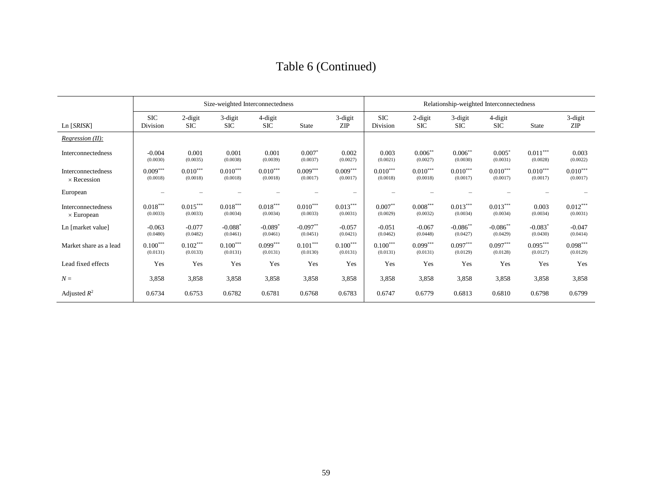# Table 6 (Continued)

|                                          |                        |                          | Size-weighted Interconnectedness |                        |                        |                        | Relationship-weighted Interconnectedness |                        |                         |                        |                        |                        |  |
|------------------------------------------|------------------------|--------------------------|----------------------------------|------------------------|------------------------|------------------------|------------------------------------------|------------------------|-------------------------|------------------------|------------------------|------------------------|--|
| $Ln$ [ <i>SRISK</i> ]                    | <b>SIC</b><br>Division | $2$ -digit<br><b>SIC</b> | 3-digit<br><b>SIC</b>            | 4-digit<br><b>SIC</b>  | <b>State</b>           | 3-digit<br>ZIP         | <b>SIC</b><br>Division                   | 2-digit<br><b>SIC</b>  | 3-digit<br><b>SIC</b>   | 4-digit<br><b>SIC</b>  | <b>State</b>           | 3-digit<br>ZIP         |  |
| Regression (II):                         |                        |                          |                                  |                        |                        |                        |                                          |                        |                         |                        |                        |                        |  |
| Interconnectedness                       | $-0.004$<br>(0.0030)   | 0.001<br>(0.0035)        | 0.001<br>(0.0038)                | 0.001<br>(0.0039)      | $0.007*$<br>(0.0037)   | 0.002<br>(0.0027)      | 0.003<br>(0.0021)                        | $0.006**$<br>(0.0027)  | $0.006**$<br>(0.0030)   | $0.005*$<br>(0.0031)   | $0.011***$<br>(0.0028) | 0.003<br>(0.0022)      |  |
| Interconnectedness<br>$\times$ Recession | $0.009***$<br>(0.0018) | $0.010***$<br>(0.0018)   | $0.010***$<br>(0.0018)           | $0.010***$<br>(0.0018) | $0.009***$<br>(0.0017) | $0.009***$<br>(0.0017) | $0.010***$<br>(0.0018)                   | $0.010***$<br>(0.0018) | $0.010***$<br>(0.0017)  | $0.010***$<br>(0.0017) | $0.010***$<br>(0.0017) | $0.010***$<br>(0.0017) |  |
| European                                 |                        |                          |                                  |                        |                        | $\qquad \qquad$        |                                          |                        |                         |                        |                        |                        |  |
| Interconnectedness<br>$\times$ European  | $0.018***$<br>(0.0033) | $0.015***$<br>(0.0033)   | $0.018***$<br>(0.0034)           | $0.018***$<br>(0.0034) | $0.010***$<br>(0.0033) | $0.013***$<br>(0.0031) | $0.007**$<br>(0.0029)                    | $0.008***$<br>(0.0032) | $0.013***$<br>(0.0034)  | $0.013***$<br>(0.0034) | 0.003<br>(0.0034)      | $0.012***$<br>(0.0031) |  |
| Ln [market value]                        | $-0.063$<br>(0.0480)   | $-0.077$<br>(0.0482)     | $-0.088*$<br>(0.0461)            | $-0.089*$<br>(0.0461)  | $-0.097**$<br>(0.0451) | $-0.057$<br>(0.0421)   | $-0.051$<br>(0.0462)                     | $-0.067$<br>(0.0448)   | $-0.086$ **<br>(0.0427) | $-0.086**$<br>(0.0429) | $-0.083*$<br>(0.0430)  | $-0.047$<br>(0.0414)   |  |
| Market share as a lead                   | $0.100***$<br>(0.0131) | $0.102***$<br>(0.0133)   | $0.100***$<br>(0.0131)           | $0.099***$<br>(0.0131) | $0.101***$<br>(0.0130) | $0.100***$<br>(0.0131) | $0.100***$<br>(0.0131)                   | $0.099***$<br>(0.0131) | $0.097***$<br>(0.0129)  | $0.097***$<br>(0.0128) | $0.095***$<br>(0.0127) | $0.098***$<br>(0.0129) |  |
| Lead fixed effects                       | Yes                    | Yes                      | Yes                              | Yes                    | Yes                    | Yes                    | Yes                                      | Yes                    | Yes                     | Yes                    | Yes                    | Yes                    |  |
| $N =$                                    | 3,858                  | 3,858                    | 3,858                            | 3,858                  | 3,858                  | 3,858                  | 3,858                                    | 3,858                  | 3,858                   | 3,858                  | 3,858                  | 3,858                  |  |
| Adjusted $R^2$                           | 0.6734                 | 0.6753                   | 0.6782                           | 0.6781                 | 0.6768                 | 0.6783                 | 0.6747                                   | 0.6779                 | 0.6813                  | 0.6810                 | 0.6798                 | 0.6799                 |  |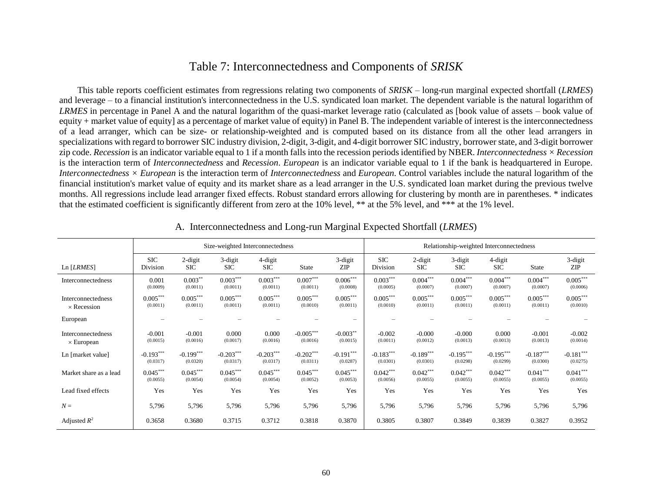## Table 7: Interconnectedness and Components of *SRISK*

 This table reports coefficient estimates from regressions relating two components of *SRISK* – long-run marginal expected shortfall (*LRMES*) and leverage – to a financial institution's interconnectedness in the U.S. syndicated loan market. The dependent variable is the natural logarithm of *LRMES* in percentage in Panel A and the natural logarithm of the quasi-market leverage ratio (calculated as [book value of assets – book value of equity + market value of equity] as a percentage of market value of equity) in Panel B. The independent variable of interest is the interconnectedness of a lead arranger, which can be size- or relationship-weighted and is computed based on its distance from all the other lead arrangers in specializations with regard to borrower SIC industry division, 2-digit, 3-digit, and 4-digit borrower SIC industry, borrower state, and 3-digit borrower zip code. *Recession* is an indicator variable equal to 1 if a month falls into the recession periods identified by NBER. *Interconnectedness × Recession* is the interaction term of *Interconnectedness* and *Recession*. *European* is an indicator variable equal to 1 if the bank is headquartered in Europe. *Interconnectedness × European* is the interaction term of *Interconnectedness* and *European*. Control variables include the natural logarithm of the financial institution's market value of equity and its market share as a lead arranger in the U.S. syndicated loan market during the previous twelve months. All regressions include lead arranger fixed effects. Robust standard errors allowing for clustering by month are in parentheses. \* indicates that the estimated coefficient is significantly different from zero at the 10% level, \*\* at the 5% level, and \*\*\* at the 1% level.

|                                          |                         |                         | Size-weighted Interconnectedness |                         |                         |                         | Relationship-weighted Interconnectedness |                          |                         |                         |                         |                         |  |
|------------------------------------------|-------------------------|-------------------------|----------------------------------|-------------------------|-------------------------|-------------------------|------------------------------------------|--------------------------|-------------------------|-------------------------|-------------------------|-------------------------|--|
| Ln [LRMES]                               | <b>SIC</b><br>Division  | 2-digit<br><b>SIC</b>   | 3-digit<br><b>SIC</b>            | 4-digit<br><b>SIC</b>   | <b>State</b>            | 3-digit<br>ZIP          | <b>SIC</b><br>Division                   | $2$ -digit<br><b>SIC</b> | 3-digit<br><b>SIC</b>   | 4-digit<br><b>SIC</b>   | <b>State</b>            | 3-digit<br>ZIP          |  |
| Interconnectedness                       | 0.001<br>(0.0009)       | $0.003***$<br>(0.0011)  | $0.003***$<br>(0.0011)           | $0.003***$<br>(0.0011)  | $0.007***$<br>(0.0011)  | $0.006***$<br>(0.0008)  | $0.003***$<br>(0.0005)                   | $0.004***$<br>(0.0007)   | $0.004***$<br>(0.0007)  | $0.004***$<br>(0.0007)  | $0.004***$<br>(0.0007)  | $0.005***$<br>(0.0006)  |  |
| Interconnectedness<br>$\times$ Recession | $0.005***$<br>(0.0011)  | $0.005***$<br>(0.0011)  | $0.005***$<br>(0.0011)           | $0.005***$<br>(0.0011)  | $0.005***$<br>(0.0010)  | $0.005***$<br>(0.0011)  | $0.005***$<br>(0.0010)                   | $0.005***$<br>(0.0011)   | $0.005***$<br>(0.0011)  | $0.005***$<br>(0.0011)  | $0.005***$<br>(0.0011)  | $0.005***$<br>(0.0010)  |  |
| European                                 |                         |                         |                                  |                         |                         | $\qquad \qquad$         |                                          |                          |                         |                         |                         |                         |  |
| Interconnectedness<br>$\times$ European  | $-0.001$<br>(0.0015)    | $-0.001$<br>(0.0016)    | 0.000<br>(0.0017)                | 0.000<br>(0.0016)       | $-0.005***$<br>(0.0016) | $-0.003**$<br>(0.0015)  | $-0.002$<br>(0.0011)                     | $-0.000$<br>(0.0012)     | $-0.000$<br>(0.0013)    | 0.000<br>(0.0013)       | $-0.001$<br>(0.0013)    | $-0.002$<br>(0.0014)    |  |
| Ln [market value]                        | $-0.193***$<br>(0.0317) | $-0.199***$<br>(0.0320) | $-0.203***$<br>(0.0317)          | $-0.203***$<br>(0.0317) | $-0.202***$<br>(0.0311) | $-0.191***$<br>(0.0287) | $-0.183***$<br>(0.0301)                  | $-0.189***$<br>(0.0301)  | $-0.195***$<br>(0.0298) | $-0.195***$<br>(0.0299) | $-0.187***$<br>(0.0300) | $-0.181***$<br>(0.0275) |  |
| Market share as a lead                   | $0.045***$<br>(0.0055)  | $0.045***$<br>(0.0054)  | $0.045***$<br>(0.0054)           | $0.045***$<br>(0.0054)  | $0.045***$<br>(0.0052)  | $0.045***$<br>(0.0053)  | $0.042***$<br>(0.0056)                   | $0.042***$<br>(0.0055)   | $0.042***$<br>(0.0055)  | $0.042***$<br>(0.0055)  | $0.041***$<br>(0.0055)  | $0.041***$<br>(0.0055)  |  |
| Lead fixed effects                       | Yes                     | Yes                     | Yes                              | Yes                     | Yes                     | Yes                     | Yes                                      | Yes                      | Yes                     | Yes                     | Yes                     | Yes                     |  |
| $N =$                                    | 5,796                   | 5,796                   | 5,796                            | 5,796                   | 5,796                   | 5,796                   | 5,796                                    | 5,796                    | 5,796                   | 5,796                   | 5,796                   | 5,796                   |  |
| Adjusted $R^2$                           | 0.3658                  | 0.3680                  | 0.3715                           | 0.3712                  | 0.3818                  | 0.3870                  | 0.3805                                   | 0.3807                   | 0.3849                  | 0.3839                  | 0.3827                  | 0.3952                  |  |

A. Interconnectedness and Long-run Marginal Expected Shortfall (*LRMES*)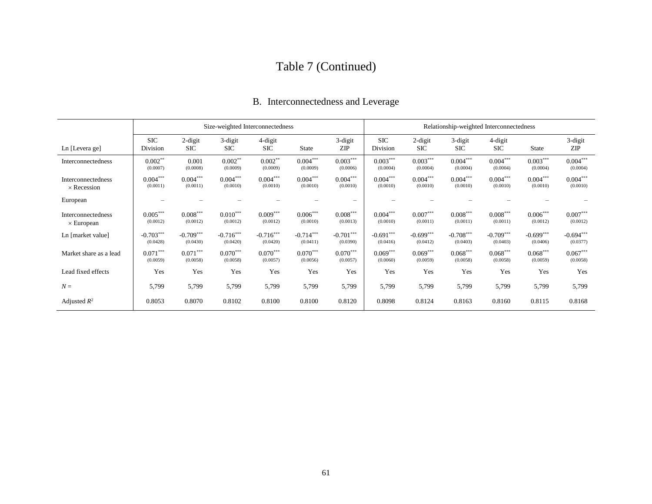# Table 7 (Continued)

|                                          |                         |                         | Size-weighted Interconnectedness |                         |                         |                         | Relationship-weighted Interconnectedness |                         |                         |                         |                         |                         |  |
|------------------------------------------|-------------------------|-------------------------|----------------------------------|-------------------------|-------------------------|-------------------------|------------------------------------------|-------------------------|-------------------------|-------------------------|-------------------------|-------------------------|--|
| Ln [Levera ge]                           | <b>SIC</b><br>Division  | 2-digit<br><b>SIC</b>   | 3-digit<br><b>SIC</b>            | 4-digit<br><b>SIC</b>   | <b>State</b>            | 3-digit<br>ZIP          | <b>SIC</b><br>Division                   | 2-digit<br><b>SIC</b>   | 3-digit<br><b>SIC</b>   | 4-digit<br><b>SIC</b>   | <b>State</b>            | 3-digit<br>ZIP          |  |
| Interconnectedness                       | $0.002**$<br>(0.0007)   | 0.001<br>(0.0008)       | $0.002**$<br>(0.0009)            | $0.002**$<br>(0.0009)   | $0.004***$<br>(0.0009)  | $0.003***$<br>(0.0006)  | $0.003***$<br>(0.0004)                   | $0.003***$<br>(0.0004)  | $0.004***$<br>(0.0004)  | $0.004***$<br>(0.0004)  | $0.003***$<br>(0.0004)  | $0.004***$<br>(0.0004)  |  |
| Interconnectedness<br>$\times$ Recession | $0.004***$<br>(0.0011)  | $0.004***$<br>(0.0011)  | $0.004***$<br>(0.0010)           | $0.004***$<br>(0.0010)  | $0.004***$<br>(0.0010)  | $0.004***$<br>(0.0010)  | $0.004***$<br>(0.0010)                   | $0.004***$<br>(0.0010)  | $0.004***$<br>(0.0010)  | $0.004***$<br>(0.0010)  | $0.004***$<br>(0.0010)  | $0.004***$<br>(0.0010)  |  |
| European                                 |                         |                         |                                  |                         |                         | -                       |                                          |                         |                         |                         |                         |                         |  |
| Interconnectedness<br>$\times$ European  | $0.005***$<br>(0.0012)  | $0.008***$<br>(0.0012)  | $0.010***$<br>(0.0012)           | $0.009***$<br>(0.0012)  | $0.006***$<br>(0.0010)  | $0.008***$<br>(0.0013)  | $0.004***$<br>(0.0010)                   | $0.007***$<br>(0.0011)  | $0.008***$<br>(0.0011)  | $0.008***$<br>(0.0011)  | $0.006***$<br>(0.0012)  | $0.007***$<br>(0.0012)  |  |
| Ln [market value]                        | $-0.703***$<br>(0.0428) | $-0.709***$<br>(0.0430) | $-0.716***$<br>(0.0420)          | $-0.716***$<br>(0.0420) | $-0.714***$<br>(0.0411) | $-0.701***$<br>(0.0390) | $-0.691***$<br>(0.0416)                  | $-0.699***$<br>(0.0412) | $-0.708***$<br>(0.0403) | $-0.709***$<br>(0.0403) | $-0.699***$<br>(0.0406) | $-0.694***$<br>(0.0377) |  |
| Market share as a lead                   | $0.071***$<br>(0.0059)  | $0.071***$<br>(0.0058)  | $0.070***$<br>(0.0058)           | $0.070***$<br>(0.0057)  | $0.070***$<br>(0.0056)  | $0.070***$<br>(0.0057)  | $0.069***$<br>(0.0060)                   | $0.069***$<br>(0.0059)  | $0.068***$<br>(0.0058)  | $0.068***$<br>(0.0058)  | $0.068***$<br>(0.0059)  | $0.067***$<br>(0.0058)  |  |
| Lead fixed effects                       | Yes                     | Yes                     | Yes                              | Yes                     | Yes                     | Yes                     | Yes                                      | Yes                     | Yes                     | Yes                     | Yes                     | Yes                     |  |
| $N =$                                    | 5,799                   | 5,799                   | 5,799                            | 5,799                   | 5,799                   | 5,799                   | 5,799                                    | 5,799                   | 5,799                   | 5,799                   | 5,799                   | 5,799                   |  |
| Adjusted $R^2$                           | 0.8053                  | 0.8070                  | 0.8102                           | 0.8100                  | 0.8100                  | 0.8120                  | 0.8098                                   | 0.8124                  | 0.8163                  | 0.8160                  | 0.8115                  | 0.8168                  |  |

# B. Interconnectedness and Leverage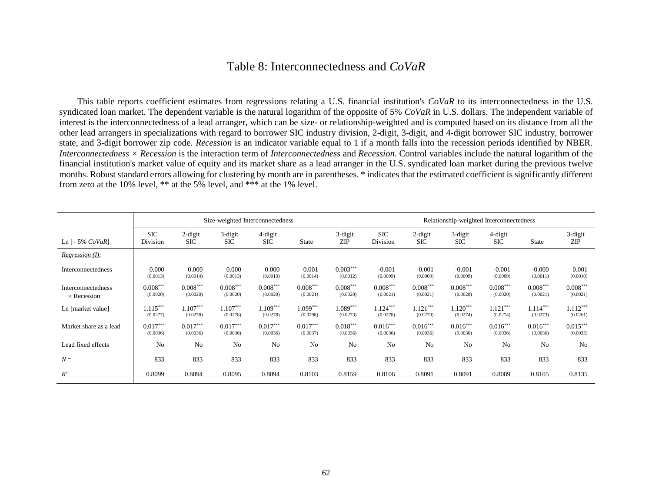## Table 8: Interconnectedness and *CoVaR*

 This table reports coefficient estimates from regressions relating a U.S. financial institution's *CoVaR* to its interconnectedness in the U.S. syndicated loan market. The dependent variable is the natural logarithm of the opposite of 5% *CoVaR* in U.S. dollars. The independent variable of interest is the interconnectedness of a lead arranger, which can be size- or relationship-weighted and is computed based on its distance from all the other lead arrangers in specializations with regard to borrower SIC industry division, 2-digit, 3-digit, and 4-digit borrower SIC industry, borrower state, and 3-digit borrower zip code. *Recession* is an indicator variable equal to 1 if a month falls into the recession periods identified by NBER. *Interconnectedness × Recession* is the interaction term of *Interconnectedness* and *Recession*. Control variables include the natural logarithm of the financial institution's market value of equity and its market share as a lead arranger in the U.S. syndicated loan market during the previous twelve months. Robust standard errors allowing for clustering by month are in parentheses. \* indicates that the estimated coefficient is significantly different from zero at the 10% level, \*\* at the 5% level, and \*\*\* at the 1% level.

|                                          |                        |                        | Size-weighted Interconnectedness |                        |                        |                        | Relationship-weighted Interconnectedness |                          |                        |                        |                        |                        |  |
|------------------------------------------|------------------------|------------------------|----------------------------------|------------------------|------------------------|------------------------|------------------------------------------|--------------------------|------------------------|------------------------|------------------------|------------------------|--|
| Ln $[-5\%$ CoVaR]                        | <b>SIC</b><br>Division | 2-digit<br><b>SIC</b>  | 3-digit<br><b>SIC</b>            | 4-digit<br><b>SIC</b>  | <b>State</b>           | 3-digit<br>ZIP         | <b>SIC</b><br>Division                   | $2$ -digit<br><b>SIC</b> | 3-digit<br><b>SIC</b>  | 4-digit<br><b>SIC</b>  | <b>State</b>           | 3-digit<br>ZIP         |  |
| <i>Regression</i> $(I)$ :                |                        |                        |                                  |                        |                        |                        |                                          |                          |                        |                        |                        |                        |  |
| Interconnectedness                       | $-0.000$<br>(0.0013)   | 0.000<br>(0.0014)      | 0.000<br>(0.0013)                | 0.000<br>(0.0013)      | 0.001<br>(0.0014)      | $0.003***$<br>(0.0012) | $-0.001$<br>(0.0009)                     | $-0.001$<br>(0.0009)     | $-0.001$<br>(0.0009)   | $-0.001$<br>(0.0009)   | $-0.000$<br>(0.0011)   | 0.001<br>(0.0010)      |  |
| Interconnectedness<br>$\times$ Recession | $0.008***$<br>(0.0020) | $0.008***$<br>(0.0020) | $0.008***$<br>(0.0020)           | $0.008***$<br>(0.0020) | $0.008***$<br>(0.0021) | $0.008***$<br>(0.0020) | $0.008***$<br>(0.0021)                   | $0.008***$<br>(0.0021)   | $0.008***$<br>(0.0020) | $0.008***$<br>(0.0020) | $0.008***$<br>(0.0021) | $0.008***$<br>(0.0021) |  |
| Ln [market value]                        | $1.115***$<br>(0.0277) | $1.107***$<br>(0.0278) | $1.107***$<br>(0.0278)           | $1.109***$<br>(0.0278) | $1.099***$<br>(0.0298) | $1.089***$<br>(0.0273) | $1.124***$<br>(0.0270)                   | $1.121***$<br>(0.0270)   | $1.120***$<br>(0.0274) | $1.121***$<br>(0.0274) | $1.114***$<br>(0.0273) | $1.112***$<br>(0.0261) |  |
| Market share as a lead                   | $0.017***$<br>(0.0036) | $0.017***$<br>(0.0036) | $0.017***$<br>(0.0036)           | $0.017***$<br>(0.0036) | $0.017***$<br>(0.0037) | $0.018***$<br>(0.0036) | $0.016***$<br>(0.0036)                   | $0.016***$<br>(0.0036)   | $0.016***$<br>(0.0036) | $0.016***$<br>(0.0036) | $0.016***$<br>(0.0036) | $0.015***$<br>(0.0035) |  |
| Lead fixed effects                       | No                     | No                     | No                               | No                     | No                     | N <sub>0</sub>         | No                                       | No                       | N <sub>0</sub>         | No                     | No                     | No                     |  |
| $N =$                                    | 833                    | 833                    | 833                              | 833                    | 833                    | 833                    | 833                                      | 833                      | 833                    | 833                    | 833                    | 833                    |  |
| $R^2$                                    | 0.8099                 | 0.8094                 | 0.8095                           | 0.8094                 | 0.8103                 | 0.8159                 | 0.8106                                   | 0.8091                   | 0.8091                 | 0.8089                 | 0.8105                 | 0.8135                 |  |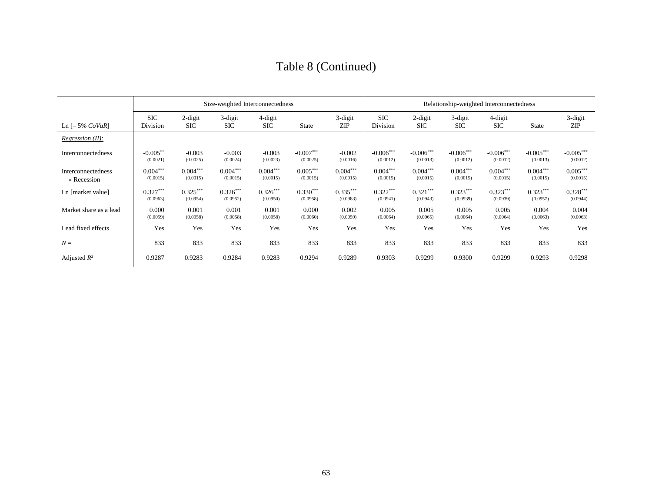# Table 8 (Continued)

|                                          |                         |                          | Size-weighted Interconnectedness |                        |                         |                        | Relationship-weighted Interconnectedness |                          |                         |                         |                         |                         |  |
|------------------------------------------|-------------------------|--------------------------|----------------------------------|------------------------|-------------------------|------------------------|------------------------------------------|--------------------------|-------------------------|-------------------------|-------------------------|-------------------------|--|
| Ln $[-5\%$ CoVaR                         | <b>SIC</b><br>Division  | $2$ -digit<br><b>SIC</b> | 3-digit<br><b>SIC</b>            | 4-digit<br><b>SIC</b>  | <b>State</b>            | 3-digit<br>ZIP         | <b>SIC</b><br>Division                   | $2$ -digit<br><b>SIC</b> | 3-digit<br><b>SIC</b>   | 4-digit<br><b>SIC</b>   | <b>State</b>            | 3-digit<br>ZIP          |  |
| Regression (II):                         |                         |                          |                                  |                        |                         |                        |                                          |                          |                         |                         |                         |                         |  |
| Interconnectedness                       | $-0.005***$<br>(0.0021) | $-0.003$<br>(0.0025)     | $-0.003$<br>(0.0024)             | $-0.003$<br>(0.0023)   | $-0.007***$<br>(0.0025) | $-0.002$<br>(0.0016)   | $-0.006***$<br>(0.0012)                  | $-0.006***$<br>(0.0013)  | $-0.006***$<br>(0.0012) | $-0.006***$<br>(0.0012) | $-0.005***$<br>(0.0013) | $-0.005***$<br>(0.0012) |  |
| Interconnectedness<br>$\times$ Recession | $0.004***$<br>(0.0015)  | $0.004***$<br>(0.0015)   | $0.004***$<br>(0.0015)           | $0.004***$<br>(0.0015) | $0.005***$<br>(0.0015)  | $0.004***$<br>(0.0015) | $0.004***$<br>(0.0015)                   | $0.004***$<br>(0.0015)   | $0.004***$<br>(0.0015)  | $0.004***$<br>(0.0015)  | $0.004***$<br>(0.0015)  | $0.005***$<br>(0.0015)  |  |
| Ln [market value]                        | $0.327***$<br>(0.0963)  | $0.325***$<br>(0.0954)   | $0.326***$<br>(0.0952)           | $0.326***$<br>(0.0950) | $0.330***$<br>(0.0958)  | $0.335***$<br>(0.0983) | $0.322***$<br>(0.0941)                   | $0.321***$<br>(0.0943)   | $0.323***$<br>(0.0939)  | $0.323***$<br>(0.0939)  | $0.323***$<br>(0.0957)  | $0.328***$<br>(0.0944)  |  |
| Market share as a lead                   | 0.000<br>(0.0059)       | 0.001<br>(0.0058)        | 0.001<br>(0.0058)                | 0.001<br>(0.0058)      | 0.000<br>(0.0060)       | 0.002<br>(0.0059)      | 0.005<br>(0.0064)                        | 0.005<br>(0.0065)        | 0.005<br>(0.0064)       | 0.005<br>(0.0064)       | 0.004<br>(0.0063)       | 0.004<br>(0.0063)       |  |
| Lead fixed effects                       | Yes                     | Yes                      | Yes                              | Yes                    | Yes                     | Yes                    | Yes                                      | Yes                      | Yes                     | Yes                     | Yes                     | Yes                     |  |
| $N =$                                    | 833                     | 833                      | 833                              | 833                    | 833                     | 833                    | 833                                      | 833                      | 833                     | 833                     | 833                     | 833                     |  |
| Adjusted $R^2$                           | 0.9287                  | 0.9283                   | 0.9284                           | 0.9283                 | 0.9294                  | 0.9289                 | 0.9303                                   | 0.9299                   | 0.9300                  | 0.9299                  | 0.9293                  | 0.9298                  |  |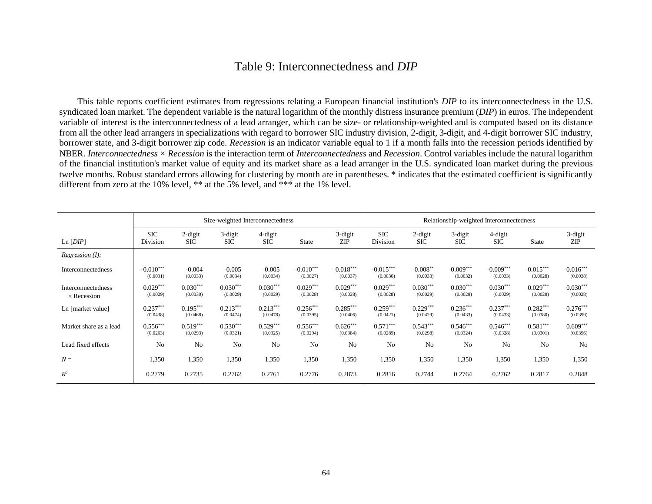### Table 9: Interconnectedness and *DIP*

 This table reports coefficient estimates from regressions relating a European financial institution's *DIP* to its interconnectedness in the U.S. syndicated loan market. The dependent variable is the natural logarithm of the monthly distress insurance premium (*DIP*) in euros. The independent variable of interest is the interconnectedness of a lead arranger, which can be size- or relationship-weighted and is computed based on its distance from all the other lead arrangers in specializations with regard to borrower SIC industry division, 2-digit, 3-digit, and 4-digit borrower SIC industry, borrower state, and 3-digit borrower zip code. *Recession* is an indicator variable equal to 1 if a month falls into the recession periods identified by NBER. *Interconnectedness × Recession* is the interaction term of *Interconnectedness* and *Recession*. Control variables include the natural logarithm of the financial institution's market value of equity and its market share as a lead arranger in the U.S. syndicated loan market during the previous twelve months. Robust standard errors allowing for clustering by month are in parentheses. \* indicates that the estimated coefficient is significantly different from zero at the 10% level, \*\* at the 5% level, and \*\*\* at the 1% level.

|                                          |                         |                          | Size-weighted Interconnectedness |                        |                         |                         | Relationship-weighted Interconnectedness |                          |                         |                         |                         |                         |  |
|------------------------------------------|-------------------------|--------------------------|----------------------------------|------------------------|-------------------------|-------------------------|------------------------------------------|--------------------------|-------------------------|-------------------------|-------------------------|-------------------------|--|
| Ln[DIP]                                  | <b>SIC</b><br>Division  | $2$ -digit<br><b>SIC</b> | 3-digit<br><b>SIC</b>            | 4-digit<br><b>SIC</b>  | State                   | $3$ -digit<br>ZIP       | <b>SIC</b><br>Division                   | $2$ -digit<br><b>SIC</b> | 3-digit<br><b>SIC</b>   | 4-digit<br><b>SIC</b>   | State                   | 3-digit<br>ZIP          |  |
| <i>Regression</i> $(I)$ :                |                         |                          |                                  |                        |                         |                         |                                          |                          |                         |                         |                         |                         |  |
| Interconnectedness                       | $-0.010***$<br>(0.0031) | $-0.004$<br>(0.0033)     | $-0.005$<br>(0.0034)             | $-0.005$<br>(0.0034)   | $-0.010***$<br>(0.0027) | $-0.018***$<br>(0.0037) | $-0.015***$<br>(0.0036)                  | $-0.008***$<br>(0.0033)  | $-0.009***$<br>(0.0032) | $-0.009***$<br>(0.0033) | $-0.015***$<br>(0.0028) | $-0.016***$<br>(0.0038) |  |
| Interconnectedness<br>$\times$ Recession | $0.029***$<br>(0.0029)  | $0.030***$<br>(0.0030)   | $0.030***$<br>(0.0029)           | $0.030***$<br>(0.0029) | $0.029***$<br>(0.0028)  | $0.029***$<br>(0.0028)  | $0.029***$<br>(0.0028)                   | $0.030***$<br>(0.0029)   | $0.030***$<br>(0.0029)  | $0.030***$<br>(0.0029)  | $0.029***$<br>(0.0028)  | $0.030***$<br>(0.0028)  |  |
| Ln [market value]                        | $0.237***$<br>(0.0438)  | $0.195***$<br>(0.0468)   | $0.213***$<br>(0.0474)           | $0.213***$<br>(0.0478) | $0.256***$<br>(0.0395)  | $0.285***$<br>(0.0406)  | $0.259***$<br>(0.0421)                   | $0.229***$<br>(0.0429)   | $0.236***$<br>(0.0433)  | $0.237***$<br>(0.0433)  | $0.282***$<br>(0.0380)  | $0.276***$<br>(0.0399)  |  |
| Market share as a lead                   | $0.556***$<br>(0.0263)  | $0.519***$<br>(0.0293)   | $0.530***$<br>(0.0321)           | $0.529***$<br>(0.0325) | $0.556***$<br>(0.0294)  | $0.626***$<br>(0.0384)  | $0.571***$<br>(0.0289)                   | $0.543***$<br>(0.0298)   | $0.546***$<br>(0.0324)  | $0.546***$<br>(0.0328)  | $0.581***$<br>(0.0301)  | $0.609***$<br>(0.0396)  |  |
| Lead fixed effects                       | No                      | No                       | N <sub>0</sub>                   | No                     | No                      | N <sub>0</sub>          | N <sub>o</sub>                           | No                       | N <sub>o</sub>          | N <sub>0</sub>          | No                      | N <sub>o</sub>          |  |
| $N =$                                    | 1,350                   | 1,350                    | 1,350                            | 1,350                  | 1,350                   | 1,350                   | 1,350                                    | 1,350                    | 1,350                   | 1,350                   | 1,350                   | 1,350                   |  |
| $R^2$                                    | 0.2779                  | 0.2735                   | 0.2762                           | 0.2761                 | 0.2776                  | 0.2873                  | 0.2816                                   | 0.2744                   | 0.2764                  | 0.2762                  | 0.2817                  | 0.2848                  |  |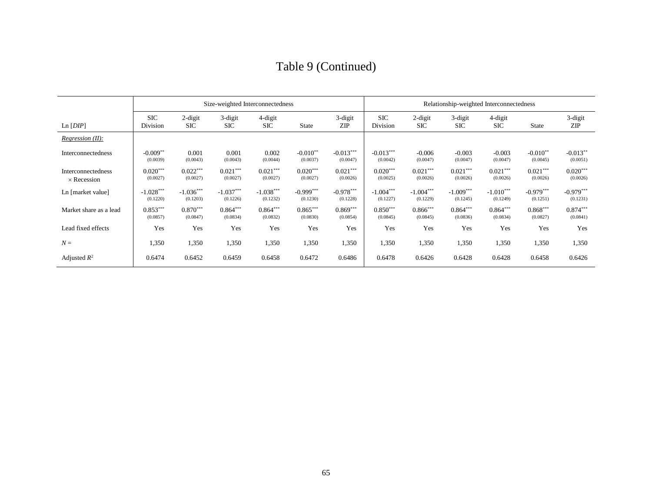# Table 9 (Continued)

|                                          |                         |                         | Size-weighted Interconnectedness |                         |                         |                         | Relationship-weighted Interconnectedness |                          |                         |                         |                         |                         |  |
|------------------------------------------|-------------------------|-------------------------|----------------------------------|-------------------------|-------------------------|-------------------------|------------------------------------------|--------------------------|-------------------------|-------------------------|-------------------------|-------------------------|--|
| Ln[DIP]                                  | <b>SIC</b><br>Division  | 2-digit<br><b>SIC</b>   | 3-digit<br><b>SIC</b>            | 4-digit<br><b>SIC</b>   | <b>State</b>            | 3-digit<br>ZIP          | <b>SIC</b><br>Division                   | $2$ -digit<br><b>SIC</b> | 3-digit<br><b>SIC</b>   | 4-digit<br><b>SIC</b>   | <b>State</b>            | 3-digit<br>ZIP          |  |
| <i>Regression</i> $(II)$ :               |                         |                         |                                  |                         |                         |                         |                                          |                          |                         |                         |                         |                         |  |
| Interconnectedness                       | $-0.009**$<br>(0.0039)  | 0.001<br>(0.0043)       | 0.001<br>(0.0043)                | 0.002<br>(0.0044)       | $-0.010**$<br>(0.0037)  | $-0.013***$<br>(0.0047) | $-0.013***$<br>(0.0042)                  | $-0.006$<br>(0.0047)     | $-0.003$<br>(0.0047)    | $-0.003$<br>(0.0047)    | $-0.010**$<br>(0.0045)  | $-0.013***$<br>(0.0051) |  |
| Interconnectedness<br>$\times$ Recession | $0.020***$<br>(0.0027)  | $0.022***$<br>(0.0027)  | $0.021***$<br>(0.0027)           | $0.021***$<br>(0.0027)  | $0.020***$<br>(0.0027)  | $0.021***$<br>(0.0026)  | $0.020***$<br>(0.0025)                   | $0.021***$<br>(0.0026)   | $0.021***$<br>(0.0026)  | $0.021***$<br>(0.0026)  | $0.021***$<br>(0.0026)  | $0.020***$<br>(0.0026)  |  |
| Ln [market value]                        | $-1.028***$<br>(0.1220) | $-1.036***$<br>(0.1203) | $-1.037***$<br>(0.1226)          | $-1.038***$<br>(0.1232) | $-0.999***$<br>(0.1230) | $-0.978***$<br>(0.1228) | $-1.004***$<br>(0.1227)                  | $-1.004***$<br>(0.1229)  | $-1.009***$<br>(0.1245) | $-1.010***$<br>(0.1249) | $-0.979***$<br>(0.1251) | $-0.979***$<br>(0.1231) |  |
| Market share as a lead                   | $0.853***$<br>(0.0857)  | $0.870***$<br>(0.0847)  | $0.864***$<br>(0.0834)           | $0.864***$<br>(0.0832)  | $0.865***$<br>(0.0830)  | $0.869***$<br>(0.0854)  | $0.850***$<br>(0.0845)                   | $0.866***$<br>(0.0845)   | $0.864***$<br>(0.0836)  | $0.864***$<br>(0.0834)  | $0.868***$<br>(0.0827)  | $0.874***$<br>(0.0841)  |  |
| Lead fixed effects                       | Yes                     | Yes                     | Yes                              | Yes                     | Yes                     | Yes                     | Yes                                      | Yes                      | Yes                     | Yes                     | Yes                     | Yes                     |  |
| $N =$                                    | 1,350                   | 1,350                   | 1,350                            | 1,350                   | 1,350                   | 1,350                   | 1,350                                    | 1,350                    | 1,350                   | 1,350                   | 1,350                   | 1,350                   |  |
| Adjusted $R^2$                           | 0.6474                  | 0.6452                  | 0.6459                           | 0.6458                  | 0.6472                  | 0.6486                  | 0.6478                                   | 0.6426                   | 0.6428                  | 0.6428                  | 0.6458                  | 0.6426                  |  |